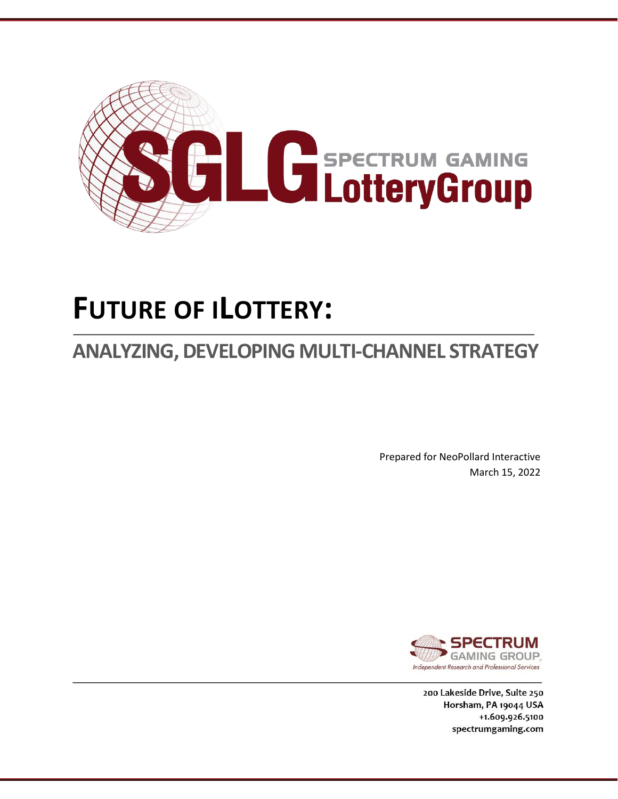

# **FUTURE OF ILOTTERY:**

# **ANALYZING, DEVELOPING MULTI-CHANNEL STRATEGY**

Prepared for NeoPollard Interactive March 15, 2022



200 Lakeside Drive, Suite 250 Horsham, PA 19044 USA +1.609.926.5100 spectrumgaming.com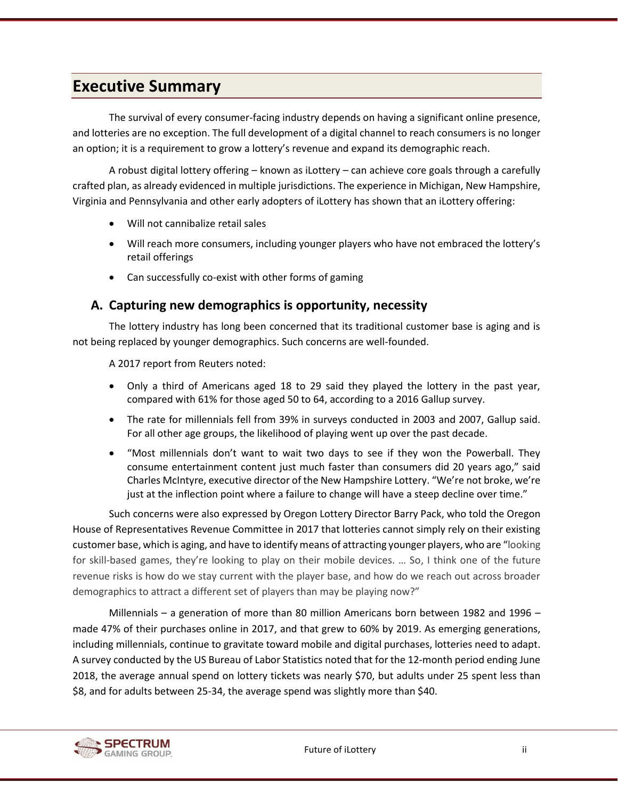# <span id="page-1-0"></span>**Executive Summary**

The survival of every consumer-facing industry depends on having a significant online presence, and lotteries are no exception. The full development of a digital channel to reach consumers is no longer an option; it is a requirement to grow a lottery's revenue and expand its demographic reach.

A robust digital lottery offering – known as iLottery – can achieve core goals through a carefully crafted plan, as already evidenced in multiple jurisdictions. The experience in Michigan, New Hampshire, Virginia and Pennsylvania and other early adopters of iLottery has shown that an iLottery offering:

- Will not cannibalize retail sales
- Will reach more consumers, including younger players who have not embraced the lottery's retail offerings
- Can successfully co-exist with other forms of gaming

## <span id="page-1-1"></span>**A. Capturing new demographics is opportunity, necessity**

The lottery industry has long been concerned that its traditional customer base is aging and is not being replaced by younger demographics. Such concerns are well-founded.

A 2017 report from Reuters noted:

- Only a third of Americans aged 18 to 29 said they played the lottery in the past year, compared with 61% for those aged 50 to 64, according to a 2016 Gallup survey.
- The rate for millennials fell from 39% in surveys conducted in 2003 and 2007, Gallup said. For all other age groups, the likelihood of playing went up over the past decade.
- "Most millennials don't want to wait two days to see if they won the Powerball. They consume entertainment content just much faster than consumers did 20 years ago," said Charles McIntyre, executive director of the New Hampshire Lottery. "We're not broke, we're just at the inflection point where a failure to change will have a steep decline over time."

Such concerns were also expressed by Oregon Lottery Director Barry Pack, who told the Oregon House of Representatives Revenue Committee in 2017 that lotteries cannot simply rely on their existing customer base, which is aging, and have to identify means of attracting younger players, who are "looking for skill-based games, they're looking to play on their mobile devices. … So, I think one of the future revenue risks is how do we stay current with the player base, and how do we reach out across broader demographics to attract a different set of players than may be playing now?"

Millennials – a generation of more than 80 million Americans born between 1982 and 1996 – made 47% of their purchases online in 2017, and that grew to 60% by 2019. As emerging generations, including millennials, continue to gravitate toward mobile and digital purchases, lotteries need to adapt. A survey conducted by the US Bureau of Labor Statistics noted that for the 12-month period ending June 2018, the average annual spend on lottery tickets was nearly \$70, but adults under 25 spent less than \$8, and for adults between 25-34, the average spend was slightly more than \$40.

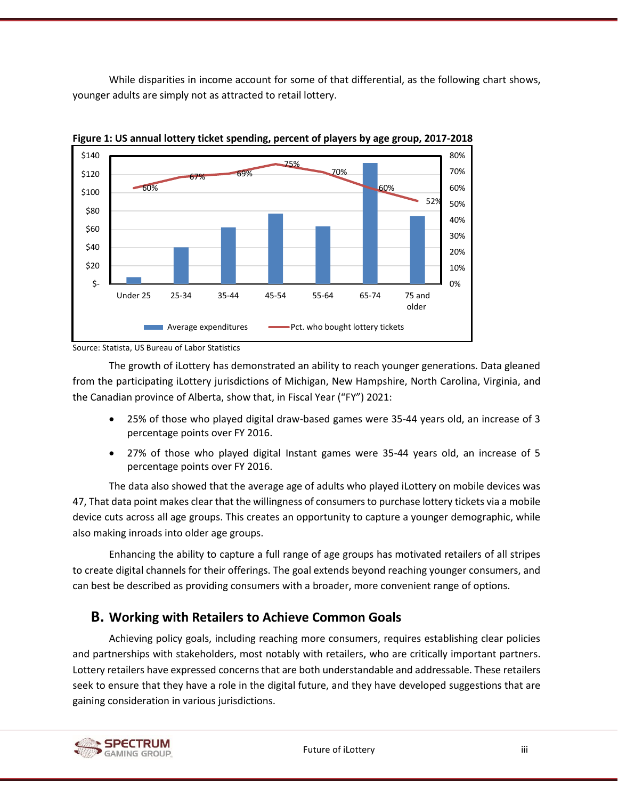While disparities in income account for some of that differential, as the following chart shows, younger adults are simply not as attracted to retail lottery.



<span id="page-2-1"></span>

Source: Statista, US Bureau of Labor Statistics

The growth of iLottery has demonstrated an ability to reach younger generations. Data gleaned from the participating iLottery jurisdictions of Michigan, New Hampshire, North Carolina, Virginia, and the Canadian province of Alberta, show that, in Fiscal Year ("FY") 2021:

- 25% of those who played digital draw-based games were 35-44 years old, an increase of 3 percentage points over FY 2016.
- 27% of those who played digital Instant games were 35-44 years old, an increase of 5 percentage points over FY 2016.

<span id="page-2-0"></span>The data also showed that the average age of adults who played iLottery on mobile devices was 47, That data point makes clear that the willingness of consumers to purchase lottery tickets via a mobile device cuts across all age groups. This creates an opportunity to capture a younger demographic, while also making inroads into older age groups.

Enhancing the ability to capture a full range of age groups has motivated retailers of all stripes to create digital channels for their offerings. The goal extends beyond reaching younger consumers, and can best be described as providing consumers with a broader, more convenient range of options.

# **B. Working with Retailers to Achieve Common Goals**

Achieving policy goals, including reaching more consumers, requires establishing clear policies and partnerships with stakeholders, most notably with retailers, who are critically important partners. Lottery retailers have expressed concerns that are both understandable and addressable. These retailers seek to ensure that they have a role in the digital future, and they have developed suggestions that are gaining consideration in various jurisdictions.

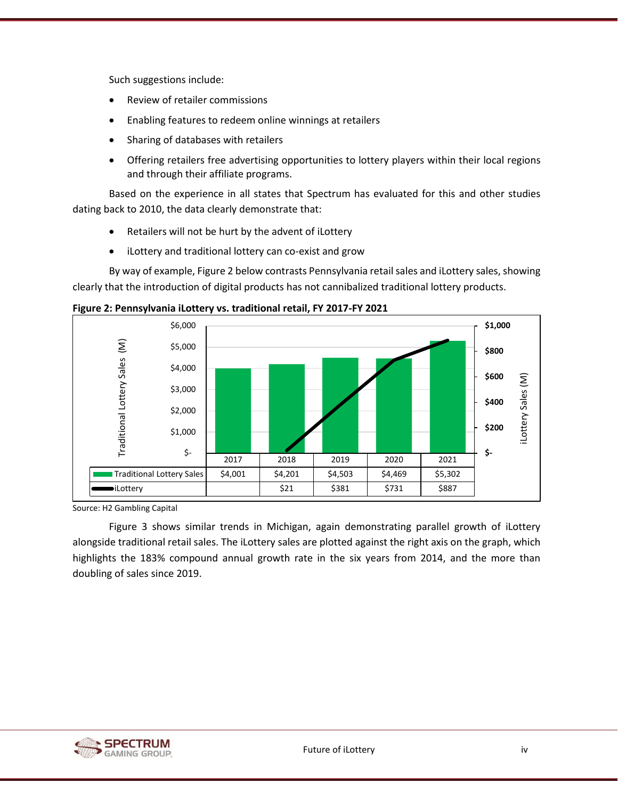Such suggestions include:

- Review of retailer commissions
- Enabling features to redeem online winnings at retailers
- Sharing of databases with retailers
- Offering retailers free advertising opportunities to lottery players within their local regions and through their affiliate programs.

Based on the experience in all states that Spectrum has evaluated for this and other studies dating back to 2010, the data clearly demonstrate that:

- Retailers will not be hurt by the advent of iLottery
- iLottery and traditional lottery can co-exist and grow

By way of example[, Figure 2](#page-3-0) below contrasts Pennsylvania retail sales and iLottery sales, showing clearly that the introduction of digital products has not cannibalized traditional lottery products.



<span id="page-3-0"></span>**Figure 2: Pennsylvania iLottery vs. traditional retail, FY 2017-FY 2021**

Source: H2 Gambling Capital

[Figure 3](#page-4-0) shows similar trends in Michigan, again demonstrating parallel growth of iLottery alongside traditional retail sales. The iLottery sales are plotted against the right axis on the graph, which highlights the 183% compound annual growth rate in the six years from 2014, and the more than doubling of sales since 2019.

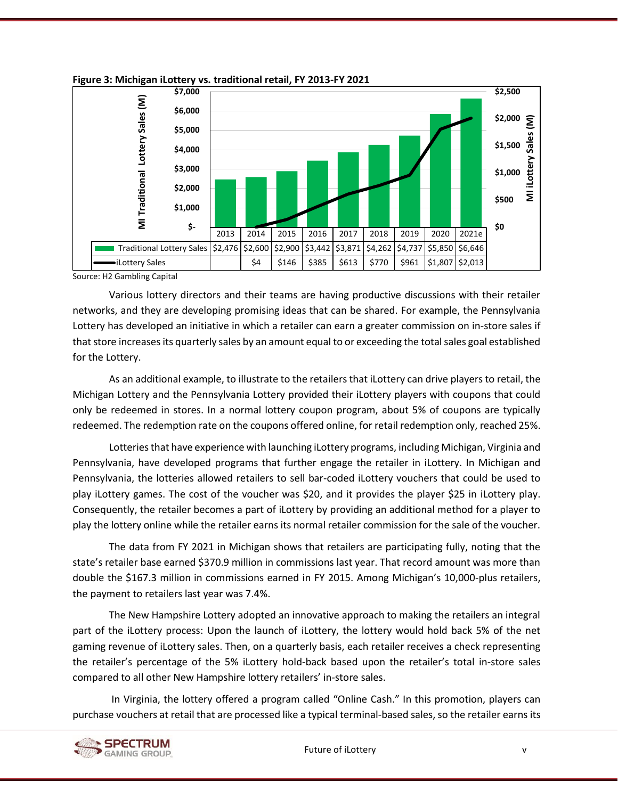

<span id="page-4-0"></span>

Source: H2 Gambling Capital

Various lottery directors and their teams are having productive discussions with their retailer networks, and they are developing promising ideas that can be shared. For example, the Pennsylvania Lottery has developed an initiative in which a retailer can earn a greater commission on in-store sales if that store increases its quarterly sales by an amount equal to or exceeding the total sales goal established for the Lottery.

As an additional example, to illustrate to the retailers that iLottery can drive players to retail, the Michigan Lottery and the Pennsylvania Lottery provided their iLottery players with coupons that could only be redeemed in stores. In a normal lottery coupon program, about 5% of coupons are typically redeemed. The redemption rate on the coupons offered online, for retail redemption only, reached 25%.

Lotteries that have experience with launching iLottery programs, including Michigan, Virginia and Pennsylvania, have developed programs that further engage the retailer in iLottery. In Michigan and Pennsylvania, the lotteries allowed retailers to sell bar-coded iLottery vouchers that could be used to play iLottery games. The cost of the voucher was \$20, and it provides the player \$25 in iLottery play. Consequently, the retailer becomes a part of iLottery by providing an additional method for a player to play the lottery online while the retailer earns its normal retailer commission for the sale of the voucher.

The data from FY 2021 in Michigan shows that retailers are participating fully, noting that the state's retailer base earned \$370.9 million in commissions last year. That record amount was more than double the \$167.3 million in commissions earned in FY 2015. Among Michigan's 10,000-plus retailers, the payment to retailers last year was 7.4%.

The New Hampshire Lottery adopted an innovative approach to making the retailers an integral part of the iLottery process: Upon the launch of iLottery, the lottery would hold back 5% of the net gaming revenue of iLottery sales. Then, on a quarterly basis, each retailer receives a check representing the retailer's percentage of the 5% iLottery hold-back based upon the retailer's total in-store sales compared to all other New Hampshire lottery retailers' in-store sales.

In Virginia, the lottery offered a program called "Online Cash." In this promotion, players can purchase vouchers at retail that are processed like a typical terminal-based sales, so the retailer earns its

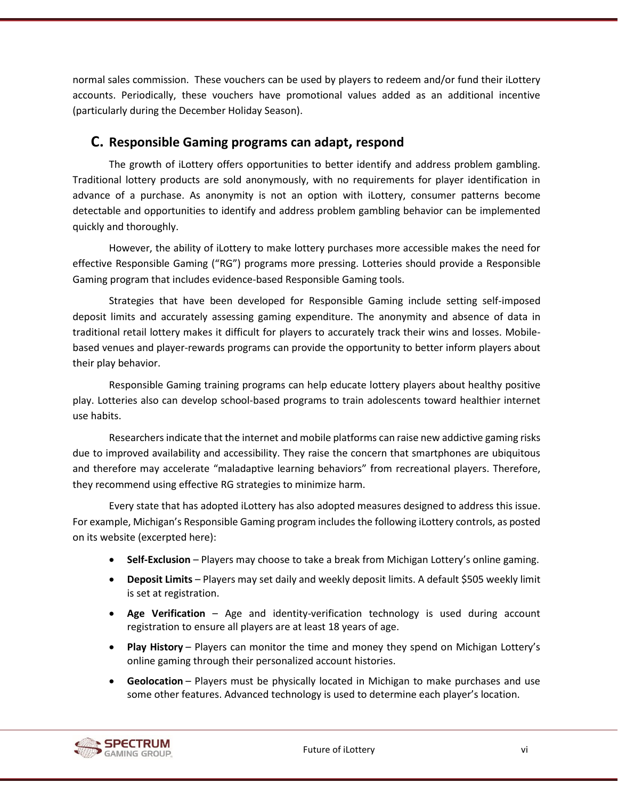normal sales commission. These vouchers can be used by players to redeem and/or fund their iLottery accounts. Periodically, these vouchers have promotional values added as an additional incentive (particularly during the December Holiday Season).

### <span id="page-5-0"></span>**C. Responsible Gaming programs can adapt, respond**

The growth of iLottery offers opportunities to better identify and address problem gambling. Traditional lottery products are sold anonymously, with no requirements for player identification in advance of a purchase. As anonymity is not an option with iLottery, consumer patterns become detectable and opportunities to identify and address problem gambling behavior can be implemented quickly and thoroughly.

However, the ability of iLottery to make lottery purchases more accessible makes the need for effective Responsible Gaming ("RG") programs more pressing. Lotteries should provide a Responsible Gaming program that includes evidence-based Responsible Gaming tools.

Strategies that have been developed for Responsible Gaming include setting self-imposed deposit limits and accurately assessing gaming expenditure. The anonymity and absence of data in traditional retail lottery makes it difficult for players to accurately track their wins and losses. Mobilebased venues and player-rewards programs can provide the opportunity to better inform players about their play behavior.

Responsible Gaming training programs can help educate lottery players about healthy positive play. Lotteries also can develop school-based programs to train adolescents toward healthier internet use habits.

Researchers indicate that the internet and mobile platforms can raise new addictive gaming risks due to improved availability and accessibility. They raise the concern that smartphones are ubiquitous and therefore may accelerate "maladaptive learning behaviors" from recreational players. Therefore, they recommend using effective RG strategies to minimize harm.

Every state that has adopted iLottery has also adopted measures designed to address this issue. For example, Michigan's Responsible Gaming program includes the following iLottery controls, as posted on its website (excerpted here):

- **[Self-Exclusion](https://www.michiganlottery.com/responsible-gaming?neodl=SelfExclusion)** Players may choose to take a break from Michigan Lottery's online gaming.
- **[Deposit Limits](https://www.michiganlottery.com/responsible-gaming?neodl=DepositLimit)** Players may set daily and weekly deposit limits. A default \$505 weekly limit is set at registration.
- **Age Verification** Age and identity-verification technology is used during account registration to ensure all players are at least 18 years of age.
- **[Play History](https://www.michiganlottery.com/responsible-gaming?neodl=GamesHistory)** Players can monitor the time and money they spend on Michigan Lottery's online gaming through their personalized account histories.
- **Geolocation** Players must be physically located in Michigan to make purchases and use some other features. Advanced technology is used to determine each player's location.

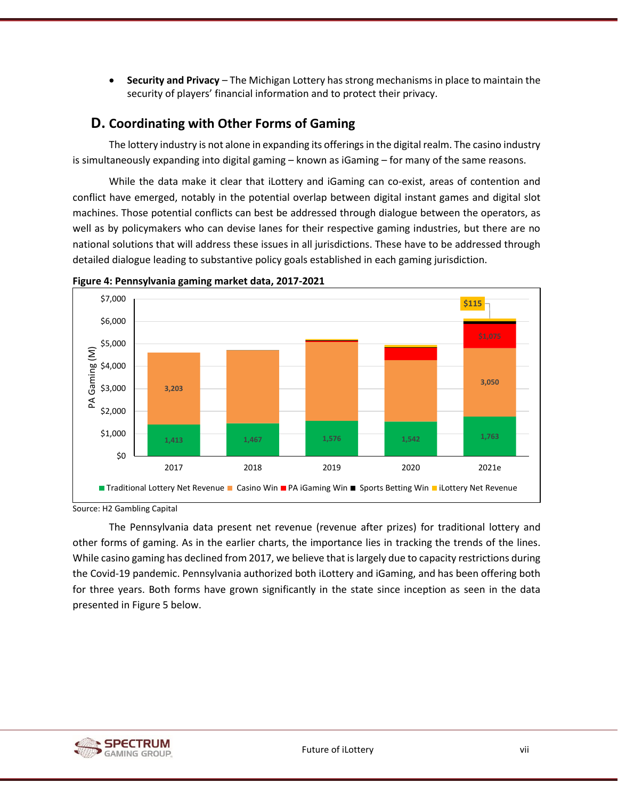• **Security and Privacy** – The Michigan Lottery has strong mechanisms in place to maintain the security of players' financial information and to protect their privacy.

# <span id="page-6-0"></span>**D. Coordinating with Other Forms of Gaming**

The lottery industry is not alone in expanding its offerings in the digital realm. The casino industry is simultaneously expanding into digital gaming – known as iGaming – for many of the same reasons.

While the data make it clear that iLottery and iGaming can co-exist, areas of contention and conflict have emerged, notably in the potential overlap between digital instant games and digital slot machines. Those potential conflicts can best be addressed through dialogue between the operators, as well as by policymakers who can devise lanes for their respective gaming industries, but there are no national solutions that will address these issues in all jurisdictions. These have to be addressed through detailed dialogue leading to substantive policy goals established in each gaming jurisdiction.



<span id="page-6-1"></span>**Figure 4: Pennsylvania gaming market data, 2017-2021**

The Pennsylvania data present net revenue (revenue after prizes) for traditional lottery and other forms of gaming. As in the earlier charts, the importance lies in tracking the trends of the lines. While casino gaming has declined from 2017, we believe that is largely due to capacity restrictions during the Covid-19 pandemic. Pennsylvania authorized both iLottery and iGaming, and has been offering both for three years. Both forms have grown significantly in the state since inception as seen in the data presented in [Figure 5](#page-7-0) below.



Source: H2 Gambling Capital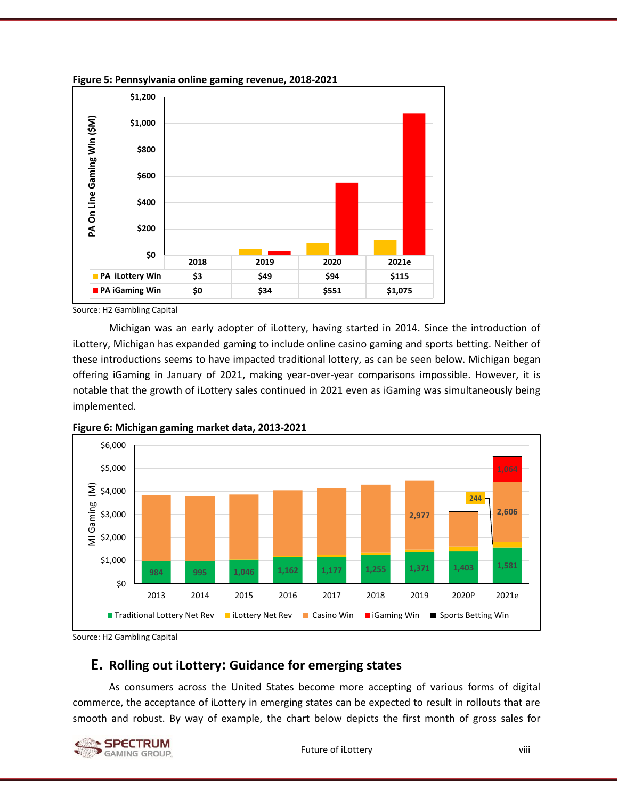

<span id="page-7-0"></span>**Figure 5: Pennsylvania online gaming revenue, 2018-2021**

Source: H2 Gambling Capital

Michigan was an early adopter of iLottery, having started in 2014. Since the introduction of iLottery, Michigan has expanded gaming to include online casino gaming and sports betting. Neither of these introductions seems to have impacted traditional lottery, as can be seen below. Michigan began offering iGaming in January of 2021, making year-over-year comparisons impossible. However, it is notable that the growth of iLottery sales continued in 2021 even as iGaming was simultaneously being implemented.



<span id="page-7-2"></span>**Figure 6: Michigan gaming market data, 2013-2021**

<span id="page-7-1"></span>Source: H2 Gambling Capital

## **E. Rolling out iLottery: Guidance for emerging states**

As consumers across the United States become more accepting of various forms of digital commerce, the acceptance of iLottery in emerging states can be expected to result in rollouts that are smooth and robust. By way of example, the chart below depicts the first month of gross sales for

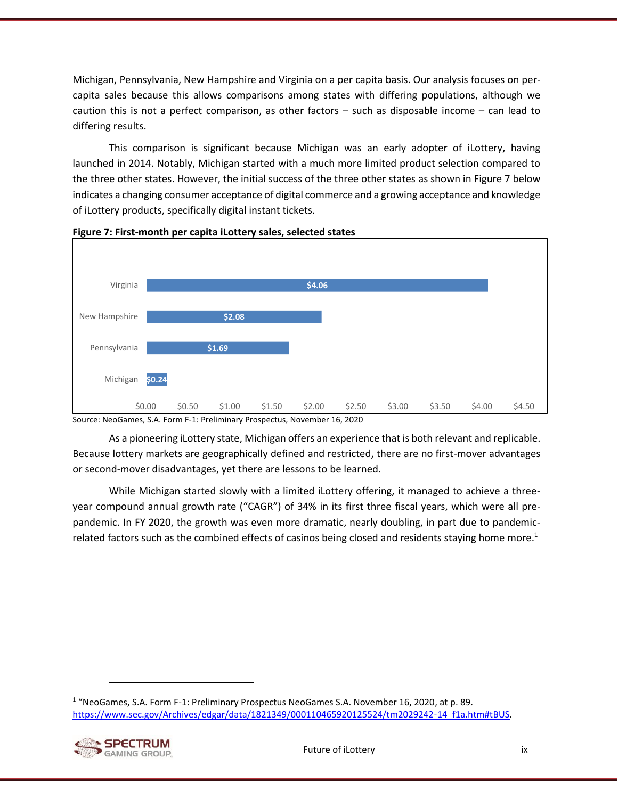Michigan, Pennsylvania, New Hampshire and Virginia on a per capita basis. Our analysis focuses on percapita sales because this allows comparisons among states with differing populations, although we caution this is not a perfect comparison, as other factors – such as disposable income – can lead to differing results.

This comparison is significant because Michigan was an early adopter of iLottery, having launched in 2014. Notably, Michigan started with a much more limited product selection compared to the three other states. However, the initial success of the three other states as shown i[n Figure 7](#page-8-0) below indicates a changing consumer acceptance of digital commerce and a growing acceptance and knowledge of iLottery products, specifically digital instant tickets.



<span id="page-8-0"></span>

Source: NeoGames, S.A. Form F-1: Preliminary Prospectus, November 16, 2020

As a pioneering iLottery state, Michigan offers an experience that is both relevant and replicable. Because lottery markets are geographically defined and restricted, there are no first-mover advantages or second-mover disadvantages, yet there are lessons to be learned.

While Michigan started slowly with a limited iLottery offering, it managed to achieve a threeyear compound annual growth rate ("CAGR") of 34% in its first three fiscal years, which were all prepandemic. In FY 2020, the growth was even more dramatic, nearly doubling, in part due to pandemicrelated factors such as the combined effects of casinos being closed and residents staying home more.<sup>1</sup>

<sup>&</sup>lt;sup>1</sup> "NeoGames, S.A. Form F-1: Preliminary Prospectus NeoGames S.A. November 16, 2020, at p. 89. [https://www.sec.gov/Archives/edgar/data/1821349/000110465920125524/tm2029242-14\\_f1a.htm#tBUS.](https://www.sec.gov/Archives/edgar/data/1821349/000110465920125524/tm2029242-14_f1a.htm#tBUS)

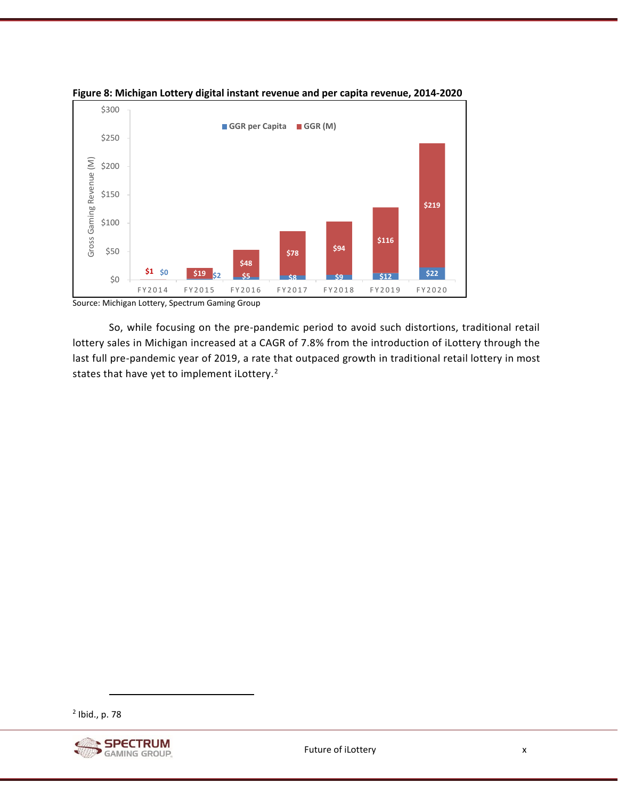

<span id="page-9-0"></span>

Source: Michigan Lottery, Spectrum Gaming Group

So, while focusing on the pre-pandemic period to avoid such distortions, traditional retail lottery sales in Michigan increased at a CAGR of 7.8% from the introduction of iLottery through the last full pre-pandemic year of 2019, a rate that outpaced growth in traditional retail lottery in most states that have yet to implement iLottery.<sup>2</sup>

<sup>2</sup> Ibid., p. 78

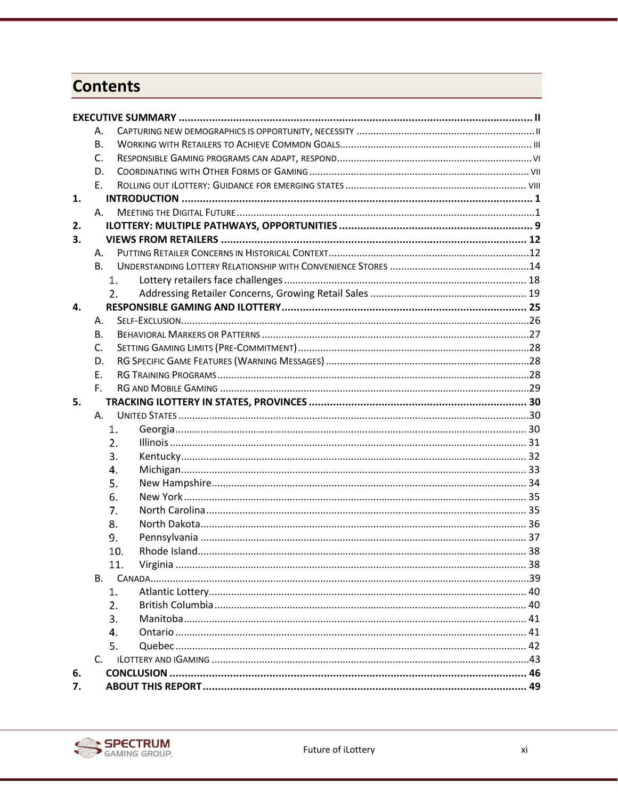# **Contents**

|    | А.             |     |  |
|----|----------------|-----|--|
|    | <b>B.</b>      |     |  |
|    | C.             |     |  |
|    | D.             |     |  |
|    | E.             |     |  |
| 1. |                |     |  |
|    | A.             |     |  |
| 2. |                |     |  |
| 3. |                |     |  |
|    | Α.             |     |  |
|    | <b>B.</b>      |     |  |
|    |                | 1.  |  |
|    |                | 2.  |  |
| 4. |                |     |  |
|    | А.             |     |  |
|    | <b>B.</b>      |     |  |
|    | $\mathsf{C}$ . |     |  |
|    | D.             |     |  |
|    | E.             |     |  |
|    | $F_{\perp}$    |     |  |
| 5. |                |     |  |
|    | Α.             |     |  |
|    |                | 1.  |  |
|    |                | 2.  |  |
|    |                | 3.  |  |
|    |                | 4.  |  |
|    |                | 5.  |  |
|    |                | 6.  |  |
|    |                | 7.  |  |
|    |                | 8.  |  |
|    |                | 9.  |  |
|    |                | 10. |  |
|    |                | 11. |  |
|    | В.             |     |  |
|    |                | 1.  |  |
|    |                | 2.  |  |
|    |                | 3.  |  |
|    |                | 4.  |  |
|    |                | 5.  |  |
|    | $C_{\cdot}$    |     |  |
| 6. |                |     |  |
| 7. |                |     |  |

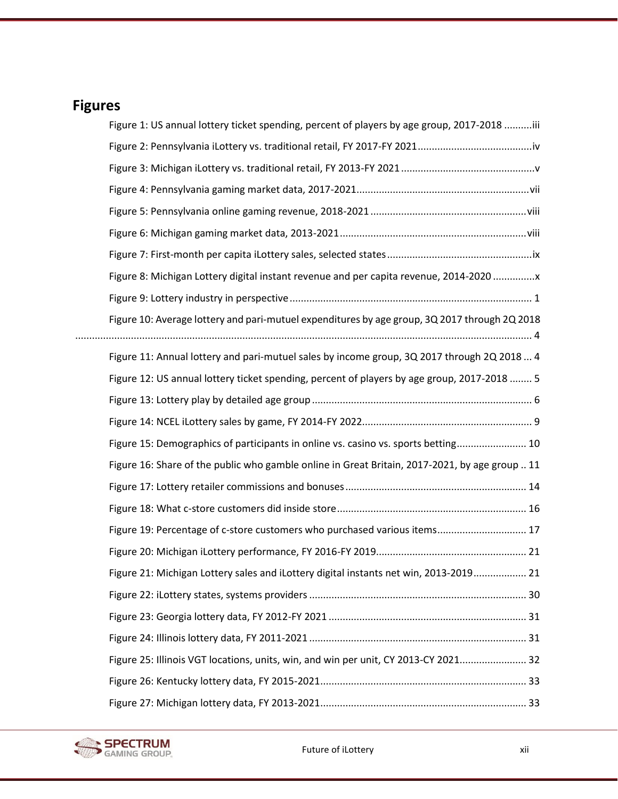# **Figures**

| Figure 1: US annual lottery ticket spending, percent of players by age group, 2017-2018 iii    |  |
|------------------------------------------------------------------------------------------------|--|
|                                                                                                |  |
|                                                                                                |  |
|                                                                                                |  |
|                                                                                                |  |
|                                                                                                |  |
|                                                                                                |  |
| Figure 8: Michigan Lottery digital instant revenue and per capita revenue, 2014-2020           |  |
|                                                                                                |  |
| Figure 10: Average lottery and pari-mutuel expenditures by age group, 3Q 2017 through 2Q 2018  |  |
| Figure 11: Annual lottery and pari-mutuel sales by income group, 3Q 2017 through 2Q 2018 4     |  |
| Figure 12: US annual lottery ticket spending, percent of players by age group, 2017-2018  5    |  |
|                                                                                                |  |
|                                                                                                |  |
| Figure 15: Demographics of participants in online vs. casino vs. sports betting 10             |  |
| Figure 16: Share of the public who gamble online in Great Britain, 2017-2021, by age group  11 |  |
|                                                                                                |  |
|                                                                                                |  |
| Figure 19: Percentage of c-store customers who purchased various items 17                      |  |
|                                                                                                |  |
| Figure 21: Michigan Lottery sales and iLottery digital instants net win, 2013-2019 21          |  |
|                                                                                                |  |
|                                                                                                |  |
|                                                                                                |  |
| Figure 25: Illinois VGT locations, units, win, and win per unit, CY 2013-CY 2021 32            |  |
|                                                                                                |  |
|                                                                                                |  |

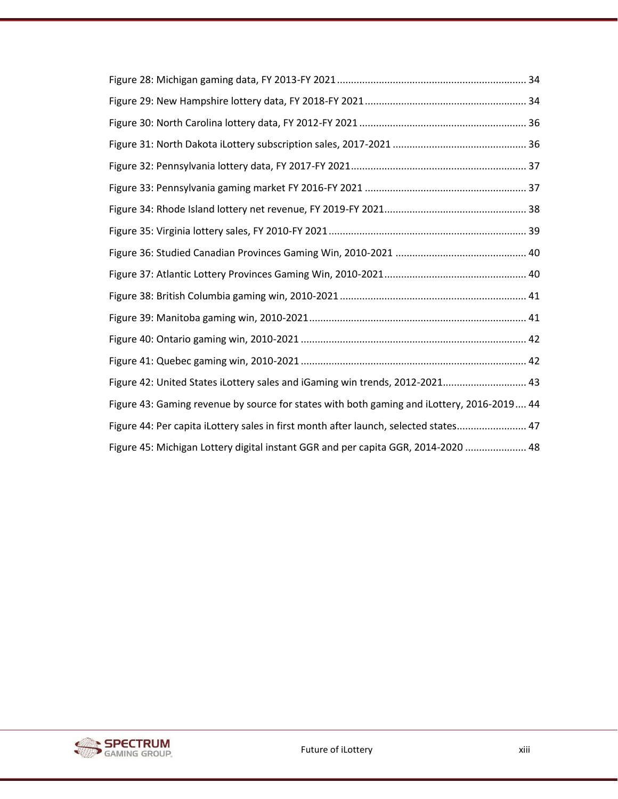| Figure 42: United States iLottery sales and iGaming win trends, 2012-2021 43               |
|--------------------------------------------------------------------------------------------|
| Figure 43: Gaming revenue by source for states with both gaming and iLottery, 2016-2019 44 |
| Figure 44: Per capita iLottery sales in first month after launch, selected states 47       |
| Figure 45: Michigan Lottery digital instant GGR and per capita GGR, 2014-2020  48          |

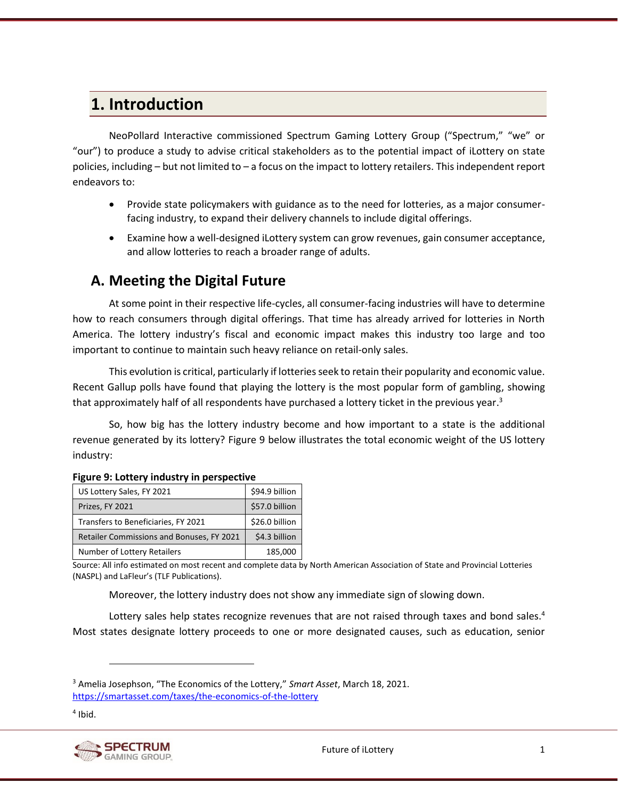# <span id="page-13-0"></span>**1. Introduction**

NeoPollard Interactive commissioned Spectrum Gaming Lottery Group ("Spectrum," "we" or "our") to produce a study to advise critical stakeholders as to the potential impact of iLottery on state policies, including – but not limited to – a focus on the impact to lottery retailers. This independent report endeavors to:

- Provide state policymakers with guidance as to the need for lotteries, as a major consumerfacing industry, to expand their delivery channels to include digital offerings.
- Examine how a well-designed iLottery system can grow revenues, gain consumer acceptance, and allow lotteries to reach a broader range of adults.

# <span id="page-13-1"></span>**A. Meeting the Digital Future**

At some point in their respective life-cycles, all consumer-facing industries will have to determine how to reach consumers through digital offerings. That time has already arrived for lotteries in North America. The lottery industry's fiscal and economic impact makes this industry too large and too important to continue to maintain such heavy reliance on retail-only sales.

This evolution is critical, particularly if lotteries seek to retain their popularity and economic value. Recent Gallup polls have found that playing the lottery is the most popular form of gambling, showing that approximately half of all respondents have purchased a lottery ticket in the previous year.<sup>3</sup>

So, how big has the lottery industry become and how important to a state is the additional revenue generated by its lottery? [Figure 9](#page-13-2) below illustrates the total economic weight of the US lottery industry:

| US Lottery Sales, FY 2021                        | \$94.9 billion |
|--------------------------------------------------|----------------|
| Prizes, FY 2021                                  | \$57.0 billion |
| Transfers to Beneficiaries, FY 2021              | \$26.0 billion |
| <b>Retailer Commissions and Bonuses, FY 2021</b> | \$4.3 billion  |
| Number of Lottery Retailers                      | 185,000        |

#### <span id="page-13-2"></span>**Figure 9: Lottery industry in perspective**

Source: All info estimated on most recent and complete data by North American Association of State and Provincial Lotteries (NASPL) and LaFleur's (TLF Publications).

Moreover, the lottery industry does not show any immediate sign of slowing down.

Lottery sales help states recognize revenues that are not raised through taxes and bond sales. $4$ Most states designate lottery proceeds to one or more designated causes, such as education, senior

<sup>4</sup> Ibid.



<sup>3</sup> Amelia Josephson, "The Economics of the Lottery," *Smart Asset*, March 18, 2021. <https://smartasset.com/taxes/the-economics-of-the-lottery>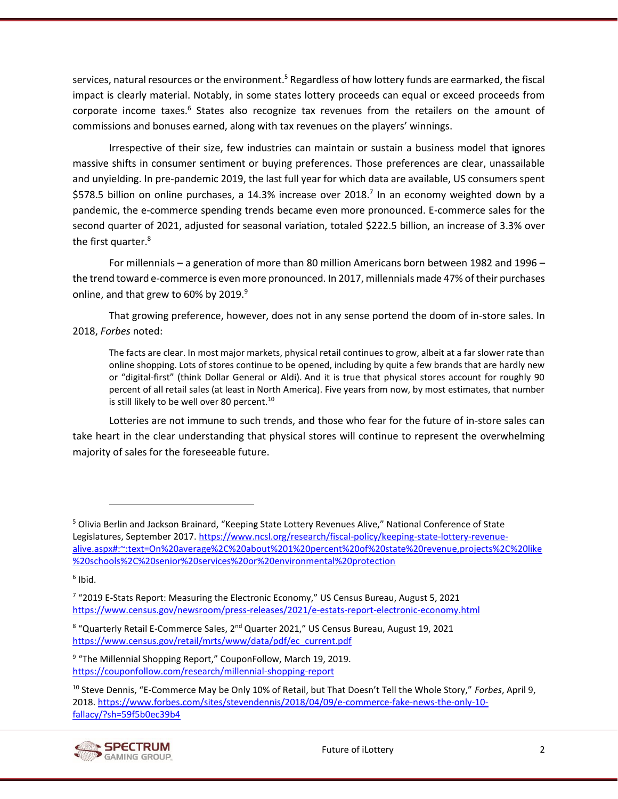services, natural resources or the environment.<sup>5</sup> Regardless of how lottery funds are earmarked, the fiscal impact is clearly material. Notably, in some states lottery proceeds can equal or exceed proceeds from corporate income taxes.<sup>6</sup> States also recognize tax revenues from the retailers on the amount of commissions and bonuses earned, along with tax revenues on the players' winnings.

Irrespective of their size, few industries can maintain or sustain a business model that ignores massive shifts in consumer sentiment or buying preferences. Those preferences are clear, unassailable and unyielding. In pre-pandemic 2019, the last full year for which data are available, US consumers spent \$578.5 billion on online purchases, a 14.3% increase over 2018.<sup>7</sup> In an economy weighted down by a pandemic, the e-commerce spending trends became even more pronounced. E-commerce sales for the second quarter of 2021, adjusted for seasonal variation, totaled \$222.5 billion, an increase of 3.3% over the first quarter.<sup>8</sup>

For millennials – a generation of more than 80 million Americans born between 1982 and 1996 – the trend toward e-commerce is even more pronounced. In 2017, millennials made 47% of their purchases online, and that grew to 60% by 2019.<sup>9</sup>

That growing preference, however, does not in any sense portend the doom of in-store sales. In 2018, *Forbes* noted:

The facts are clear. In most major markets, physical retail continues to grow, albeit at a far slower rate than online shopping. Lots of stores continue to be opened, including by quite a few brands that are hardly new or "digital-first" (think Dollar General or Aldi). And it is true that physical stores account for roughly 90 percent of all retail sales (at least in North America). Five years from now, by most estimates, that number is still likely to be well over 80 percent. $^{10}$ 

Lotteries are not immune to such trends, and those who fear for the future of in-store sales can take heart in the clear understanding that physical stores will continue to represent the overwhelming majority of sales for the foreseeable future.

<sup>10</sup> Steve Dennis, "E-Commerce May be Only 10% of Retail, but That Doesn't Tell the Whole Story," *Forbes*, April 9, 2018. [https://www.forbes.com/sites/stevendennis/2018/04/09/e-commerce-fake-news-the-only-10](https://www.forbes.com/sites/stevendennis/2018/04/09/e-commerce-fake-news-the-only-10-fallacy/?sh=59f5b0ec39b4) [fallacy/?sh=59f5b0ec39b4](https://www.forbes.com/sites/stevendennis/2018/04/09/e-commerce-fake-news-the-only-10-fallacy/?sh=59f5b0ec39b4)



<sup>5</sup> Olivia Berlin and Jackson Brainard, "Keeping State Lottery Revenues Alive," National Conference of State Legislatures, September 2017. [https://www.ncsl.org/research/fiscal-policy/keeping-state-lottery-revenue](https://www.ncsl.org/research/fiscal-policy/keeping-state-lottery-revenue-alive.aspx#:~:text=On%20average%2C%20about%201%20percent%20of%20state%20revenue,projects%2C%20like%20schools%2C%20senior%20services%20or%20environmental%20protection)[alive.aspx#:~:text=On%20average%2C%20about%201%20percent%20of%20state%20revenue,projects%2C%20like](https://www.ncsl.org/research/fiscal-policy/keeping-state-lottery-revenue-alive.aspx#:~:text=On%20average%2C%20about%201%20percent%20of%20state%20revenue,projects%2C%20like%20schools%2C%20senior%20services%20or%20environmental%20protection) [%20schools%2C%20senior%20services%20or%20environmental%20protection](https://www.ncsl.org/research/fiscal-policy/keeping-state-lottery-revenue-alive.aspx#:~:text=On%20average%2C%20about%201%20percent%20of%20state%20revenue,projects%2C%20like%20schools%2C%20senior%20services%20or%20environmental%20protection)

<sup>6</sup> Ibid.

<sup>&</sup>lt;sup>7</sup> "2019 E-Stats Report: Measuring the Electronic Economy," US Census Bureau, August 5, 2021 <https://www.census.gov/newsroom/press-releases/2021/e-estats-report-electronic-economy.html>

<sup>&</sup>lt;sup>8</sup> "Quarterly Retail E-Commerce Sales, 2<sup>nd</sup> Quarter 2021," US Census Bureau, August 19, 2021 [https://www.census.gov/retail/mrts/www/data/pdf/ec\\_current.pdf](https://www.census.gov/retail/mrts/www/data/pdf/ec_current.pdf)

<sup>&</sup>lt;sup>9</sup> "The Millennial Shopping Report," CouponFollow, March 19, 2019. <https://couponfollow.com/research/millennial-shopping-report>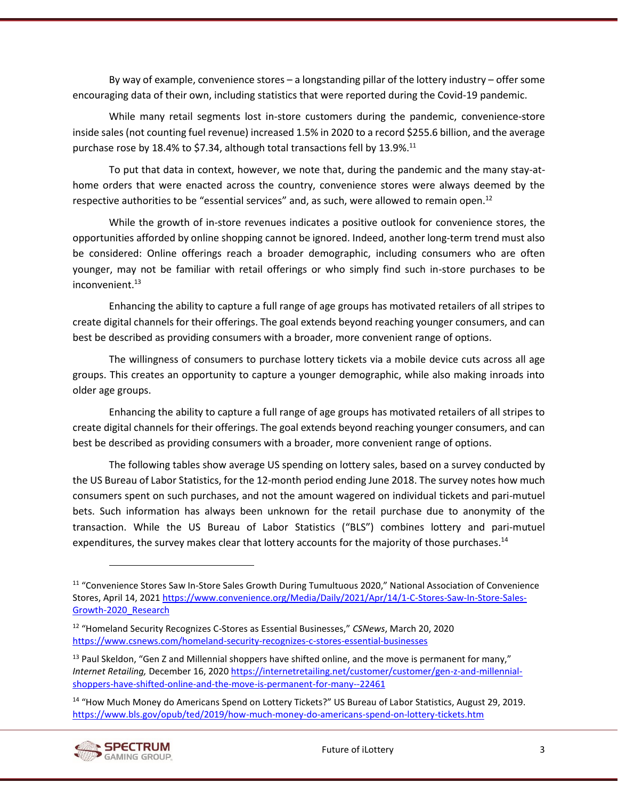By way of example, convenience stores – a longstanding pillar of the lottery industry – offer some encouraging data of their own, including statistics that were reported during the Covid-19 pandemic.

While many retail segments lost in-store customers during the pandemic, convenience-store inside sales (not counting fuel revenue) increased 1.5% in 2020 to a record \$255.6 billion, and the average purchase rose by 18.4% to \$7.34, although total transactions fell by 13.9%. $^{11}$ 

To put that data in context, however, we note that, during the pandemic and the many stay-athome orders that were enacted across the country, convenience stores were always deemed by the respective authorities to be "essential services" and, as such, were allowed to remain open.<sup>12</sup>

While the growth of in-store revenues indicates a positive outlook for convenience stores, the opportunities afforded by online shopping cannot be ignored. Indeed, another long-term trend must also be considered: Online offerings reach a broader demographic, including consumers who are often younger, may not be familiar with retail offerings or who simply find such in-store purchases to be  $inconvenient.<sup>13</sup>$ 

Enhancing the ability to capture a full range of age groups has motivated retailers of all stripes to create digital channels for their offerings. The goal extends beyond reaching younger consumers, and can best be described as providing consumers with a broader, more convenient range of options.

The willingness of consumers to purchase lottery tickets via a mobile device cuts across all age groups. This creates an opportunity to capture a younger demographic, while also making inroads into older age groups.

Enhancing the ability to capture a full range of age groups has motivated retailers of all stripes to create digital channels for their offerings. The goal extends beyond reaching younger consumers, and can best be described as providing consumers with a broader, more convenient range of options.

The following tables show average US spending on lottery sales, based on a survey conducted by the US Bureau of Labor Statistics, for the 12-month period ending June 2018. The survey notes how much consumers spent on such purchases, and not the amount wagered on individual tickets and pari-mutuel bets. Such information has always been unknown for the retail purchase due to anonymity of the transaction. While the US Bureau of Labor Statistics ("BLS") combines lottery and pari-mutuel expenditures, the survey makes clear that lottery accounts for the majority of those purchases.<sup>14</sup>

<sup>&</sup>lt;sup>14</sup> "How Much Money do Americans Spend on Lottery Tickets?" US Bureau of Labor Statistics, August 29, 2019. <https://www.bls.gov/opub/ted/2019/how-much-money-do-americans-spend-on-lottery-tickets.htm>



<sup>11</sup> "Convenience Stores Saw In-Store Sales Growth During Tumultuous 2020," National Association of Convenience Stores, April 14, 2021 [https://www.convenience.org/Media/Daily/2021/Apr/14/1-C-Stores-Saw-In-Store-Sales-](https://www.convenience.org/Media/Daily/2021/Apr/14/1-C-Stores-Saw-In-Store-Sales-Growth-2020_Research)[Growth-2020\\_Research](https://www.convenience.org/Media/Daily/2021/Apr/14/1-C-Stores-Saw-In-Store-Sales-Growth-2020_Research)

<sup>12</sup> "Homeland Security Recognizes C-Stores as Essential Businesses," *CSNews*, March 20, 2020 <https://www.csnews.com/homeland-security-recognizes-c-stores-essential-businesses>

 $13$  Paul Skeldon, "Gen Z and Millennial shoppers have shifted online, and the move is permanent for many," *Internet Retailing,* December 16, 2020 [https://internetretailing.net/customer/customer/gen-z-and-millennial](https://internetretailing.net/customer/customer/gen-z-and-millennial-shoppers-have-shifted-online-and-the-move-is-permanent-for-many--22461)[shoppers-have-shifted-online-and-the-move-is-permanent-for-many--22461](https://internetretailing.net/customer/customer/gen-z-and-millennial-shoppers-have-shifted-online-and-the-move-is-permanent-for-many--22461)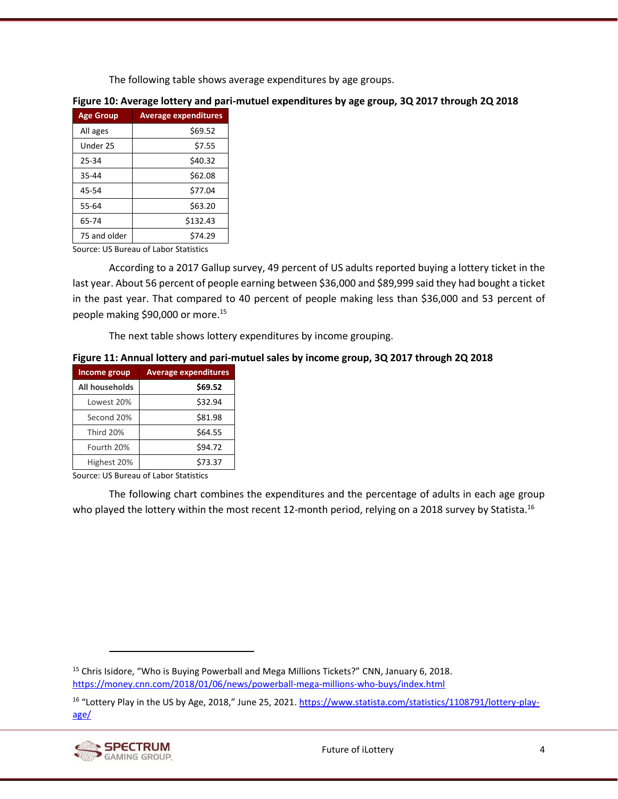The following table shows average expenditures by age groups.

| <b>Age Group</b> | <b>Average expenditures</b> |
|------------------|-----------------------------|
| All ages         | \$69.52                     |
| Under 25         | \$7.55                      |
| 25-34            | \$40.32                     |
| 35-44            | \$62.08                     |
| 45-54            | \$77.04                     |
| 55-64            | \$63.20                     |
| 65-74            | \$132.43                    |
| 75 and older     | \$74.29                     |

#### <span id="page-16-0"></span>**Figure 10: Average lottery and pari-mutuel expenditures by age group, 3Q 2017 through 2Q 2018**

Source: US Bureau of Labor Statistics

According to a 2017 Gallup survey, 49 percent of US adults reported buying a lottery ticket in the last year. About 56 percent of people earning between \$36,000 and \$89,999 said they had bought a ticket in the past year. That compared to 40 percent of people making less than \$36,000 and 53 percent of people making \$90,000 or more.<sup>15</sup>

The next table shows lottery expenditures by income grouping.

#### <span id="page-16-1"></span>**Figure 11: Annual lottery and pari-mutuel sales by income group, 3Q 2017 through 2Q 2018**

| Income group   | <b>Average expenditures</b> |
|----------------|-----------------------------|
| All households | \$69.52                     |
| Lowest 20%     | \$32.94                     |
| Second 20%     | \$81.98                     |
| Third 20%      | \$64.55                     |
| Fourth 20%     | \$94.72                     |
| Highest 20%    | \$73.37                     |

Source: US Bureau of Labor Statistics

The following chart combines the expenditures and the percentage of adults in each age group who played the lottery within the most recent 12-month period, relying on a 2018 survey by Statista.<sup>16</sup>

<sup>&</sup>lt;sup>16</sup> "Lottery Play in the US by Age, 2018," June 25, 2021. [https://www.statista.com/statistics/1108791/lottery-play](https://www.statista.com/statistics/1108791/lottery-play-age/)[age/](https://www.statista.com/statistics/1108791/lottery-play-age/)



<sup>&</sup>lt;sup>15</sup> Chris Isidore, "Who is Buying Powerball and Mega Millions Tickets?" CNN, January 6, 2018. <https://money.cnn.com/2018/01/06/news/powerball-mega-millions-who-buys/index.html>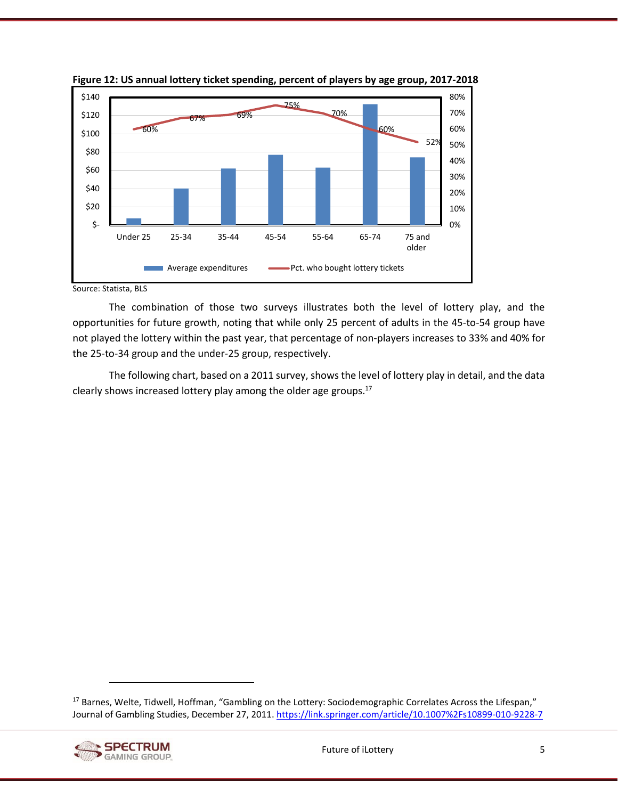

<span id="page-17-0"></span>**Figure 12: US annual lottery ticket spending, percent of players by age group, 2017-2018**

Source: Statista, BLS

The combination of those two surveys illustrates both the level of lottery play, and the opportunities for future growth, noting that while only 25 percent of adults in the 45-to-54 group have not played the lottery within the past year, that percentage of non-players increases to 33% and 40% for the 25-to-34 group and the under-25 group, respectively.

The following chart, based on a 2011 survey, shows the level of lottery play in detail, and the data clearly shows increased lottery play among the older age groups.<sup>17</sup>

<sup>17</sup> Barnes, Welte, Tidwell, Hoffman, "Gambling on the Lottery: Sociodemographic Correlates Across the Lifespan," Journal of Gambling Studies, December 27, 2011. <https://link.springer.com/article/10.1007%2Fs10899-010-9228-7>

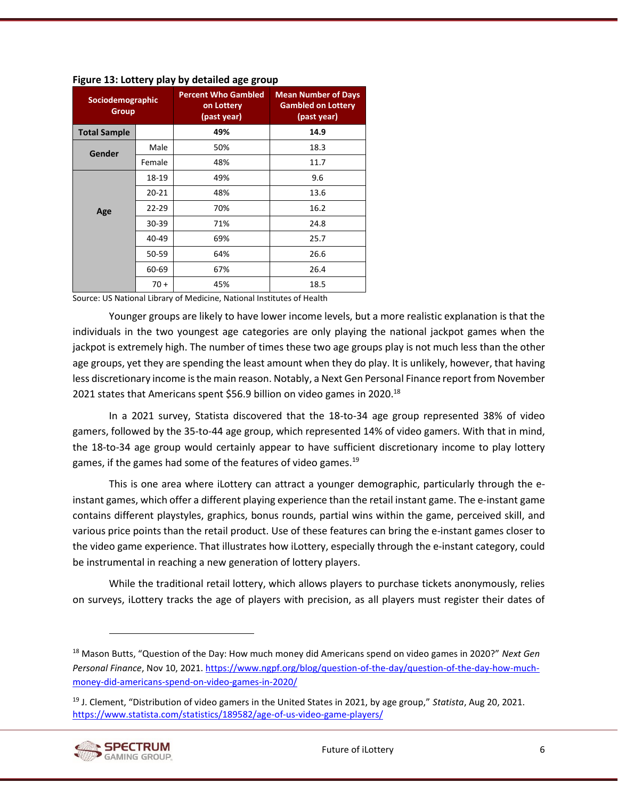| Sociodemographic<br><b>Group</b> |           | <b>Percent Who Gambled</b><br>on Lottery<br>(past year) | <b>Mean Number of Days</b><br><b>Gambled on Lottery</b><br>(past year) |
|----------------------------------|-----------|---------------------------------------------------------|------------------------------------------------------------------------|
| <b>Total Sample</b>              |           | 49%                                                     | 14.9                                                                   |
| Gender                           | Male      | 50%                                                     | 18.3                                                                   |
|                                  | Female    | 48%                                                     | 11.7                                                                   |
|                                  | 18-19     | 49%                                                     | 9.6                                                                    |
|                                  | $20 - 21$ | 48%                                                     | 13.6                                                                   |
| Age                              | $22 - 29$ | 70%                                                     | 16.2                                                                   |
|                                  | 30-39     | 71%                                                     | 24.8                                                                   |
|                                  | 40-49     | 69%                                                     | 25.7                                                                   |
|                                  | 50-59     | 64%                                                     | 26.6                                                                   |
|                                  | 60-69     | 67%                                                     | 26.4                                                                   |
|                                  | $70 +$    | 45%                                                     | 18.5                                                                   |

<span id="page-18-0"></span>**Figure 13: Lottery play by detailed age group**

Source: US National Library of Medicine, National Institutes of Health

Younger groups are likely to have lower income levels, but a more realistic explanation is that the individuals in the two youngest age categories are only playing the national jackpot games when the jackpot is extremely high. The number of times these two age groups play is not much less than the other age groups, yet they are spending the least amount when they do play. It is unlikely, however, that having less discretionary income is the main reason. Notably, a Next Gen Personal Finance report from November 2021 states that Americans spent \$56.9 billion on video games in 2020.<sup>18</sup>

In a 2021 survey, Statista discovered that the 18-to-34 age group represented 38% of video gamers, followed by the 35-to-44 age group, which represented 14% of video gamers. With that in mind, the 18-to-34 age group would certainly appear to have sufficient discretionary income to play lottery games, if the games had some of the features of video games.<sup>19</sup>

This is one area where iLottery can attract a younger demographic, particularly through the einstant games, which offer a different playing experience than the retail instant game. The e-instant game contains different playstyles, graphics, bonus rounds, partial wins within the game, perceived skill, and various price points than the retail product. Use of these features can bring the e-instant games closer to the video game experience. That illustrates how iLottery, especially through the e-instant category, could be instrumental in reaching a new generation of lottery players.

While the traditional retail lottery, which allows players to purchase tickets anonymously, relies on surveys, iLottery tracks the age of players with precision, as all players must register their dates of

<sup>19</sup> J. Clement, "Distribution of video gamers in the United States in 2021, by age group," *Statista*, Aug 20, 2021. <https://www.statista.com/statistics/189582/age-of-us-video-game-players/>



<sup>18</sup> Mason Butts, "Question of the Day: How much money did Americans spend on video games in 2020?" *Next Gen Personal Finance*, Nov 10, 2021. [https://www.ngpf.org/blog/question-of-the-day/question-of-the-day-how-much](https://www.ngpf.org/blog/question-of-the-day/question-of-the-day-how-much-money-did-americans-spend-on-video-games-in-2020/)[money-did-americans-spend-on-video-games-in-2020/](https://www.ngpf.org/blog/question-of-the-day/question-of-the-day-how-much-money-did-americans-spend-on-video-games-in-2020/)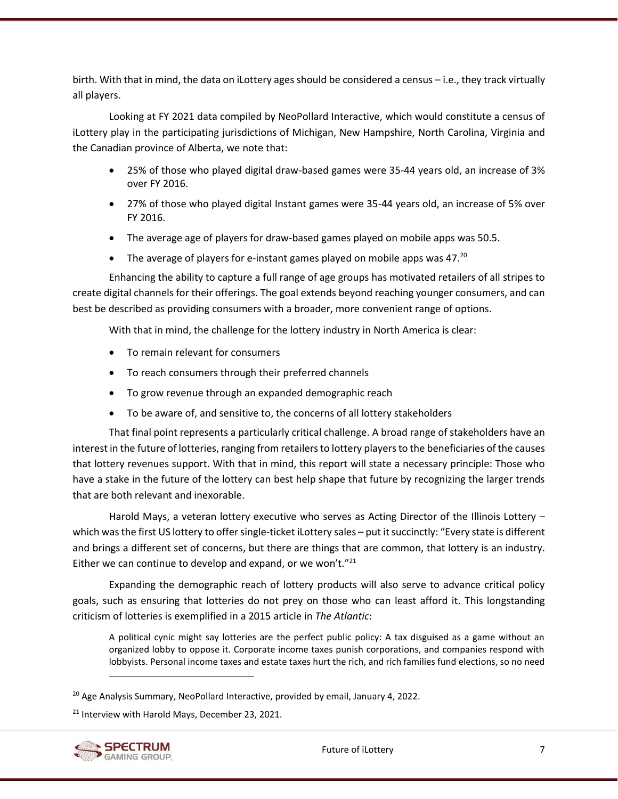birth. With that in mind, the data on iLottery ages should be considered a census – i.e., they track virtually all players.

Looking at FY 2021 data compiled by NeoPollard Interactive, which would constitute a census of iLottery play in the participating jurisdictions of Michigan, New Hampshire, North Carolina, Virginia and the Canadian province of Alberta, we note that:

- 25% of those who played digital draw-based games were 35-44 years old, an increase of 3% over FY 2016.
- 27% of those who played digital Instant games were 35-44 years old, an increase of 5% over FY 2016.
- The average age of players for draw-based games played on mobile apps was 50.5.
- The average of players for e-instant games played on mobile apps was 47.<sup>20</sup>

Enhancing the ability to capture a full range of age groups has motivated retailers of all stripes to create digital channels for their offerings. The goal extends beyond reaching younger consumers, and can best be described as providing consumers with a broader, more convenient range of options.

With that in mind, the challenge for the lottery industry in North America is clear:

- To remain relevant for consumers
- To reach consumers through their preferred channels
- To grow revenue through an expanded demographic reach
- To be aware of, and sensitive to, the concerns of all lottery stakeholders

That final point represents a particularly critical challenge. A broad range of stakeholders have an interest in the future of lotteries, ranging from retailers to lottery players to the beneficiaries of the causes that lottery revenues support. With that in mind, this report will state a necessary principle: Those who have a stake in the future of the lottery can best help shape that future by recognizing the larger trends that are both relevant and inexorable.

Harold Mays, a veteran lottery executive who serves as Acting Director of the Illinois Lottery which was the first US lottery to offer single-ticket iLottery sales – put it succinctly: "Every state is different and brings a different set of concerns, but there are things that are common, that lottery is an industry. Either we can continue to develop and expand, or we won't." $^{21}$ 

Expanding the demographic reach of lottery products will also serve to advance critical policy goals, such as ensuring that lotteries do not prey on those who can least afford it. This longstanding criticism of lotteries is exemplified in a 2015 article in *The Atlantic*:

A political cynic might say lotteries are the perfect public policy: A tax disguised as a game without an organized lobby to oppose it. Corporate income taxes punish corporations, and companies respond with lobbyists. Personal income taxes and estate taxes hurt the rich, and rich families fund elections, so no need

<sup>&</sup>lt;sup>21</sup> Interview with Harold Mays, December 23, 2021.



<sup>&</sup>lt;sup>20</sup> Age Analysis Summary, NeoPollard Interactive, provided by email, January 4, 2022.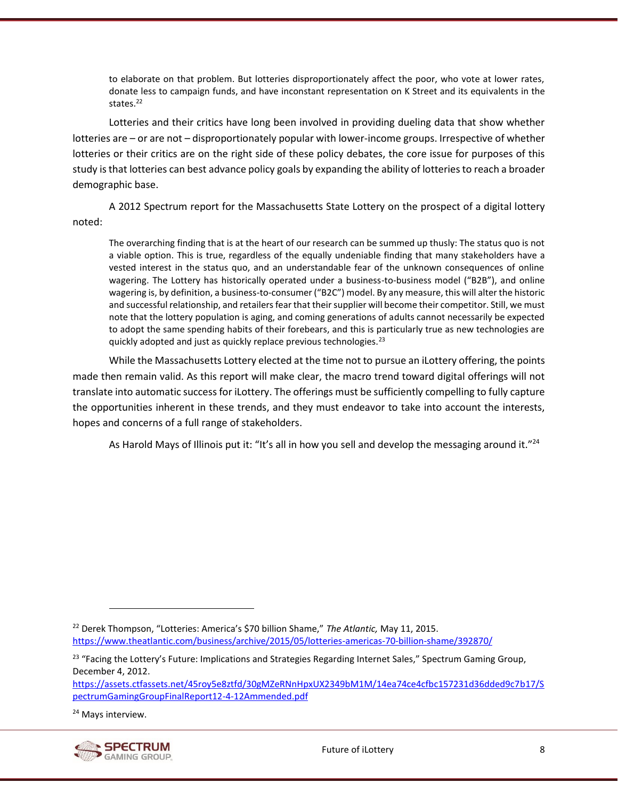to elaborate on that problem. But lotteries disproportionately affect the poor, who vote at lower rates, donate less to campaign funds, and have inconstant representation on K Street and its equivalents in the states $22$ 

Lotteries and their critics have long been involved in providing dueling data that show whether lotteries are – or are not – disproportionately popular with lower-income groups. Irrespective of whether lotteries or their critics are on the right side of these policy debates, the core issue for purposes of this study is that lotteries can best advance policy goals by expanding the ability of lotteries to reach a broader demographic base.

A 2012 Spectrum report for the Massachusetts State Lottery on the prospect of a digital lottery noted:

The overarching finding that is at the heart of our research can be summed up thusly: The status quo is not a viable option. This is true, regardless of the equally undeniable finding that many stakeholders have a vested interest in the status quo, and an understandable fear of the unknown consequences of online wagering. The Lottery has historically operated under a business-to-business model ("B2B"), and online wagering is, by definition, a business-to-consumer ("B2C") model. By any measure, this will alter the historic and successful relationship, and retailers fear that their supplier will become their competitor. Still, we must note that the lottery population is aging, and coming generations of adults cannot necessarily be expected to adopt the same spending habits of their forebears, and this is particularly true as new technologies are quickly adopted and just as quickly replace previous technologies.<sup>23</sup>

While the Massachusetts Lottery elected at the time not to pursue an iLottery offering, the points made then remain valid. As this report will make clear, the macro trend toward digital offerings will not translate into automatic success for iLottery. The offerings must be sufficiently compelling to fully capture the opportunities inherent in these trends, and they must endeavor to take into account the interests, hopes and concerns of a full range of stakeholders.

As Harold Mays of Illinois put it: "It's all in how you sell and develop the messaging around it."<sup>24</sup>

<sup>&</sup>lt;sup>24</sup> Mays interview.



<sup>22</sup> Derek Thompson, "Lotteries: America's \$70 billion Shame," *The Atlantic,* May 11, 2015. <https://www.theatlantic.com/business/archive/2015/05/lotteries-americas-70-billion-shame/392870/>

<sup>&</sup>lt;sup>23</sup> "Facing the Lottery's Future: Implications and Strategies Regarding Internet Sales," Spectrum Gaming Group, December 4, 2012.

[https://assets.ctfassets.net/45roy5e8ztfd/30gMZeRNnHpxUX2349bM1M/14ea74ce4cfbc157231d36dded9c7b17/S](https://assets.ctfassets.net/45roy5e8ztfd/30gMZeRNnHpxUX2349bM1M/14ea74ce4cfbc157231d36dded9c7b17/SpectrumGamingGroupFinalReport12-4-12Ammended.pdf) [pectrumGamingGroupFinalReport12-4-12Ammended.pdf](https://assets.ctfassets.net/45roy5e8ztfd/30gMZeRNnHpxUX2349bM1M/14ea74ce4cfbc157231d36dded9c7b17/SpectrumGamingGroupFinalReport12-4-12Ammended.pdf)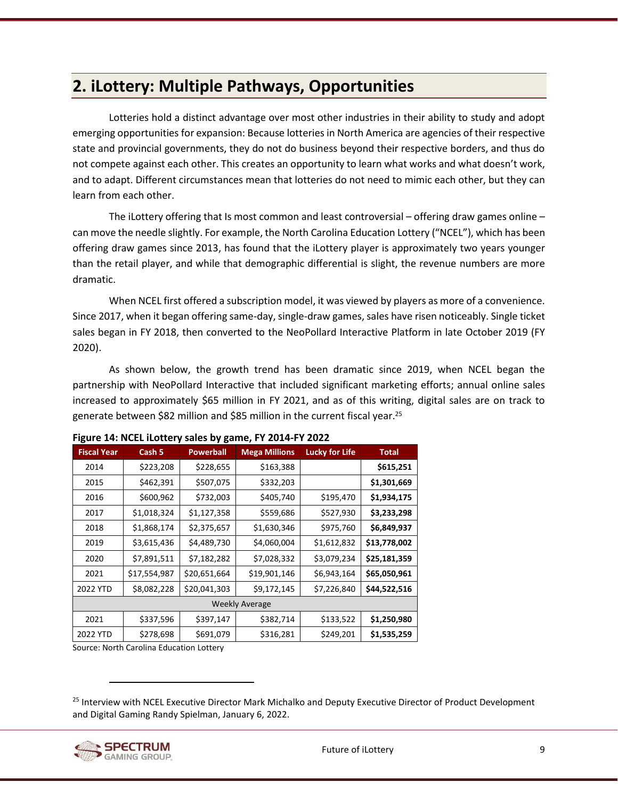# <span id="page-21-0"></span>**2. iLottery: Multiple Pathways, Opportunities**

Lotteries hold a distinct advantage over most other industries in their ability to study and adopt emerging opportunities for expansion: Because lotteries in North America are agencies of their respective state and provincial governments, they do not do business beyond their respective borders, and thus do not compete against each other. This creates an opportunity to learn what works and what doesn't work, and to adapt. Different circumstances mean that lotteries do not need to mimic each other, but they can learn from each other.

The iLottery offering that Is most common and least controversial – offering draw games online – can move the needle slightly. For example, the North Carolina Education Lottery ("NCEL"), which has been offering draw games since 2013, has found that the iLottery player is approximately two years younger than the retail player, and while that demographic differential is slight, the revenue numbers are more dramatic.

When NCEL first offered a subscription model, it was viewed by players as more of a convenience. Since 2017, when it began offering same-day, single-draw games, sales have risen noticeably. Single ticket sales began in FY 2018, then converted to the NeoPollard Interactive Platform in late October 2019 (FY 2020).

As shown below, the growth trend has been dramatic since 2019, when NCEL began the partnership with NeoPollard Interactive that included significant marketing efforts; annual online sales increased to approximately \$65 million in FY 2021, and as of this writing, digital sales are on track to generate between \$82 million and \$85 million in the current fiscal year.<sup>25</sup>

| <b>Fiscal Year</b>    | Cash 5       | <b>Powerball</b> | <b>Mega Millions</b> | <b>Lucky for Life</b> | <b>Total</b> |  |
|-----------------------|--------------|------------------|----------------------|-----------------------|--------------|--|
| 2014                  | \$223,208    | \$228,655        | \$163,388            |                       | \$615,251    |  |
| 2015                  | \$462,391    | \$507,075        | \$332,203            |                       | \$1,301,669  |  |
| 2016                  | \$600,962    | \$732,003        | \$405,740            | \$195,470             | \$1,934,175  |  |
| 2017                  | \$1,018,324  | \$1,127,358      | \$559,686            | \$527,930             | \$3,233,298  |  |
| 2018                  | \$1,868,174  | \$2,375,657      | \$1,630,346          | \$975,760             | \$6,849,937  |  |
| 2019                  | \$3,615,436  | \$4,489,730      | \$4,060,004          | \$1,612,832           | \$13,778,002 |  |
| 2020                  | \$7,891,511  | \$7,182,282      | \$7,028,332          | \$3,079,234           | \$25,181,359 |  |
| 2021                  | \$17,554,987 | \$20,651,664     | \$19,901,146         | \$6,943,164           | \$65,050,961 |  |
| 2022 YTD              | \$8,082,228  | \$20,041,303     | \$9,172,145          | \$7,226,840           | \$44,522,516 |  |
| <b>Weekly Average</b> |              |                  |                      |                       |              |  |
| 2021                  | \$337,596    | \$397,147        | \$382,714            | \$133,522             | \$1,250,980  |  |
| 2022 YTD              | \$278,698    | \$691,079        | \$316,281            | \$249,201             | \$1,535,259  |  |

#### <span id="page-21-1"></span>**Figure 14: NCEL iLottery sales by game, FY 2014-FY 2022**

Source: North Carolina Education Lottery

<sup>&</sup>lt;sup>25</sup> Interview with NCEL Executive Director Mark Michalko and Deputy Executive Director of Product Development and Digital Gaming Randy Spielman, January 6, 2022.

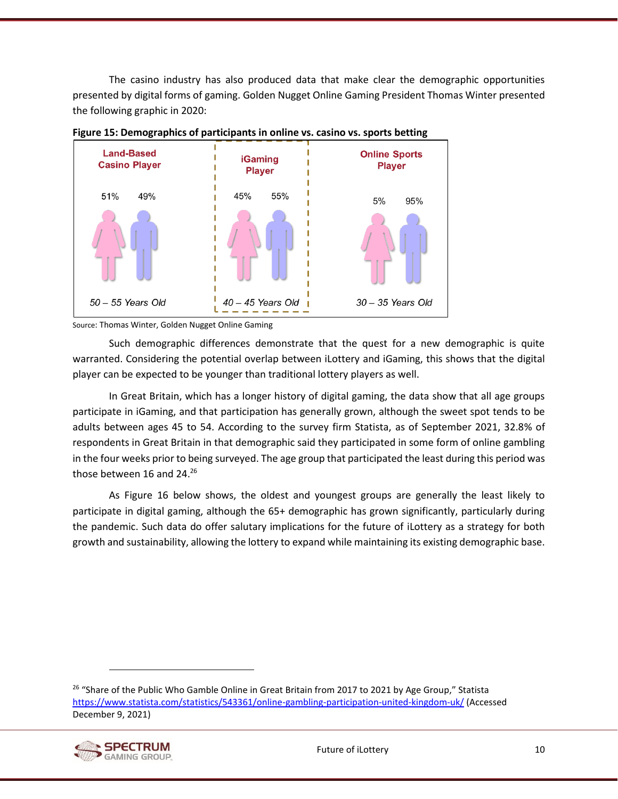The casino industry has also produced data that make clear the demographic opportunities presented by digital forms of gaming. Golden Nugget Online Gaming President Thomas Winter presented the following graphic in 2020:



<span id="page-22-0"></span>

Source: Thomas Winter, Golden Nugget Online Gaming

Such demographic differences demonstrate that the quest for a new demographic is quite warranted. Considering the potential overlap between iLottery and iGaming, this shows that the digital player can be expected to be younger than traditional lottery players as well.

In Great Britain, which has a longer history of digital gaming, the data show that all age groups participate in iGaming, and that participation has generally grown, although the sweet spot tends to be adults between ages 45 to 54. According to the survey firm Statista, as of September 2021, 32.8% of respondents in Great Britain in that demographic said they participated in some form of online gambling in the four weeks prior to being surveyed. The age group that participated the least during this period was those between 16 and 24.<sup>26</sup>

As [Figure 16](#page-23-0) below shows, the oldest and youngest groups are generally the least likely to participate in digital gaming, although the 65+ demographic has grown significantly, particularly during the pandemic. Such data do offer salutary implications for the future of iLottery as a strategy for both growth and sustainability, allowing the lottery to expand while maintaining its existing demographic base.

<sup>&</sup>lt;sup>26</sup> "Share of the Public Who Gamble Online in Great Britain from 2017 to 2021 by Age Group," Statista <https://www.statista.com/statistics/543361/online-gambling-participation-united-kingdom-uk/> (Accessed December 9, 2021)

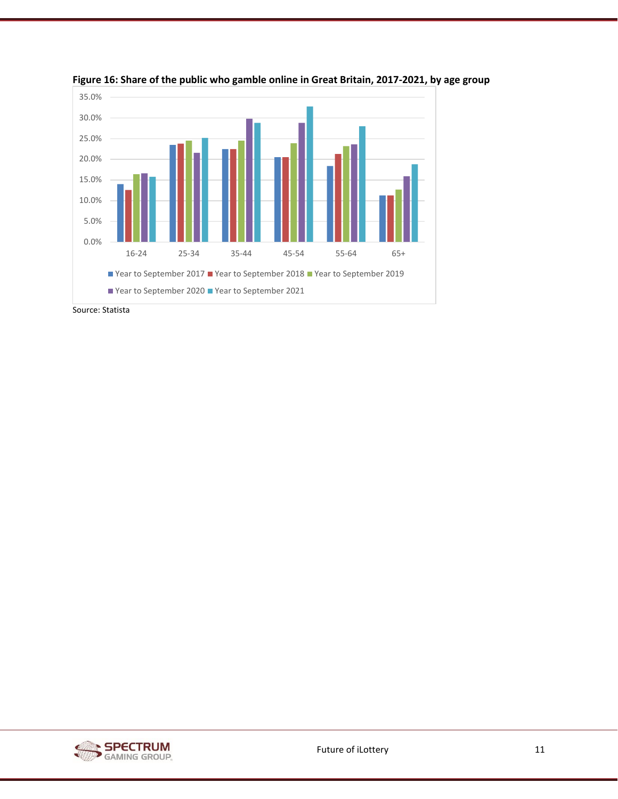

<span id="page-23-0"></span>**Figure 16: Share of the public who gamble online in Great Britain, 2017-2021, by age group**

Source: Statista

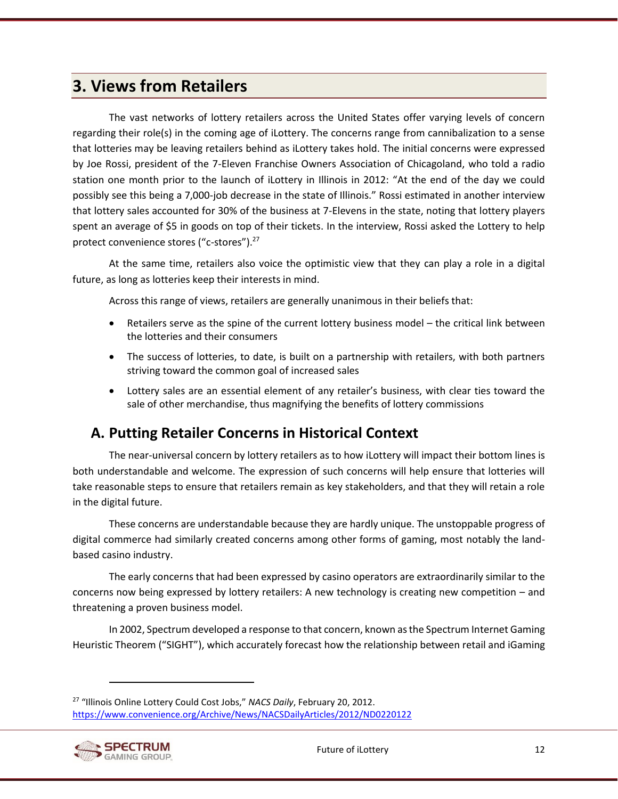# <span id="page-24-0"></span>**3. Views from Retailers**

The vast networks of lottery retailers across the United States offer varying levels of concern regarding their role(s) in the coming age of iLottery. The concerns range from cannibalization to a sense that lotteries may be leaving retailers behind as iLottery takes hold. The initial concerns were expressed by Joe Rossi, president of the 7-Eleven Franchise Owners Association of Chicagoland, who told a radio station one month prior to the launch of iLottery in Illinois in 2012: "At the end of the day we could possibly see this being a 7,000-job decrease in the state of Illinois." Rossi estimated in another interview that lottery sales accounted for 30% of the business at 7-Elevens in the state, noting that lottery players spent an average of \$5 in goods on top of their tickets. In the interview, Rossi asked the Lottery to help protect convenience stores ("c-stores").<sup>27</sup>

At the same time, retailers also voice the optimistic view that they can play a role in a digital future, as long as lotteries keep their interests in mind.

Across this range of views, retailers are generally unanimous in their beliefs that:

- Retailers serve as the spine of the current lottery business model the critical link between the lotteries and their consumers
- The success of lotteries, to date, is built on a partnership with retailers, with both partners striving toward the common goal of increased sales
- Lottery sales are an essential element of any retailer's business, with clear ties toward the sale of other merchandise, thus magnifying the benefits of lottery commissions

# <span id="page-24-1"></span>**A. Putting Retailer Concerns in Historical Context**

The near-universal concern by lottery retailers as to how iLottery will impact their bottom lines is both understandable and welcome. The expression of such concerns will help ensure that lotteries will take reasonable steps to ensure that retailers remain as key stakeholders, and that they will retain a role in the digital future.

These concerns are understandable because they are hardly unique. The unstoppable progress of digital commerce had similarly created concerns among other forms of gaming, most notably the landbased casino industry.

The early concerns that had been expressed by casino operators are extraordinarily similar to the concerns now being expressed by lottery retailers: A new technology is creating new competition – and threatening a proven business model.

In 2002, Spectrum developed a response to that concern, known as the Spectrum Internet Gaming Heuristic Theorem ("SIGHT"), which accurately forecast how the relationship between retail and iGaming

<sup>27</sup> "Illinois Online Lottery Could Cost Jobs," *NACS Daily*, February 20, 2012. <https://www.convenience.org/Archive/News/NACSDailyArticles/2012/ND0220122>

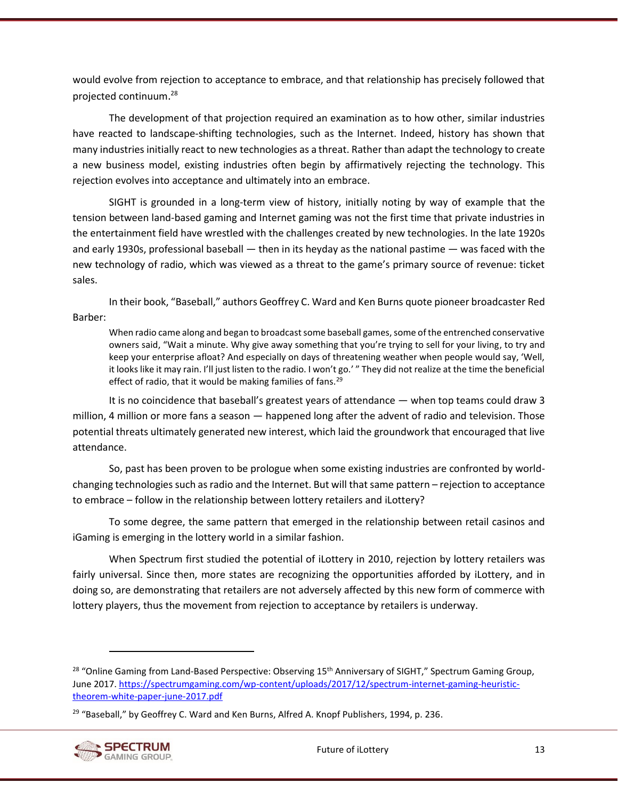would evolve from rejection to acceptance to embrace, and that relationship has precisely followed that projected continuum. 28

The development of that projection required an examination as to how other, similar industries have reacted to landscape-shifting technologies, such as the Internet. Indeed, history has shown that many industries initially react to new technologies as a threat. Rather than adapt the technology to create a new business model, existing industries often begin by affirmatively rejecting the technology. This rejection evolves into acceptance and ultimately into an embrace.

SIGHT is grounded in a long-term view of history, initially noting by way of example that the tension between land-based gaming and Internet gaming was not the first time that private industries in the entertainment field have wrestled with the challenges created by new technologies. In the late 1920s and early 1930s, professional baseball — then in its heyday as the national pastime — was faced with the new technology of radio, which was viewed as a threat to the game's primary source of revenue: ticket sales.

In their book, "Baseball," authors Geoffrey C. Ward and Ken Burns quote pioneer broadcaster Red Barber:

When radio came along and began to broadcast some baseball games, some of the entrenched conservative owners said, "Wait a minute. Why give away something that you're trying to sell for your living, to try and keep your enterprise afloat? And especially on days of threatening weather when people would say, 'Well, it looks like it may rain. I'll just listen to the radio. I won't go.' " They did not realize at the time the beneficial effect of radio, that it would be making families of fans.<sup>29</sup>

It is no coincidence that baseball's greatest years of attendance — when top teams could draw 3 million, 4 million or more fans a season — happened long after the advent of radio and television. Those potential threats ultimately generated new interest, which laid the groundwork that encouraged that live attendance.

So, past has been proven to be prologue when some existing industries are confronted by worldchanging technologies such as radio and the Internet. But will that same pattern – rejection to acceptance to embrace – follow in the relationship between lottery retailers and iLottery?

To some degree, the same pattern that emerged in the relationship between retail casinos and iGaming is emerging in the lottery world in a similar fashion.

When Spectrum first studied the potential of iLottery in 2010, rejection by lottery retailers was fairly universal. Since then, more states are recognizing the opportunities afforded by iLottery, and in doing so, are demonstrating that retailers are not adversely affected by this new form of commerce with lottery players, thus the movement from rejection to acceptance by retailers is underway.

<sup>&</sup>lt;sup>29</sup> "Baseball," by Geoffrey C. Ward and Ken Burns, Alfred A. Knopf Publishers, 1994, p. 236.



<sup>&</sup>lt;sup>28</sup> "Online Gaming from Land-Based Perspective: Observing 15<sup>th</sup> Anniversary of SIGHT," Spectrum Gaming Group, June 2017. [https://spectrumgaming.com/wp-content/uploads/2017/12/spectrum-internet-gaming-heuristic](https://spectrumgaming.com/wp-content/uploads/2017/12/spectrum-internet-gaming-heuristic-theorem-white-paper-june-2017.pdf)[theorem-white-paper-june-2017.pdf](https://spectrumgaming.com/wp-content/uploads/2017/12/spectrum-internet-gaming-heuristic-theorem-white-paper-june-2017.pdf)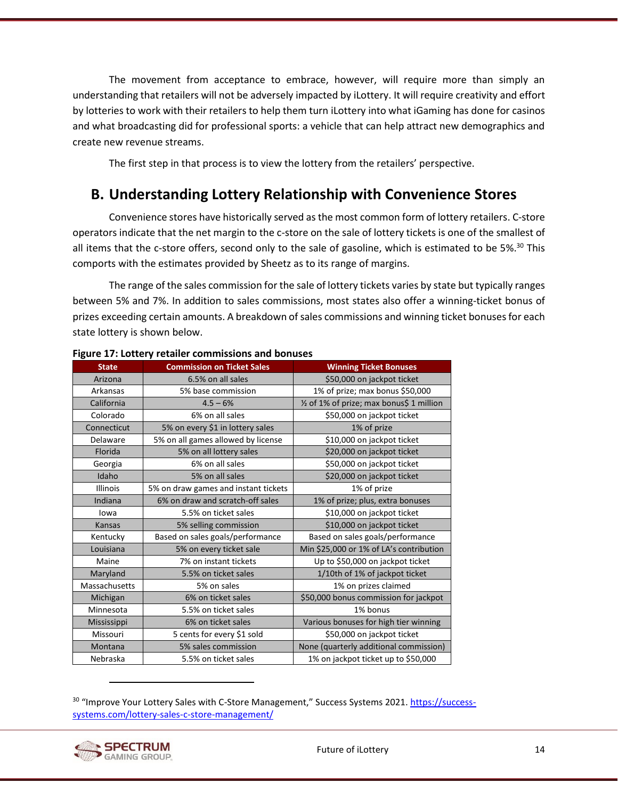The movement from acceptance to embrace, however, will require more than simply an understanding that retailers will not be adversely impacted by iLottery. It will require creativity and effort by lotteries to work with their retailers to help them turn iLottery into what iGaming has done for casinos and what broadcasting did for professional sports: a vehicle that can help attract new demographics and create new revenue streams.

The first step in that process is to view the lottery from the retailers' perspective.

# <span id="page-26-0"></span>**B. Understanding Lottery Relationship with Convenience Stores**

Convenience stores have historically served as the most common form of lottery retailers. C-store operators indicate that the net margin to the c-store on the sale of lottery tickets is one of the smallest of all items that the c-store offers, second only to the sale of gasoline, which is estimated to be 5%.<sup>30</sup> This comports with the estimates provided by Sheetz as to its range of margins.

The range of the sales commission for the sale of lottery tickets varies by state but typically ranges between 5% and 7%. In addition to sales commissions, most states also offer a winning-ticket bonus of prizes exceeding certain amounts. A breakdown of sales commissions and winning ticket bonuses for each state lottery is shown below.

| <b>State</b>    | <b>Commission on Ticket Sales</b>    | <b>Winning Ticket Bonuses</b>             |
|-----------------|--------------------------------------|-------------------------------------------|
| Arizona         | 6.5% on all sales                    | \$50,000 on jackpot ticket                |
| Arkansas        | 5% base commission                   | 1% of prize; max bonus \$50,000           |
| California      | $4.5 - 6%$                           | 1/2 of 1% of prize; max bonus\$ 1 million |
| Colorado        | 6% on all sales                      | \$50,000 on jackpot ticket                |
| Connecticut     | 5% on every \$1 in lottery sales     | 1% of prize                               |
| Delaware        | 5% on all games allowed by license   | \$10,000 on jackpot ticket                |
| Florida         | 5% on all lottery sales              | \$20,000 on jackpot ticket                |
| Georgia         | 6% on all sales                      | \$50,000 on jackpot ticket                |
| Idaho           | 5% on all sales                      | \$20,000 on jackpot ticket                |
| <b>Illinois</b> | 5% on draw games and instant tickets | 1% of prize                               |
| Indiana         | 6% on draw and scratch-off sales     | 1% of prize; plus, extra bonuses          |
| lowa            | 5.5% on ticket sales                 | \$10,000 on jackpot ticket                |
| Kansas          | 5% selling commission                | \$10,000 on jackpot ticket                |
| Kentucky        | Based on sales goals/performance     | Based on sales goals/performance          |
| Louisiana       | 5% on every ticket sale              | Min \$25,000 or 1% of LA's contribution   |
| Maine           | 7% on instant tickets                | Up to \$50,000 on jackpot ticket          |
| Maryland        | 5.5% on ticket sales                 | 1/10th of 1% of jackpot ticket            |
| Massachusetts   | 5% on sales                          | 1% on prizes claimed                      |
| Michigan        | 6% on ticket sales                   | \$50,000 bonus commission for jackpot     |
| Minnesota       | 5.5% on ticket sales                 | 1% bonus                                  |
| Mississippi     | 6% on ticket sales                   | Various bonuses for high tier winning     |
| Missouri        | 5 cents for every \$1 sold           | \$50,000 on jackpot ticket                |
| Montana         | 5% sales commission                  | None (quarterly additional commission)    |
| Nebraska        | 5.5% on ticket sales                 | 1% on jackpot ticket up to \$50,000       |

#### <span id="page-26-1"></span>**Figure 17: Lottery retailer commissions and bonuses**

<sup>30</sup> "Improve Your Lottery Sales with C-Store Management," Success Systems 2021. [https://success](https://success-systems.com/lottery-sales-c-store-management/)[systems.com/lottery-sales-c-store-management/](https://success-systems.com/lottery-sales-c-store-management/)



Future of iLottery 14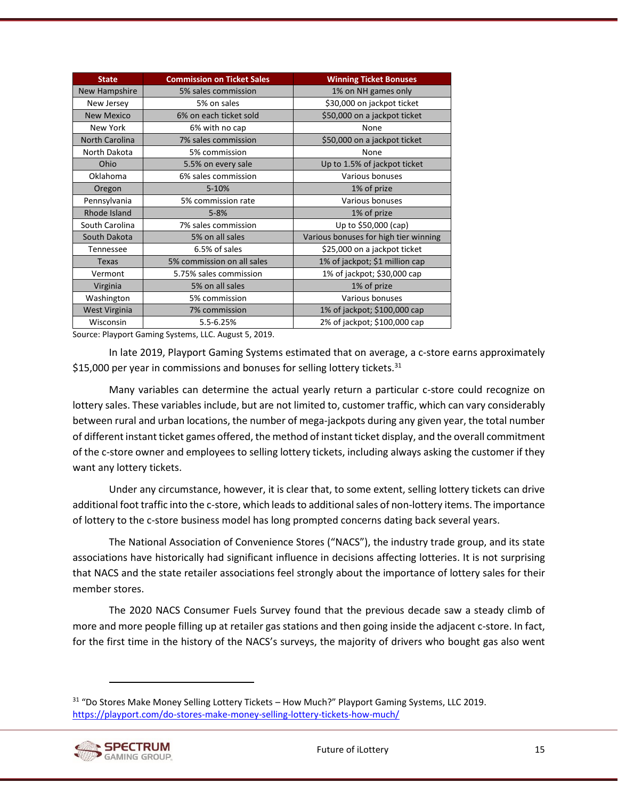| <b>State</b>          | <b>Commission on Ticket Sales</b> | <b>Winning Ticket Bonuses</b>         |
|-----------------------|-----------------------------------|---------------------------------------|
| New Hampshire         | 5% sales commission               | 1% on NH games only                   |
| New Jersey            | 5% on sales                       | \$30,000 on jackpot ticket            |
| <b>New Mexico</b>     | 6% on each ticket sold            | \$50,000 on a jackpot ticket          |
| New York              | 6% with no cap                    | None                                  |
| <b>North Carolina</b> | 7% sales commission               | \$50,000 on a jackpot ticket          |
| North Dakota          | 5% commission                     | None                                  |
| Ohio                  | 5.5% on every sale                | Up to 1.5% of jackpot ticket          |
| Oklahoma              | 6% sales commission               | Various bonuses                       |
| Oregon                | $5 - 10%$                         | 1% of prize                           |
| Pennsylvania          | 5% commission rate                | Various bonuses                       |
| Rhode Island          | $5 - 8%$                          | 1% of prize                           |
| South Carolina        | 7% sales commission               | Up to \$50,000 (cap)                  |
| South Dakota          | 5% on all sales                   | Various bonuses for high tier winning |
| Tennessee             | 6.5% of sales                     | \$25,000 on a jackpot ticket          |
| Texas                 | 5% commission on all sales        | 1% of jackpot; \$1 million cap        |
| Vermont               | 5.75% sales commission            | 1% of jackpot; \$30,000 cap           |
| Virginia              | 5% on all sales                   | 1% of prize                           |
| Washington            | 5% commission                     | Various bonuses                       |
| <b>West Virginia</b>  | 7% commission                     | 1% of jackpot; \$100,000 cap          |
| Wisconsin             | 5.5-6.25%                         | 2% of jackpot; \$100,000 cap          |

Source: Playport Gaming Systems, LLC. August 5, 2019.

In late 2019, Playport Gaming Systems estimated that on average, a c-store earns approximately \$15,000 per year in commissions and bonuses for selling lottery tickets. $31$ 

Many variables can determine the actual yearly return a particular c-store could recognize on lottery sales. These variables include, but are not limited to, customer traffic, which can vary considerably between rural and urban locations, the number of mega-jackpots during any given year, the total number of different instant ticket games offered, the method of instant ticket display, and the overall commitment of the c-store owner and employees to selling lottery tickets, including always asking the customer if they want any lottery tickets.

Under any circumstance, however, it is clear that, to some extent, selling lottery tickets can drive additional foot traffic into the c-store, which leads to additional sales of non-lottery items. The importance of lottery to the c-store business model has long prompted concerns dating back several years.

The National Association of Convenience Stores ("NACS"), the industry trade group, and its state associations have historically had significant influence in decisions affecting lotteries. It is not surprising that NACS and the state retailer associations feel strongly about the importance of lottery sales for their member stores.

The 2020 NACS Consumer Fuels Survey found that the previous decade saw a steady climb of more and more people filling up at retailer gas stations and then going inside the adjacent c-store. In fact, for the first time in the history of the NACS's surveys, the majority of drivers who bought gas also went

<sup>&</sup>lt;sup>31</sup> "Do Stores Make Money Selling Lottery Tickets – How Much?" Playport Gaming Systems, LLC 2019. <https://playport.com/do-stores-make-money-selling-lottery-tickets-how-much/>

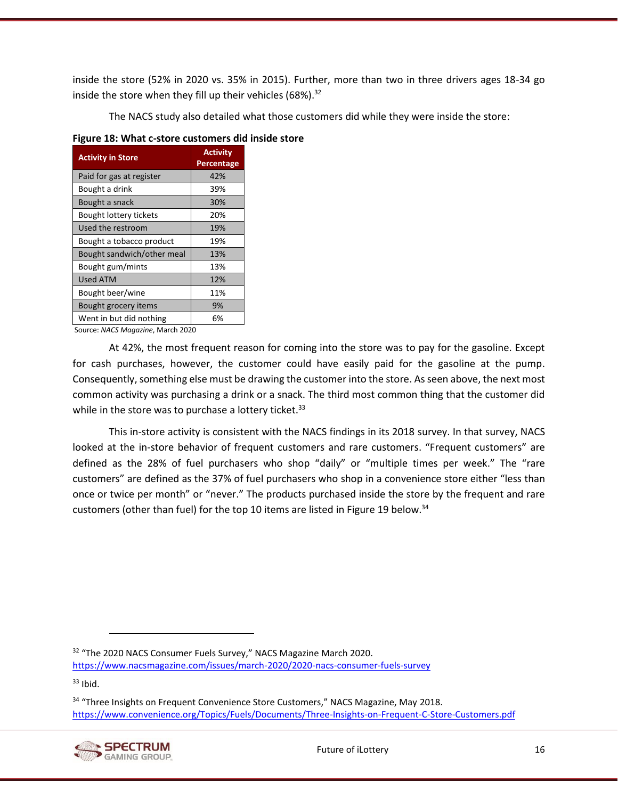inside the store (52% in 2020 vs. 35% in 2015). Further, more than two in three drivers ages 18-34 go inside the store when they fill up their vehicles  $(68\%)$ .<sup>32</sup>

The NACS study also detailed what those customers did while they were inside the store:

| <b>Activity in Store</b>   | <b>Activity</b><br>Percentage |
|----------------------------|-------------------------------|
| Paid for gas at register   | 42%                           |
| Bought a drink             | 39%                           |
| Bought a snack             | 30%                           |
| Bought lottery tickets     | 20%                           |
| Used the restroom          | 19%                           |
| Bought a tobacco product   | 19%                           |
| Bought sandwich/other meal | 13%                           |
| Bought gum/mints           | 13%                           |
| Used ATM                   | 12%                           |
| Bought beer/wine           | 11%                           |
| Bought grocery items       | 9%                            |
| Went in but did nothing    | 6%                            |

#### <span id="page-28-0"></span>**Figure 18: What c-store customers did inside store**

Source: *NACS Magazine*, March 2020

At 42%, the most frequent reason for coming into the store was to pay for the gasoline. Except for cash purchases, however, the customer could have easily paid for the gasoline at the pump. Consequently, something else must be drawing the customer into the store. As seen above, the next most common activity was purchasing a drink or a snack. The third most common thing that the customer did while in the store was to purchase a lottery ticket. $33$ 

This in-store activity is consistent with the NACS findings in its 2018 survey. In that survey, NACS looked at the in-store behavior of frequent customers and rare customers. "Frequent customers" are defined as the 28% of fuel purchasers who shop "daily" or "multiple times per week." The "rare customers" are defined as the 37% of fuel purchasers who shop in a convenience store either "less than once or twice per month" or "never." The products purchased inside the store by the frequent and rare customers (other than fuel) for the top 10 items are listed i[n Figure 19](#page-29-0) below.<sup>34</sup>

 $33$  Ibid.

<sup>&</sup>lt;sup>34</sup> "Three Insights on Frequent Convenience Store Customers," NACS Magazine, May 2018. <https://www.convenience.org/Topics/Fuels/Documents/Three-Insights-on-Frequent-C-Store-Customers.pdf>



<sup>&</sup>lt;sup>32</sup> "The 2020 NACS Consumer Fuels Survey," NACS Magazine March 2020.

<https://www.nacsmagazine.com/issues/march-2020/2020-nacs-consumer-fuels-survey>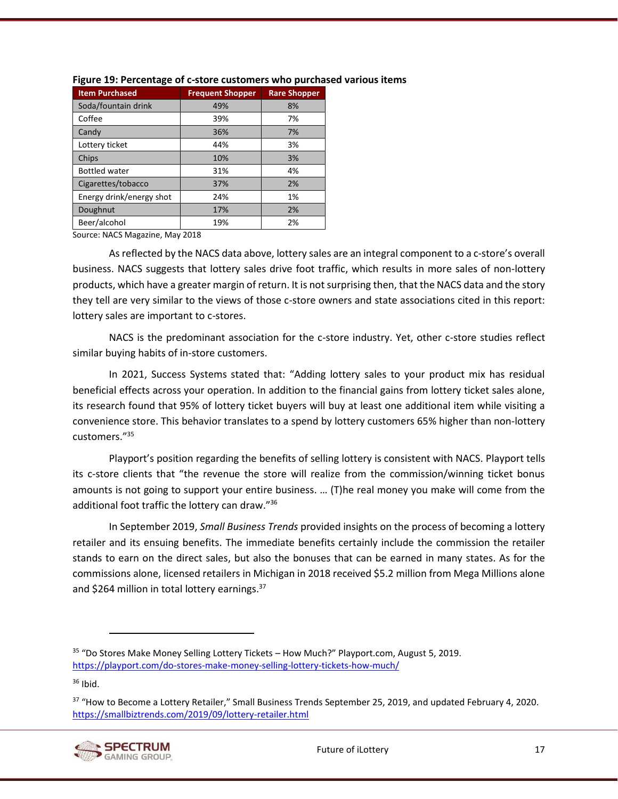| <b>Item Purchased</b>    | <b>Frequent Shopper</b> | <b>Rare Shopper</b> |
|--------------------------|-------------------------|---------------------|
| Soda/fountain drink      | 49%                     | 8%                  |
| Coffee                   | 39%                     | 7%                  |
| Candy                    | 36%                     | 7%                  |
| Lottery ticket           | 44%                     | 3%                  |
| Chips                    | 10%                     | 3%                  |
| <b>Bottled water</b>     | 31%                     | 4%                  |
| Cigarettes/tobacco       | 37%                     | 2%                  |
| Energy drink/energy shot | 24%                     | 1%                  |
| Doughnut                 | 17%                     | 2%                  |
| Beer/alcohol             | 19%                     | 2%                  |

#### <span id="page-29-0"></span>**Figure 19: Percentage of c-store customers who purchased various items**

Source: NACS Magazine, May 2018

As reflected by the NACS data above, lottery sales are an integral component to a c-store's overall business. NACS suggests that lottery sales drive foot traffic, which results in more sales of non-lottery products, which have a greater margin of return. It is not surprising then, that the NACS data and the story they tell are very similar to the views of those c-store owners and state associations cited in this report: lottery sales are important to c-stores.

NACS is the predominant association for the c-store industry. Yet, other c-store studies reflect similar buying habits of in-store customers.

In 2021, Success Systems stated that: "Adding lottery sales to your product mix has residual beneficial effects across your operation. In addition to the financial gains from lottery ticket sales alone, its research found that 95% of lottery ticket buyers will buy at least one additional item while visiting a convenience store. This behavior translates to a spend by lottery customers 65% higher than non-lottery customers." 35

Playport's position regarding the benefits of selling lottery is consistent with NACS. Playport tells its c-store clients that "the revenue the store will realize from the commission/winning ticket bonus amounts is not going to support your entire business. … (T)he real money you make will come from the additional foot traffic the lottery can draw." 36

In September 2019, *Small Business Trends* provided insights on the process of becoming a lottery retailer and its ensuing benefits. The immediate benefits certainly include the commission the retailer stands to earn on the direct sales, but also the bonuses that can be earned in many states. As for the commissions alone, licensed retailers in Michigan in 2018 received \$5.2 million from Mega Millions alone and \$264 million in total lottery earnings.<sup>37</sup>

 $36$  Ibid.

<sup>&</sup>lt;sup>37</sup> "How to Become a Lottery Retailer," Small Business Trends September 25, 2019, and updated February 4, 2020. <https://smallbiztrends.com/2019/09/lottery-retailer.html>



<sup>35</sup> "Do Stores Make Money Selling Lottery Tickets – How Much?" Playport.com, August 5, 2019. <https://playport.com/do-stores-make-money-selling-lottery-tickets-how-much/>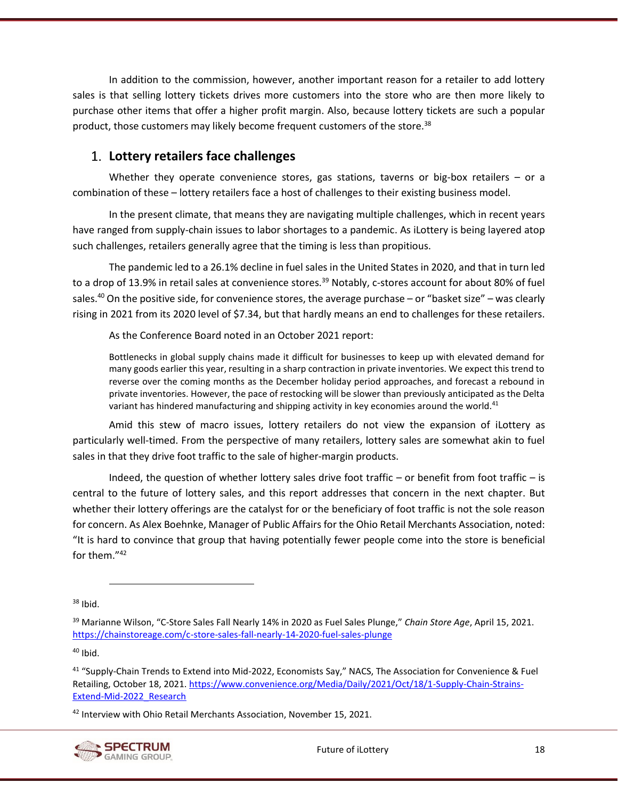In addition to the commission, however, another important reason for a retailer to add lottery sales is that selling lottery tickets drives more customers into the store who are then more likely to purchase other items that offer a higher profit margin. Also, because lottery tickets are such a popular product, those customers may likely become frequent customers of the store.<sup>38</sup>

## <span id="page-30-0"></span>**Lottery retailers face challenges**

Whether they operate convenience stores, gas stations, taverns or big-box retailers  $-$  or a combination of these – lottery retailers face a host of challenges to their existing business model.

In the present climate, that means they are navigating multiple challenges, which in recent years have ranged from supply-chain issues to labor shortages to a pandemic. As iLottery is being layered atop such challenges, retailers generally agree that the timing is less than propitious.

The pandemic led to a 26.1% decline in fuel sales in the United States in 2020, and that in turn led to a drop of 13.9% in retail sales at convenience stores.<sup>39</sup> Notably, c-stores account for about 80% of fuel sales.<sup>40</sup> On the positive side, for convenience stores, the average purchase – or "basket size" – was clearly rising in 2021 from its 2020 level of \$7.34, but that hardly means an end to challenges for these retailers.

As the Conference Board noted in an October 2021 report:

Bottlenecks in global supply chains made it difficult for businesses to keep up with elevated demand for many goods earlier this year, resulting in a sharp contraction in private inventories. We expect this trend to reverse over the coming months as the December holiday period approaches, and forecast a rebound in private inventories. However, the pace of restocking will be slower than previously anticipated as the Delta variant has hindered manufacturing and shipping activity in key economies around the world.<sup>41</sup>

Amid this stew of macro issues, lottery retailers do not view the expansion of iLottery as particularly well-timed. From the perspective of many retailers, lottery sales are somewhat akin to fuel sales in that they drive foot traffic to the sale of higher-margin products.

Indeed, the question of whether lottery sales drive foot traffic – or benefit from foot traffic – is central to the future of lottery sales, and this report addresses that concern in the next chapter. But whether their lottery offerings are the catalyst for or the beneficiary of foot traffic is not the sole reason for concern. As Alex Boehnke, Manager of Public Affairs for the Ohio Retail Merchants Association, noted: "It is hard to convince that group that having potentially fewer people come into the store is beneficial for them." 42

 $40$  Ibid.

<sup>42</sup> Interview with Ohio Retail Merchants Association, November 15, 2021.



<sup>38</sup> Ibid.

<sup>39</sup> Marianne Wilson, "C-Store Sales Fall Nearly 14% in 2020 as Fuel Sales Plunge," *Chain Store Age*, April 15, 2021. <https://chainstoreage.com/c-store-sales-fall-nearly-14-2020-fuel-sales-plunge>

<sup>41</sup> "Supply-Chain Trends to Extend into Mid-2022, Economists Say," NACS, The Association for Convenience & Fuel Retailing, October 18, 2021[. https://www.convenience.org/Media/Daily/2021/Oct/18/1-Supply-Chain-Strains-](https://www.convenience.org/Media/Daily/2021/Oct/18/1-Supply-Chain-Strains-Extend-Mid-2022_Research)[Extend-Mid-2022\\_Research](https://www.convenience.org/Media/Daily/2021/Oct/18/1-Supply-Chain-Strains-Extend-Mid-2022_Research)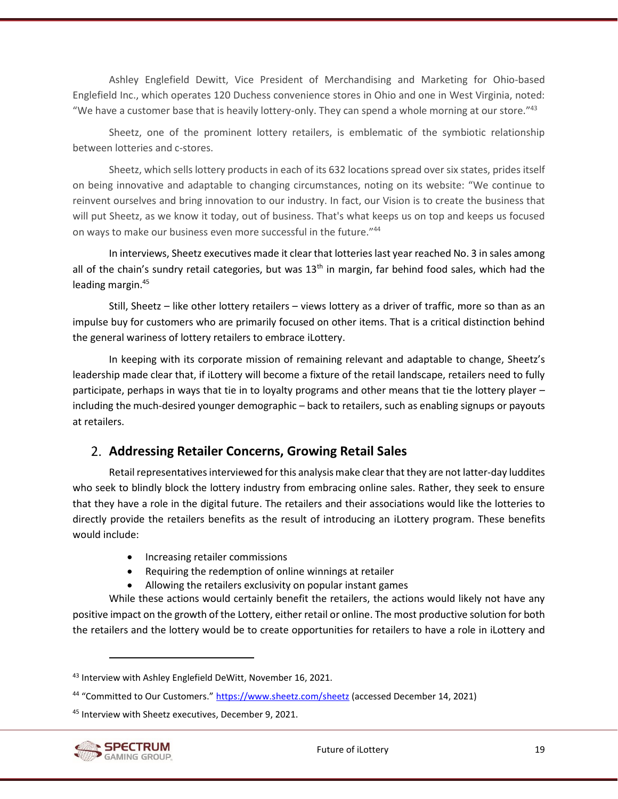Ashley Englefield Dewitt, Vice President of Merchandising and Marketing for Ohio-based Englefield Inc., which operates 120 Duchess convenience stores in Ohio and one in West Virginia, noted: "We have a customer base that is heavily lottery-only. They can spend a whole morning at our store."<sup>43</sup>

Sheetz, one of the prominent lottery retailers, is emblematic of the symbiotic relationship between lotteries and c-stores.

Sheetz, which sells lottery products in each of its 632 locations spread over six states, prides itself on being innovative and adaptable to changing circumstances, noting on its website: "We continue to reinvent ourselves and bring innovation to our industry. In fact, our Vision is to create the business that will put Sheetz, as we know it today, out of business. That's what keeps us on top and keeps us focused on ways to make our business even more successful in the future."44

In interviews, Sheetz executives made it clear that lotteries last year reached No. 3 in sales among all of the chain's sundry retail categories, but was  $13<sup>th</sup>$  in margin, far behind food sales, which had the leading margin.<sup>45</sup>

Still, Sheetz – like other lottery retailers – views lottery as a driver of traffic, more so than as an impulse buy for customers who are primarily focused on other items. That is a critical distinction behind the general wariness of lottery retailers to embrace iLottery.

In keeping with its corporate mission of remaining relevant and adaptable to change, Sheetz's leadership made clear that, if iLottery will become a fixture of the retail landscape, retailers need to fully participate, perhaps in ways that tie in to loyalty programs and other means that tie the lottery player – including the much-desired younger demographic – back to retailers, such as enabling signups or payouts at retailers.

# <span id="page-31-0"></span>**Addressing Retailer Concerns, Growing Retail Sales**

Retail representatives interviewed for this analysis make clear that they are not latter-day luddites who seek to blindly block the lottery industry from embracing online sales. Rather, they seek to ensure that they have a role in the digital future. The retailers and their associations would like the lotteries to directly provide the retailers benefits as the result of introducing an iLottery program. These benefits would include:

- Increasing retailer commissions
- Requiring the redemption of online winnings at retailer
- Allowing the retailers exclusivity on popular instant games

While these actions would certainly benefit the retailers, the actions would likely not have any positive impact on the growth of the Lottery, either retail or online. The most productive solution for both the retailers and the lottery would be to create opportunities for retailers to have a role in iLottery and

<sup>45</sup> Interview with Sheetz executives, December 9, 2021.



<sup>43</sup> Interview with Ashley Englefield DeWitt, November 16, 2021.

<sup>&</sup>lt;sup>44</sup> "Committed to Our Customers." <https://www.sheetz.com/sheetz> (accessed December 14, 2021)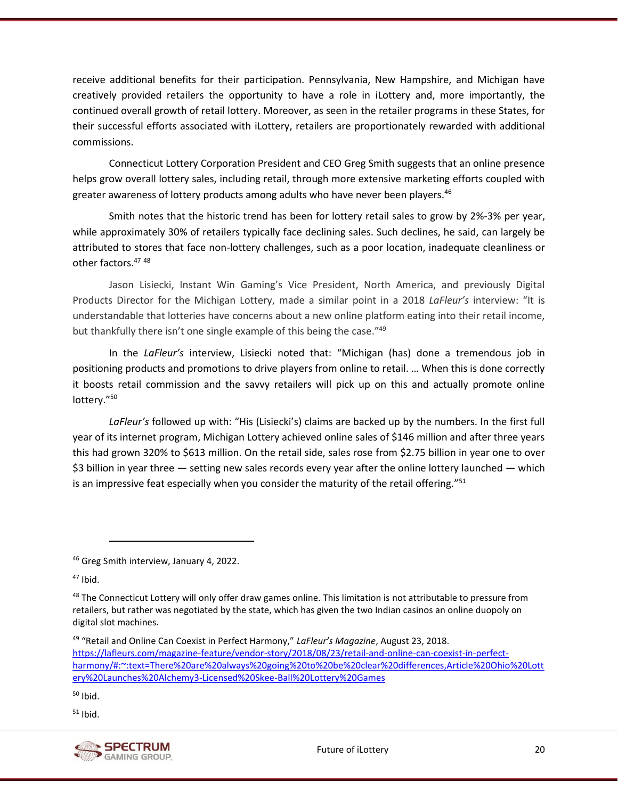receive additional benefits for their participation. Pennsylvania, New Hampshire, and Michigan have creatively provided retailers the opportunity to have a role in iLottery and, more importantly, the continued overall growth of retail lottery. Moreover, as seen in the retailer programs in these States, for their successful efforts associated with iLottery, retailers are proportionately rewarded with additional commissions.

Connecticut Lottery Corporation President and CEO Greg Smith suggests that an online presence helps grow overall lottery sales, including retail, through more extensive marketing efforts coupled with greater awareness of lottery products among adults who have never been players.<sup>46</sup>

Smith notes that the historic trend has been for lottery retail sales to grow by 2%-3% per year, while approximately 30% of retailers typically face declining sales. Such declines, he said, can largely be attributed to stores that face non-lottery challenges, such as a poor location, inadequate cleanliness or other factors.<sup>47</sup> <sup>48</sup>

Jason Lisiecki, Instant Win Gaming's Vice President, North America, and previously Digital Products Director for the Michigan Lottery, made a similar point in a 2018 *LaFleur's* interview: "It is understandable that lotteries have concerns about a new online platform eating into their retail income, but thankfully there isn't one single example of this being the case."<sup>49</sup>

In the *LaFleur's* interview, Lisiecki noted that: "Michigan (has) done a tremendous job in positioning products and promotions to drive players from online to retail. … When this is done correctly it boosts retail commission and the savvy retailers will pick up on this and actually promote online lottery." 50

*LaFleur's* followed up with: "His (Lisiecki's) claims are backed up by the numbers. In the first full year of its internet program, Michigan Lottery achieved online sales of \$146 million and after three years this had grown 320% to \$613 million. On the retail side, sales rose from \$2.75 billion in year one to over \$3 billion in year three — setting new sales records every year after the online lottery launched — which is an impressive feat especially when you consider the maturity of the retail offering."<sup>51</sup>

 $50$  Ibid.

 $51$  Ibid.



<sup>46</sup> Greg Smith interview, January 4, 2022.

 $47$  Ibid.

<sup>&</sup>lt;sup>48</sup> The Connecticut Lottery will only offer draw games online. This limitation is not attributable to pressure from retailers, but rather was negotiated by the state, which has given the two Indian casinos an online duopoly on digital slot machines.

<sup>49</sup> "Retail and Online Can Coexist in Perfect Harmony," *LaFleur's Magazine*, August 23, 2018. [https://lafleurs.com/magazine-feature/vendor-story/2018/08/23/retail-and-online-can-coexist-in-perfect](https://lafleurs.com/magazine-feature/vendor-story/2018/08/23/retail-and-online-can-coexist-in-perfect-harmony/#:~:text=There%20are%20always%20going%20to%20be%20clear%20differences,Article%20Ohio%20Lottery%20Launches%20Alchemy3-Licensed%20Skee-Ball%20Lottery%20Games)[harmony/#:~:text=There%20are%20always%20going%20to%20be%20clear%20differences,Article%20Ohio%20Lott](https://lafleurs.com/magazine-feature/vendor-story/2018/08/23/retail-and-online-can-coexist-in-perfect-harmony/#:~:text=There%20are%20always%20going%20to%20be%20clear%20differences,Article%20Ohio%20Lottery%20Launches%20Alchemy3-Licensed%20Skee-Ball%20Lottery%20Games) [ery%20Launches%20Alchemy3-Licensed%20Skee-Ball%20Lottery%20Games](https://lafleurs.com/magazine-feature/vendor-story/2018/08/23/retail-and-online-can-coexist-in-perfect-harmony/#:~:text=There%20are%20always%20going%20to%20be%20clear%20differences,Article%20Ohio%20Lottery%20Launches%20Alchemy3-Licensed%20Skee-Ball%20Lottery%20Games)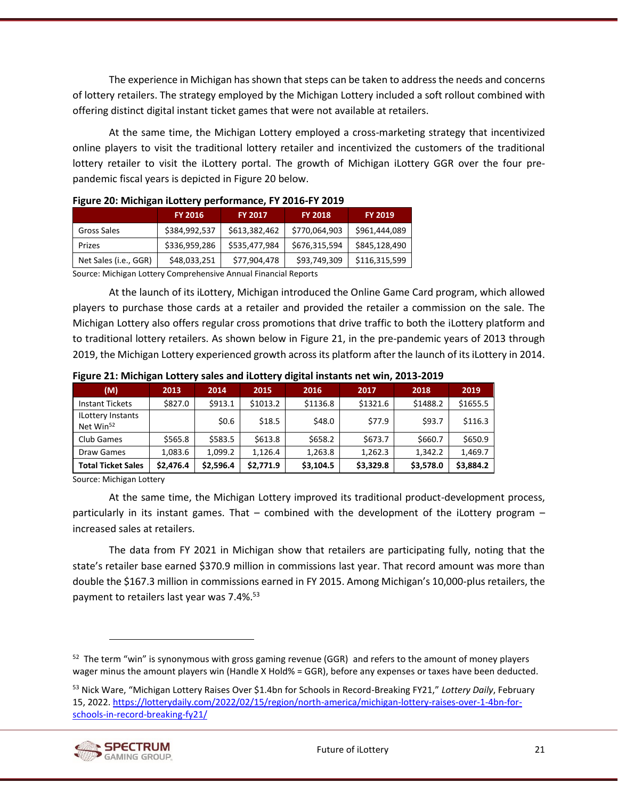The experience in Michigan has shown that steps can be taken to address the needs and concerns of lottery retailers. The strategy employed by the Michigan Lottery included a soft rollout combined with offering distinct digital instant ticket games that were not available at retailers.

At the same time, the Michigan Lottery employed a cross-marketing strategy that incentivized online players to visit the traditional lottery retailer and incentivized the customers of the traditional lottery retailer to visit the iLottery portal. The growth of Michigan iLottery GGR over the four prepandemic fiscal years is depicted i[n Figure 20](#page-33-0) below.

| 1 ISUI C 20. IVIICHISUIT ILOITCI Y PCHOHIIUITCC, IT 2010-TT 2019 |                |                |                |                |  |
|------------------------------------------------------------------|----------------|----------------|----------------|----------------|--|
|                                                                  | <b>FY 2016</b> | <b>FY 2017</b> | <b>FY 2018</b> | <b>FY 2019</b> |  |
| Gross Sales                                                      | \$384,992,537  | \$613,382,462  | \$770,064,903  | \$961,444,089  |  |
| Prizes                                                           | \$336,959,286  | \$535,477,984  | \$676,315,594  | \$845,128,490  |  |
| Net Sales (i.e., GGR)                                            | \$48,033,251   | \$77,904,478   | \$93,749,309   | \$116,315,599  |  |
|                                                                  |                |                |                |                |  |

<span id="page-33-0"></span>

|  | Figure 20: Michigan iLottery performance, FY 2016-FY 2019 |  |
|--|-----------------------------------------------------------|--|
|--|-----------------------------------------------------------|--|

Source: Michigan Lottery Comprehensive Annual Financial Reports

At the launch of its iLottery, Michigan introduced the Online Game Card program, which allowed players to purchase those cards at a retailer and provided the retailer a commission on the sale. The Michigan Lottery also offers regular cross promotions that drive traffic to both the iLottery platform and to traditional lottery retailers. As shown below in [Figure 21,](#page-33-1) in the pre-pandemic years of 2013 through 2019, the Michigan Lottery experienced growth across its platform after the launch of its iLottery in 2014.

| (M)                                               | 2013      | 2014      | 2015      | 2016      | 2017      | 2018      | 2019      |
|---------------------------------------------------|-----------|-----------|-----------|-----------|-----------|-----------|-----------|
| <b>Instant Tickets</b>                            | \$827.0   | \$913.1   | \$1013.2  | \$1136.8  | \$1321.6  | \$1488.2  | \$1655.5  |
| <b>ILottery Instants</b><br>Net Win <sup>52</sup> |           | \$0.6     | \$18.5    | \$48.0    | \$77.9    | \$93.7    | \$116.3   |
| Club Games                                        | \$565.8   | \$583.5   | \$613.8   | \$658.2   | \$673.7   | \$660.7   | \$650.9   |
| Draw Games                                        | 1,083.6   | 1,099.2   | 1.126.4   | 1,263.8   | 1,262.3   | 1,342.2   | 1,469.7   |
| <b>Total Ticket Sales</b>                         | \$2,476.4 | \$2,596.4 | \$2,771.9 | \$3,104.5 | \$3,329.8 | \$3,578.0 | \$3,884.2 |

<span id="page-33-1"></span>**Figure 21: Michigan Lottery sales and iLottery digital instants net win, 2013-2019**

Source: Michigan Lottery

At the same time, the Michigan Lottery improved its traditional product-development process, particularly in its instant games. That – combined with the development of the iLottery program – increased sales at retailers.

The data from FY 2021 in Michigan show that retailers are participating fully, noting that the state's retailer base earned \$370.9 million in commissions last year. That record amount was more than double the \$167.3 million in commissions earned in FY 2015. Among Michigan's 10,000-plus retailers, the payment to retailers last year was 7.4%. 53

<sup>53</sup> Nick Ware, "Michigan Lottery Raises Over \$1.4bn for Schools in Record-Breaking FY21," *Lottery Daily*, February 15, 2022. [https://lotterydaily.com/2022/02/15/region/north-america/michigan-lottery-raises-over-1-4bn-for](https://lotterydaily.com/2022/02/15/region/north-america/michigan-lottery-raises-over-1-4bn-for-schools-in-record-breaking-fy21/)[schools-in-record-breaking-fy21/](https://lotterydaily.com/2022/02/15/region/north-america/michigan-lottery-raises-over-1-4bn-for-schools-in-record-breaking-fy21/)



<sup>&</sup>lt;sup>52</sup> The term "win" is synonymous with gross gaming revenue (GGR) and refers to the amount of money players wager minus the amount players win (Handle X Hold% = GGR), before any expenses or taxes have been deducted.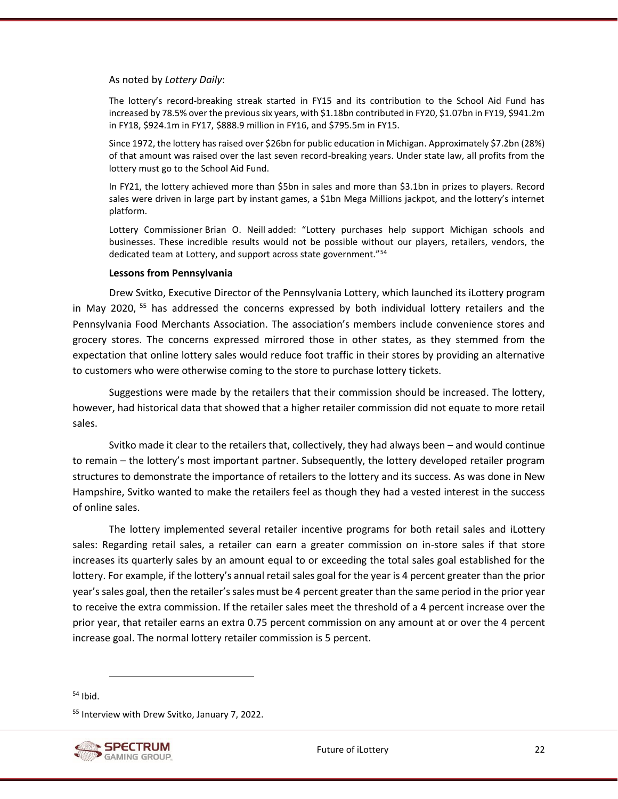As noted by *Lottery Daily*:

The lottery's record-breaking streak started in FY15 and its contribution to the School Aid Fund has increased by 78.5% over the previous six years, with \$1.18bn contributed in FY20, \$1.07bn in FY19, \$941.2m in FY18, \$924.1m in FY17, \$888.9 million in FY16, and \$795.5m in FY15.

Since 1972, the lottery has raised over \$26bn for public education in Michigan. Approximately \$7.2bn (28%) of that amount was raised over the last seven record-breaking years. Under state law, all profits from the lottery must go to the School Aid Fund.

In FY21, the lottery achieved more than \$5bn in sales and more than \$3.1bn in prizes to players. Record sales were driven in large part by instant games, a \$1bn Mega Millions jackpot, and the lottery's internet platform.

Lottery Commissioner Brian O. Neill added: "Lottery purchases help support Michigan schools and businesses. These incredible results would not be possible without our players, retailers, vendors, the dedicated team at Lottery, and support across state government."<sup>54</sup>

#### **Lessons from Pennsylvania**

Drew Svitko, Executive Director of the Pennsylvania Lottery, which launched its iLottery program in May 2020, <sup>55</sup> has addressed the concerns expressed by both individual lottery retailers and the Pennsylvania Food Merchants Association. The association's members include convenience stores and grocery stores. The concerns expressed mirrored those in other states, as they stemmed from the expectation that online lottery sales would reduce foot traffic in their stores by providing an alternative to customers who were otherwise coming to the store to purchase lottery tickets.

Suggestions were made by the retailers that their commission should be increased. The lottery, however, had historical data that showed that a higher retailer commission did not equate to more retail sales.

Svitko made it clear to the retailers that, collectively, they had always been – and would continue to remain – the lottery's most important partner. Subsequently, the lottery developed retailer program structures to demonstrate the importance of retailers to the lottery and its success. As was done in New Hampshire, Svitko wanted to make the retailers feel as though they had a vested interest in the success of online sales.

The lottery implemented several retailer incentive programs for both retail sales and iLottery sales: Regarding retail sales, a retailer can earn a greater commission on in-store sales if that store increases its quarterly sales by an amount equal to or exceeding the total sales goal established for the lottery. For example, if the lottery's annual retail sales goal for the year is 4 percent greater than the prior year's sales goal, then the retailer's sales must be 4 percent greater than the same period in the prior year to receive the extra commission. If the retailer sales meet the threshold of a 4 percent increase over the prior year, that retailer earns an extra 0.75 percent commission on any amount at or over the 4 percent increase goal. The normal lottery retailer commission is 5 percent.

 $54$  Ibid.

<sup>55</sup> Interview with Drew Svitko, January 7, 2022.



Future of iLottery 22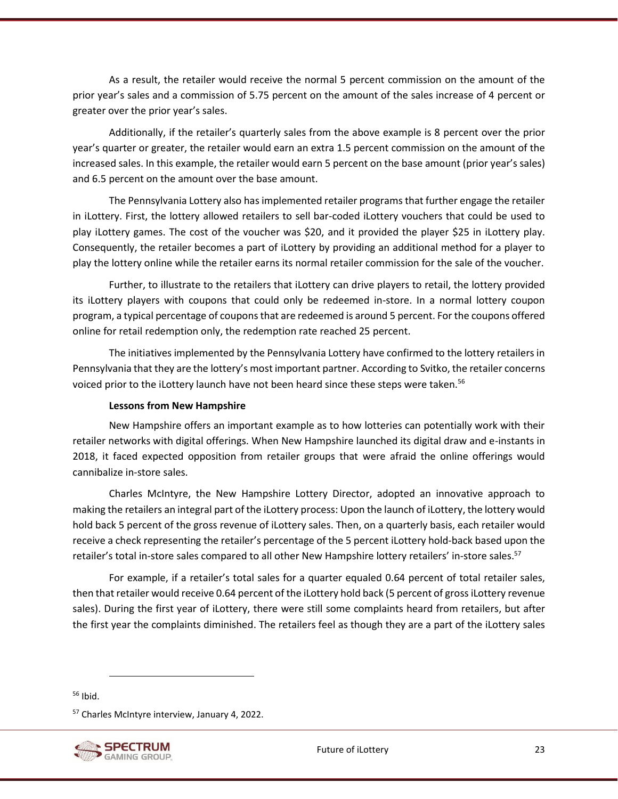As a result, the retailer would receive the normal 5 percent commission on the amount of the prior year's sales and a commission of 5.75 percent on the amount of the sales increase of 4 percent or greater over the prior year's sales.

Additionally, if the retailer's quarterly sales from the above example is 8 percent over the prior year's quarter or greater, the retailer would earn an extra 1.5 percent commission on the amount of the increased sales. In this example, the retailer would earn 5 percent on the base amount (prior year's sales) and 6.5 percent on the amount over the base amount.

The Pennsylvania Lottery also has implemented retailer programs that further engage the retailer in iLottery. First, the lottery allowed retailers to sell bar-coded iLottery vouchers that could be used to play iLottery games. The cost of the voucher was \$20, and it provided the player \$25 in iLottery play. Consequently, the retailer becomes a part of iLottery by providing an additional method for a player to play the lottery online while the retailer earns its normal retailer commission for the sale of the voucher.

Further, to illustrate to the retailers that iLottery can drive players to retail, the lottery provided its iLottery players with coupons that could only be redeemed in-store. In a normal lottery coupon program, a typical percentage of coupons that are redeemed is around 5 percent. For the coupons offered online for retail redemption only, the redemption rate reached 25 percent.

The initiatives implemented by the Pennsylvania Lottery have confirmed to the lottery retailers in Pennsylvania that they are the lottery's most important partner. According to Svitko, the retailer concerns voiced prior to the iLottery launch have not been heard since these steps were taken.<sup>56</sup>

#### **Lessons from New Hampshire**

New Hampshire offers an important example as to how lotteries can potentially work with their retailer networks with digital offerings. When New Hampshire launched its digital draw and e-instants in 2018, it faced expected opposition from retailer groups that were afraid the online offerings would cannibalize in-store sales.

Charles McIntyre, the New Hampshire Lottery Director, adopted an innovative approach to making the retailers an integral part of the iLottery process: Upon the launch of iLottery, the lottery would hold back 5 percent of the gross revenue of iLottery sales. Then, on a quarterly basis, each retailer would receive a check representing the retailer's percentage of the 5 percent iLottery hold-back based upon the retailer's total in-store sales compared to all other New Hampshire lottery retailers' in-store sales.<sup>57</sup>

For example, if a retailer's total sales for a quarter equaled 0.64 percent of total retailer sales, then that retailer would receive 0.64 percent of the iLottery hold back (5 percent of gross iLottery revenue sales). During the first year of iLottery, there were still some complaints heard from retailers, but after the first year the complaints diminished. The retailers feel as though they are a part of the iLottery sales

<sup>56</sup> Ibid.

<sup>57</sup> Charles McIntyre interview, January 4, 2022.



Future of iLottery 23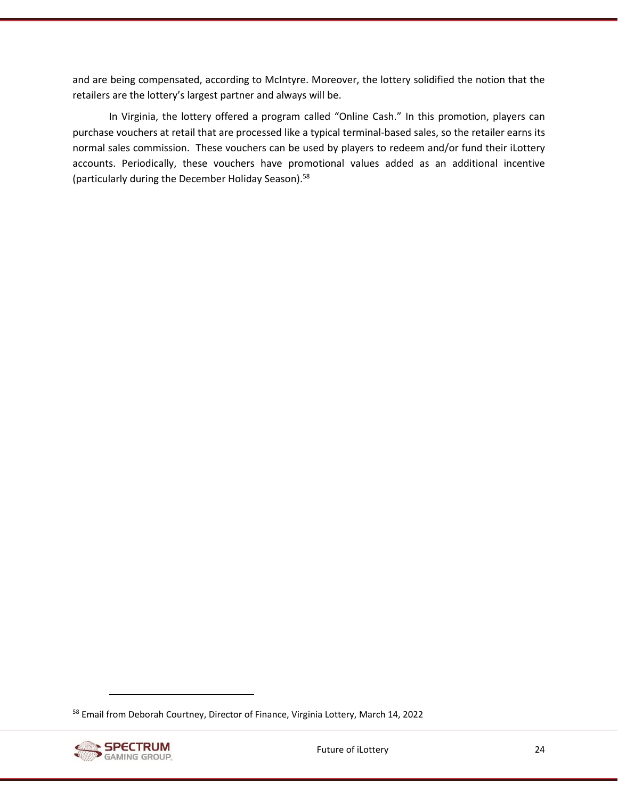and are being compensated, according to McIntyre. Moreover, the lottery solidified the notion that the retailers are the lottery's largest partner and always will be.

In Virginia, the lottery offered a program called "Online Cash." In this promotion, players can purchase vouchers at retail that are processed like a typical terminal-based sales, so the retailer earns its normal sales commission. These vouchers can be used by players to redeem and/or fund their iLottery accounts. Periodically, these vouchers have promotional values added as an additional incentive (particularly during the December Holiday Season).<sup>58</sup>

<sup>&</sup>lt;sup>58</sup> Email from Deborah Courtney, Director of Finance, Virginia Lottery, March 14, 2022

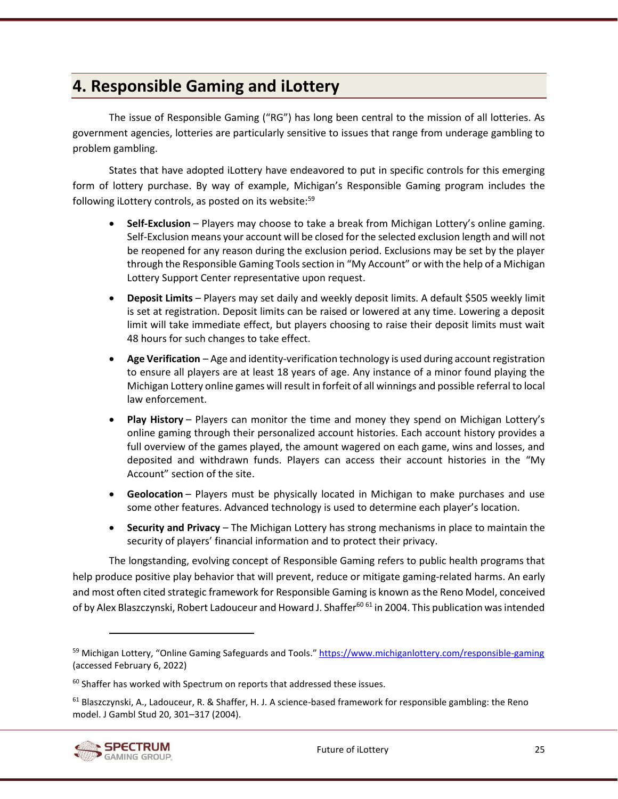# <span id="page-37-0"></span>**4. Responsible Gaming and iLottery**

The issue of Responsible Gaming ("RG") has long been central to the mission of all lotteries. As government agencies, lotteries are particularly sensitive to issues that range from underage gambling to problem gambling.

States that have adopted iLottery have endeavored to put in specific controls for this emerging form of lottery purchase. By way of example, Michigan's Responsible Gaming program includes the following iLottery controls, as posted on its website:<sup>59</sup>

- **[Self-Exclusion](https://www.michiganlottery.com/responsible-gaming?neodl=SelfExclusion)** Players may choose to take a break from Michigan Lottery's online gaming. Self-Exclusion means your account will be closed for the selected exclusion length and will not be reopened for any reason during the exclusion period. Exclusions may be set by the player through the Responsible Gaming Tools section in "My Account" or with the help of a Michigan Lottery Support Center representative upon request.
- **[Deposit Limits](https://www.michiganlottery.com/responsible-gaming?neodl=DepositLimit)** Players may set daily and weekly deposit limits. A default \$505 weekly limit is set at registration. Deposit limits can be raised or lowered at any time. Lowering a deposit limit will take immediate effect, but players choosing to raise their deposit limits must wait 48 hours for such changes to take effect.
- **Age Verification** Age and identity-verification technology is used during account registration to ensure all players are at least 18 years of age. Any instance of a minor found playing the Michigan Lottery online games will result in forfeit of all winnings and possible referral to local law enforcement.
- **[Play History](https://www.michiganlottery.com/responsible-gaming?neodl=GamesHistory)** Players can monitor the time and money they spend on Michigan Lottery's online gaming through their personalized account histories. Each account history provides a full overview of the games played, the amount wagered on each game, wins and losses, and deposited and withdrawn funds. Players can access their account histories in the "My Account" section of the site.
- **Geolocation** Players must be physically located in Michigan to make purchases and use some other features. Advanced technology is used to determine each player's location.
- **Security and Privacy** The Michigan Lottery has strong mechanisms in place to maintain the security of players' financial information and to protect their privacy.

The longstanding, evolving concept of Responsible Gaming refers to public health programs that help produce positive play behavior that will prevent, reduce or mitigate gaming-related harms. An early and most often cited strategic framework for Responsible Gaming is known as the Reno Model, conceived of by Alex Blaszczynski, Robert Ladouceur and Howard J. Shaffer<sup>60 61</sup> in 2004. This publication was intended

<sup>&</sup>lt;sup>61</sup> Blaszczynski, A., Ladouceur, R. & Shaffer, H. J. A science-based framework for responsible gambling: the Reno model. J Gambl Stud 20, 301–317 (2004).



<sup>&</sup>lt;sup>59</sup> Michigan Lottery, "Online Gaming Safeguards and Tools." <https://www.michiganlottery.com/responsible-gaming> (accessed February 6, 2022)

 $60$  Shaffer has worked with Spectrum on reports that addressed these issues.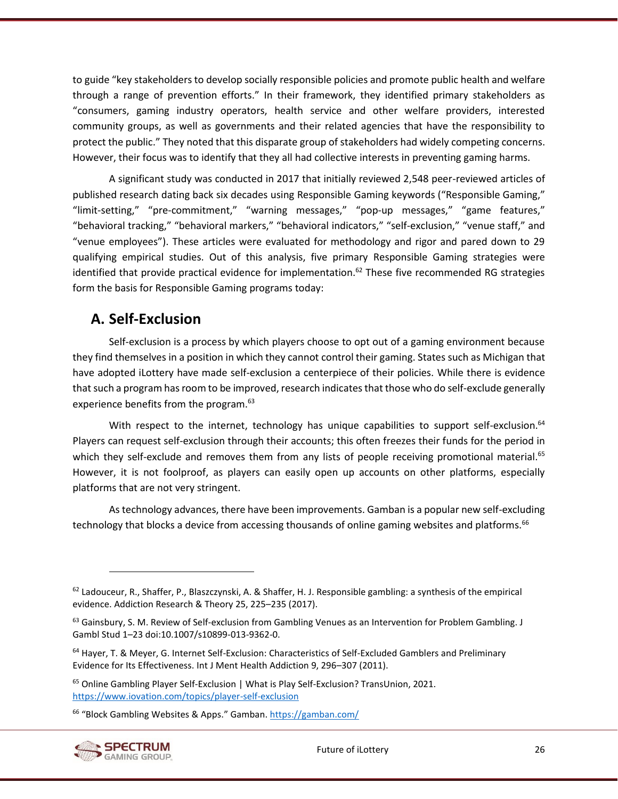to guide "key stakeholders to develop socially responsible policies and promote public health and welfare through a range of prevention efforts." In their framework, they identified primary stakeholders as "consumers, gaming industry operators, health service and other welfare providers, interested community groups, as well as governments and their related agencies that have the responsibility to protect the public." They noted that this disparate group of stakeholders had widely competing concerns. However, their focus was to identify that they all had collective interests in preventing gaming harms.

A significant study was conducted in 2017 that initially reviewed 2,548 peer-reviewed articles of published research dating back six decades using Responsible Gaming keywords ("Responsible Gaming," "limit-setting," "pre-commitment," "warning messages," "pop-up messages," "game features," "behavioral tracking," "behavioral markers," "behavioral indicators," "self-exclusion," "venue staff," and "venue employees"). These articles were evaluated for methodology and rigor and pared down to 29 qualifying empirical studies. Out of this analysis, five primary Responsible Gaming strategies were identified that provide practical evidence for implementation.<sup>62</sup> These five recommended RG strategies form the basis for Responsible Gaming programs today:

# <span id="page-38-0"></span>**A. Self-Exclusion**

Self-exclusion is a process by which players choose to opt out of a gaming environment because they find themselves in a position in which they cannot control their gaming. States such as Michigan that have adopted iLottery have made self-exclusion a centerpiece of their policies. While there is evidence that such a program has room to be improved, research indicates that those who do self-exclude generally experience benefits from the program.<sup>63</sup>

With respect to the internet, technology has unique capabilities to support self-exclusion.  $64$ Players can request self-exclusion through their accounts; this often freezes their funds for the period in which they self-exclude and removes them from any lists of people receiving promotional material.<sup>65</sup> However, it is not foolproof, as players can easily open up accounts on other platforms, especially platforms that are not very stringent.

As technology advances, there have been improvements. Gamban is a popular new self-excluding technology that blocks a device from accessing thousands of online gaming websites and platforms.<sup>66</sup>

<sup>&</sup>lt;sup>66</sup> "Block Gambling Websites & Apps." Gamban. <https://gamban.com/>



 $62$  Ladouceur, R., Shaffer, P., Blaszczynski, A. & Shaffer, H. J. Responsible gambling: a synthesis of the empirical evidence. Addiction Research & Theory 25, 225–235 (2017).

<sup>63</sup> Gainsbury, S. M. Review of Self-exclusion from Gambling Venues as an Intervention for Problem Gambling. J Gambl Stud 1–23 doi:10.1007/s10899-013-9362-0.

<sup>&</sup>lt;sup>64</sup> Hayer, T. & Meyer, G. Internet Self-Exclusion: Characteristics of Self-Excluded Gamblers and Preliminary Evidence for Its Effectiveness. Int J Ment Health Addiction 9, 296–307 (2011).

<sup>&</sup>lt;sup>65</sup> Online Gambling Player Self-Exclusion | What is Play Self-Exclusion? TransUnion, 2021. <https://www.iovation.com/topics/player-self-exclusion>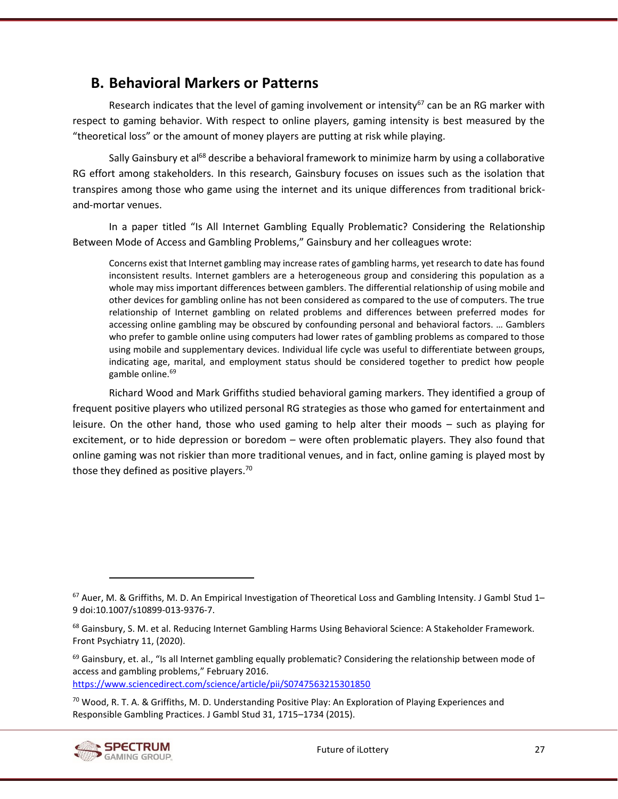# <span id="page-39-0"></span>**B. Behavioral Markers or Patterns**

Research indicates that the level of gaming involvement or intensity<sup>67</sup> can be an RG marker with respect to gaming behavior. With respect to online players, gaming intensity is best measured by the "theoretical loss" or the amount of money players are putting at risk while playing.

Sally Gainsbury et al<sup>68</sup> describe a behavioral framework to minimize harm by using a collaborative RG effort among stakeholders. In this research, Gainsbury focuses on issues such as the isolation that transpires among those who game using the internet and its unique differences from traditional brickand-mortar venues.

In a paper titled "Is All Internet Gambling Equally Problematic? Considering the Relationship Between Mode of Access and Gambling Problems," Gainsbury and her colleagues wrote:

Concerns exist that Internet gambling may increase rates of gambling harms, yet research to date has found inconsistent results. Internet gamblers are a heterogeneous group and considering this population as a whole may miss important differences between gamblers. The differential relationship of using mobile and other devices for gambling online has not been considered as compared to the use of computers. The true relationship of Internet gambling on related problems and differences between preferred modes for accessing online gambling may be obscured by confounding personal and behavioral factors. … Gamblers who prefer to gamble online using computers had lower rates of gambling problems as compared to those using mobile and supplementary devices. Individual life cycle was useful to differentiate between groups, indicating age, marital, and employment status should be considered together to predict how people gamble online.<sup>69</sup>

Richard Wood and Mark Griffiths studied behavioral gaming markers. They identified a group of frequent positive players who utilized personal RG strategies as those who gamed for entertainment and leisure. On the other hand, those who used gaming to help alter their moods – such as playing for excitement, or to hide depression or boredom – were often problematic players. They also found that online gaming was not riskier than more traditional venues, and in fact, online gaming is played most by those they defined as positive players. $70$ 

 $69$  Gainsbury, et. al., "Is all Internet gambling equally problematic? Considering the relationship between mode of access and gambling problems," February 2016. <https://www.sciencedirect.com/science/article/pii/S0747563215301850>

 $70$  Wood, R. T. A. & Griffiths, M. D. Understanding Positive Play: An Exploration of Playing Experiences and Responsible Gambling Practices. J Gambl Stud 31, 1715–1734 (2015).



<sup>67</sup> Auer, M. & Griffiths, M. D. An Empirical Investigation of Theoretical Loss and Gambling Intensity. J Gambl Stud 1-9 doi:10.1007/s10899-013-9376-7.

<sup>&</sup>lt;sup>68</sup> Gainsbury, S. M. et al. Reducing Internet Gambling Harms Using Behavioral Science: A Stakeholder Framework. Front Psychiatry 11, (2020).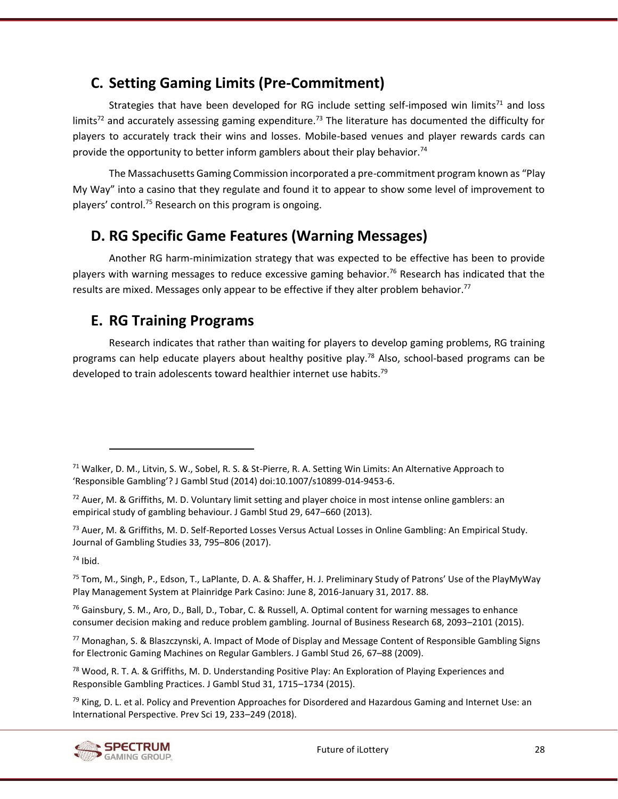# <span id="page-40-0"></span>**C. Setting Gaming Limits (Pre-Commitment)**

Strategies that have been developed for RG include setting self-imposed win limits<sup>71</sup> and loss limits<sup>72</sup> and accurately assessing gaming expenditure.<sup>73</sup> The literature has documented the difficulty for players to accurately track their wins and losses. Mobile-based venues and player rewards cards can provide the opportunity to better inform gamblers about their play behavior.<sup>74</sup>

The Massachusetts Gaming Commission incorporated a pre-commitment program known as "Play My Way" into a casino that they regulate and found it to appear to show some level of improvement to players' control.<sup>75</sup> Research on this program is ongoing.

# <span id="page-40-1"></span>**D. RG Specific Game Features (Warning Messages)**

Another RG harm-minimization strategy that was expected to be effective has been to provide players with warning messages to reduce excessive gaming behavior.<sup>76</sup> Research has indicated that the results are mixed. Messages only appear to be effective if they alter problem behavior.<sup>77</sup>

# <span id="page-40-2"></span>**E. RG Training Programs**

Research indicates that rather than waiting for players to develop gaming problems, RG training programs can help educate players about healthy positive play.<sup>78</sup> Also, school-based programs can be developed to train adolescents toward healthier internet use habits.<sup>79</sup>

<sup>73</sup> Auer, M. & Griffiths, M. D. Self-Reported Losses Versus Actual Losses in Online Gambling: An Empirical Study. Journal of Gambling Studies 33, 795–806 (2017).

<sup>74</sup> Ibid.

<sup>75</sup> Tom, M., Singh, P., Edson, T., LaPlante, D. A. & Shaffer, H. J. Preliminary Study of Patrons' Use of the PlayMyWay Play Management System at Plainridge Park Casino: June 8, 2016-January 31, 2017. 88.

<sup>76</sup> Gainsbury, S. M., Aro, D., Ball, D., Tobar, C. & Russell, A. Optimal content for warning messages to enhance consumer decision making and reduce problem gambling. Journal of Business Research 68, 2093–2101 (2015).

<sup>77</sup> Monaghan, S. & Blaszczynski, A. Impact of Mode of Display and Message Content of Responsible Gambling Signs for Electronic Gaming Machines on Regular Gamblers. J Gambl Stud 26, 67–88 (2009).

<sup>78</sup> Wood, R. T. A. & Griffiths, M. D. Understanding Positive Play: An Exploration of Playing Experiences and Responsible Gambling Practices. J Gambl Stud 31, 1715–1734 (2015).

 $79$  King, D. L. et al. Policy and Prevention Approaches for Disordered and Hazardous Gaming and Internet Use: an International Perspective. Prev Sci 19, 233–249 (2018).



<sup>71</sup> Walker, D. M., Litvin, S. W., Sobel, R. S. & St-Pierre, R. A. Setting Win Limits: An Alternative Approach to 'Responsible Gambling'? J Gambl Stud (2014) doi:10.1007/s10899-014-9453-6.

<sup>72</sup> Auer, M. & Griffiths, M. D. Voluntary limit setting and player choice in most intense online gamblers: an empirical study of gambling behaviour. J Gambl Stud 29, 647–660 (2013).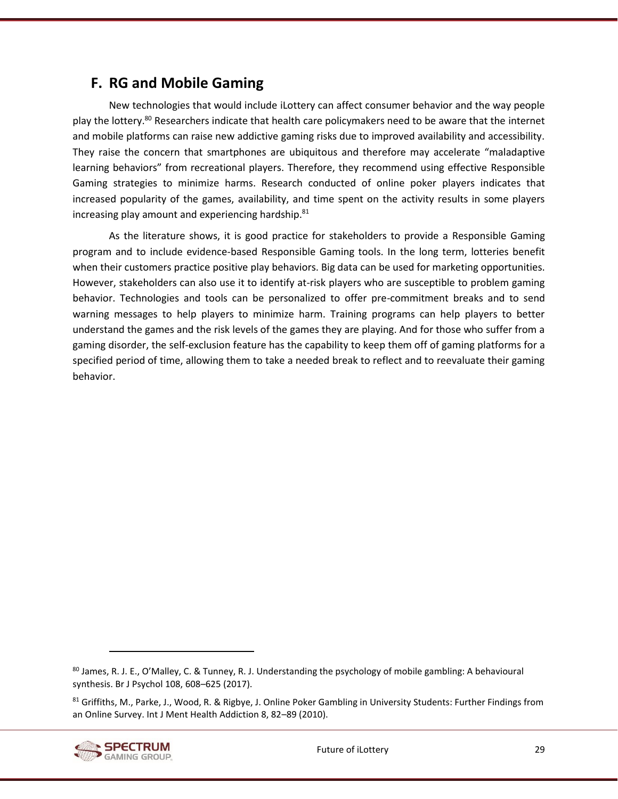# <span id="page-41-0"></span>**F. RG and Mobile Gaming**

New technologies that would include iLottery can affect consumer behavior and the way people play the lottery.<sup>80</sup> Researchers indicate that health care policymakers need to be aware that the internet and mobile platforms can raise new addictive gaming risks due to improved availability and accessibility. They raise the concern that smartphones are ubiquitous and therefore may accelerate "maladaptive learning behaviors" from recreational players. Therefore, they recommend using effective Responsible Gaming strategies to minimize harms. Research conducted of online poker players indicates that increased popularity of the games, availability, and time spent on the activity results in some players increasing play amount and experiencing hardship.<sup>81</sup>

As the literature shows, it is good practice for stakeholders to provide a Responsible Gaming program and to include evidence-based Responsible Gaming tools. In the long term, lotteries benefit when their customers practice positive play behaviors. Big data can be used for marketing opportunities. However, stakeholders can also use it to identify at-risk players who are susceptible to problem gaming behavior. Technologies and tools can be personalized to offer pre-commitment breaks and to send warning messages to help players to minimize harm. Training programs can help players to better understand the games and the risk levels of the games they are playing. And for those who suffer from a gaming disorder, the self-exclusion feature has the capability to keep them off of gaming platforms for a specified period of time, allowing them to take a needed break to reflect and to reevaluate their gaming behavior.

<sup>81</sup> Griffiths, M., Parke, J., Wood, R. & Rigbye, J. Online Poker Gambling in University Students: Further Findings from an Online Survey. Int J Ment Health Addiction 8, 82–89 (2010).



<sup>80</sup> James, R. J. E., O'Malley, C. & Tunney, R. J. Understanding the psychology of mobile gambling: A behavioural synthesis. Br J Psychol 108, 608–625 (2017).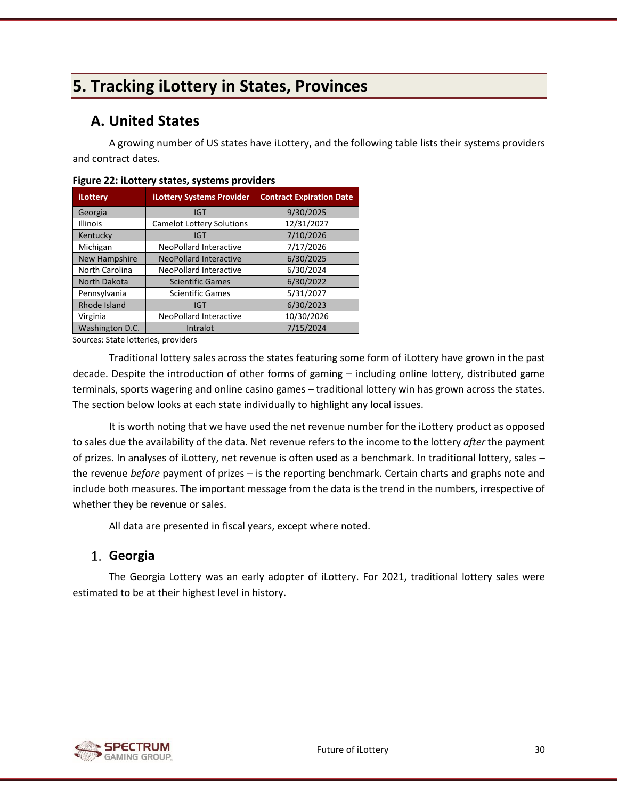# <span id="page-42-0"></span>**5. Tracking iLottery in States, Provinces**

# <span id="page-42-1"></span>**A. United States**

A growing number of US states have iLottery, and the following table lists their systems providers and contract dates.

| iLottery        | <b>iLottery Systems Provider</b> | <b>Contract Expiration Date</b> |  |
|-----------------|----------------------------------|---------------------------------|--|
| Georgia         | <b>IGT</b>                       | 9/30/2025                       |  |
| <b>Illinois</b> | <b>Camelot Lottery Solutions</b> | 12/31/2027                      |  |
| Kentucky        | <b>IGT</b>                       | 7/10/2026                       |  |
| Michigan        | <b>NeoPollard Interactive</b>    | 7/17/2026                       |  |
| New Hampshire   | <b>NeoPollard Interactive</b>    | 6/30/2025                       |  |
| North Carolina  | <b>NeoPollard Interactive</b>    | 6/30/2024                       |  |
| North Dakota    | <b>Scientific Games</b>          | 6/30/2022                       |  |
| Pennsylvania    | <b>Scientific Games</b>          | 5/31/2027                       |  |
| Rhode Island    | IGT                              | 6/30/2023                       |  |
| Virginia        | NeoPollard Interactive           | 10/30/2026                      |  |
| Washington D.C. | Intralot                         | 7/15/2024                       |  |

<span id="page-42-3"></span>**Figure 22: iLottery states, systems providers**

Sources: State lotteries, providers

Traditional lottery sales across the states featuring some form of iLottery have grown in the past decade. Despite the introduction of other forms of gaming – including online lottery, distributed game terminals, sports wagering and online casino games – traditional lottery win has grown across the states. The section below looks at each state individually to highlight any local issues.

It is worth noting that we have used the net revenue number for the iLottery product as opposed to sales due the availability of the data. Net revenue refers to the income to the lottery *after* the payment of prizes. In analyses of iLottery, net revenue is often used as a benchmark. In traditional lottery, sales – the revenue *before* payment of prizes – is the reporting benchmark. Certain charts and graphs note and include both measures. The important message from the data is the trend in the numbers, irrespective of whether they be revenue or sales.

All data are presented in fiscal years, except where noted.

## <span id="page-42-2"></span>**Georgia**

The Georgia Lottery was an early adopter of iLottery. For 2021, traditional lottery sales were estimated to be at their highest level in history.

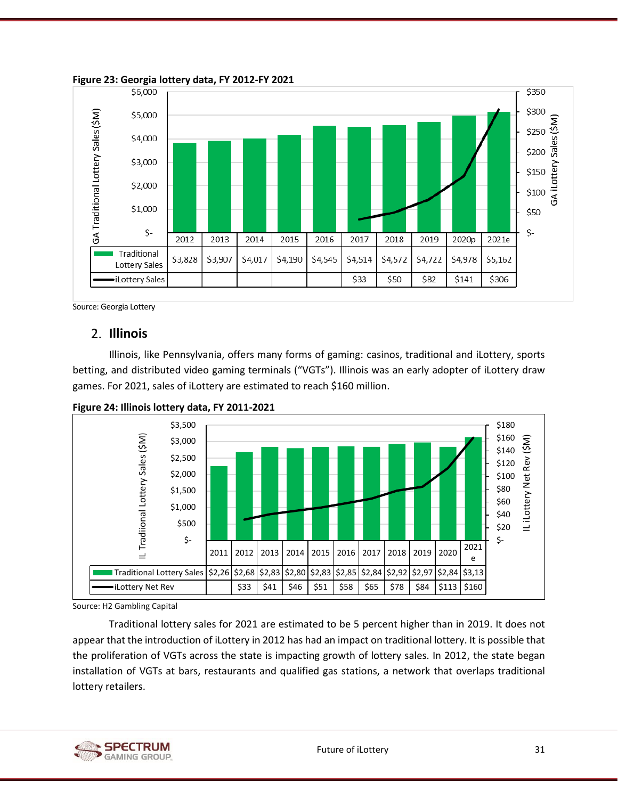

<span id="page-43-1"></span>**Figure 23: Georgia lottery data, FY 2012-FY 2021**

<span id="page-43-0"></span>

#### **Illinois**

Illinois, like Pennsylvania, offers many forms of gaming: casinos, traditional and iLottery, sports betting, and distributed video gaming terminals ("VGTs"). Illinois was an early adopter of iLottery draw games. For 2021, sales of iLottery are estimated to reach \$160 million.



<span id="page-43-2"></span>**Figure 24: Illinois lottery data, FY 2011-2021**

Source: H2 Gambling Capital

Traditional lottery sales for 2021 are estimated to be 5 percent higher than in 2019. It does not appear that the introduction of iLottery in 2012 has had an impact on traditional lottery. It is possible that the proliferation of VGTs across the state is impacting growth of lottery sales. In 2012, the state began installation of VGTs at bars, restaurants and qualified gas stations, a network that overlaps traditional lottery retailers.

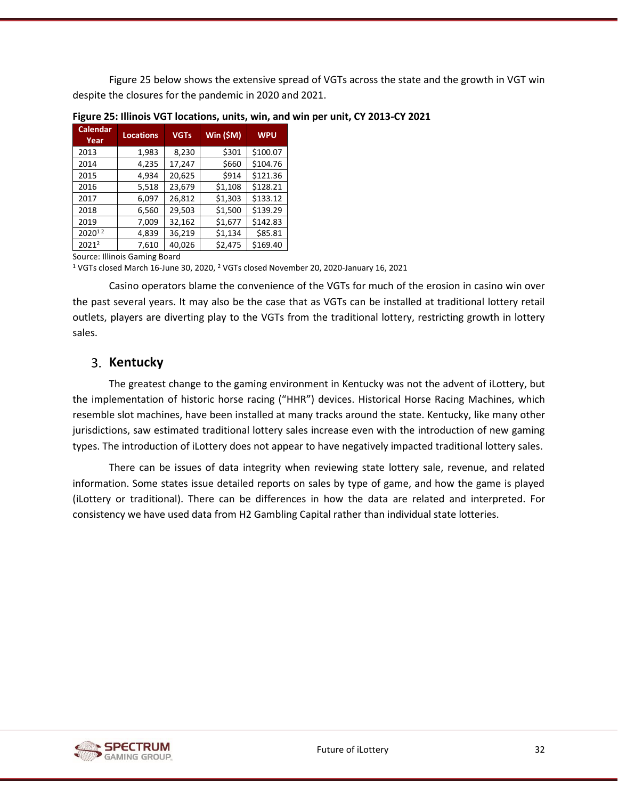[Figure 25](#page-44-1) below shows the extensive spread of VGTs across the state and the growth in VGT win despite the closures for the pandemic in 2020 and 2021.

| <b>Calendar</b><br>Year | <b>Locations</b> | <b>VGTs</b> | Win (\$M) | <b>WPU</b> |
|-------------------------|------------------|-------------|-----------|------------|
| 2013                    | 1,983            | 8,230       | \$301     | \$100.07   |
| 2014                    | 4,235            | 17,247      | \$660     | \$104.76   |
| 2015                    | 4,934            | 20,625      | \$914     | \$121.36   |
| 2016                    | 5,518            | 23,679      | \$1,108   | \$128.21   |
| 2017                    | 6,097            | 26,812      | \$1,303   | \$133.12   |
| 2018                    | 6,560            | 29,503      | \$1,500   | \$139.29   |
| 2019                    | 7,009            | 32,162      | \$1,677   | \$142.83   |
| 202012                  | 4,839            | 36,219      | \$1,134   | \$85.81    |
| 20212                   | 7,610            | 40,026      | \$2,475   | \$169.40   |

<span id="page-44-1"></span>**Figure 25: Illinois VGT locations, units, win, and win per unit, CY 2013-CY 2021**

Source: Illinois Gaming Board

<sup>1</sup> VGTs closed March 16-June 30, 2020, <sup>2</sup> VGTs closed November 20, 2020-January 16, 2021

Casino operators blame the convenience of the VGTs for much of the erosion in casino win over the past several years. It may also be the case that as VGTs can be installed at traditional lottery retail outlets, players are diverting play to the VGTs from the traditional lottery, restricting growth in lottery sales.

## <span id="page-44-0"></span>3. Kentucky

The greatest change to the gaming environment in Kentucky was not the advent of iLottery, but the implementation of historic horse racing ("HHR") devices. Historical Horse Racing Machines, which resemble slot machines, have been installed at many tracks around the state. Kentucky, like many other jurisdictions, saw estimated traditional lottery sales increase even with the introduction of new gaming types. The introduction of iLottery does not appear to have negatively impacted traditional lottery sales.

There can be issues of data integrity when reviewing state lottery sale, revenue, and related information. Some states issue detailed reports on sales by type of game, and how the game is played (iLottery or traditional). There can be differences in how the data are related and interpreted. For consistency we have used data from H2 Gambling Capital rather than individual state lotteries.

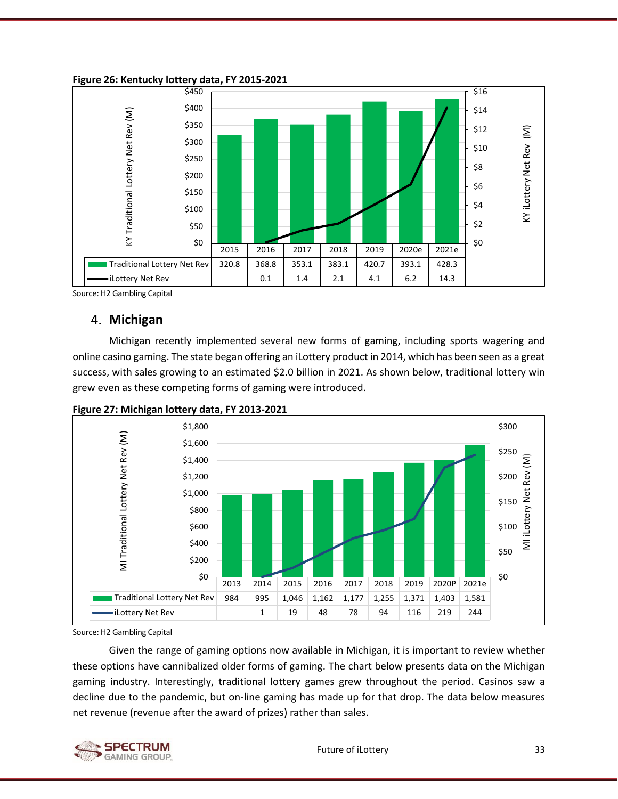<span id="page-45-1"></span>

<span id="page-45-0"></span>Source: H2 Gambling Capital

### **Michigan**

Michigan recently implemented several new forms of gaming, including sports wagering and online casino gaming. The state began offering an iLottery product in 2014, which has been seen as a great success, with sales growing to an estimated \$2.0 billion in 2021. As shown below, traditional lottery win grew even as these competing forms of gaming were introduced.



<span id="page-45-2"></span>**Figure 27: Michigan lottery data, FY 2013-2021**

Source: H2 Gambling Capital

Given the range of gaming options now available in Michigan, it is important to review whether these options have cannibalized older forms of gaming. The chart below presents data on the Michigan gaming industry. Interestingly, traditional lottery games grew throughout the period. Casinos saw a decline due to the pandemic, but on-line gaming has made up for that drop. The data below measures net revenue (revenue after the award of prizes) rather than sales.

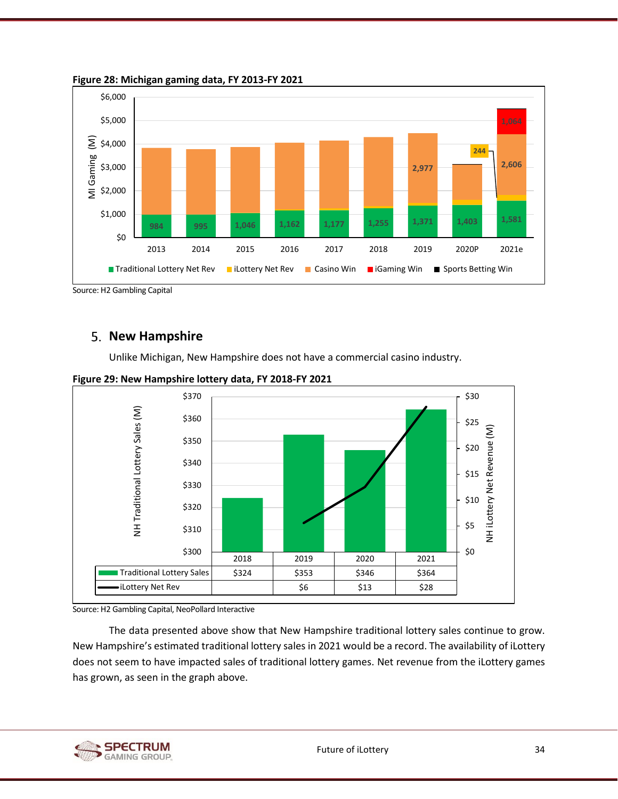

<span id="page-46-1"></span>**Figure 28: Michigan gaming data, FY 2013-FY 2021**

### <span id="page-46-0"></span>**5. New Hampshire**

Unlike Michigan, New Hampshire does not have a commercial casino industry.



<span id="page-46-2"></span>**Figure 29: New Hampshire lottery data, FY 2018-FY 2021**

Source: H2 Gambling Capital, NeoPollard Interactive

The data presented above show that New Hampshire traditional lottery sales continue to grow. New Hampshire's estimated traditional lottery sales in 2021 would be a record. The availability of iLottery does not seem to have impacted sales of traditional lottery games. Net revenue from the iLottery games has grown, as seen in the graph above.



Source: H2 Gambling Capital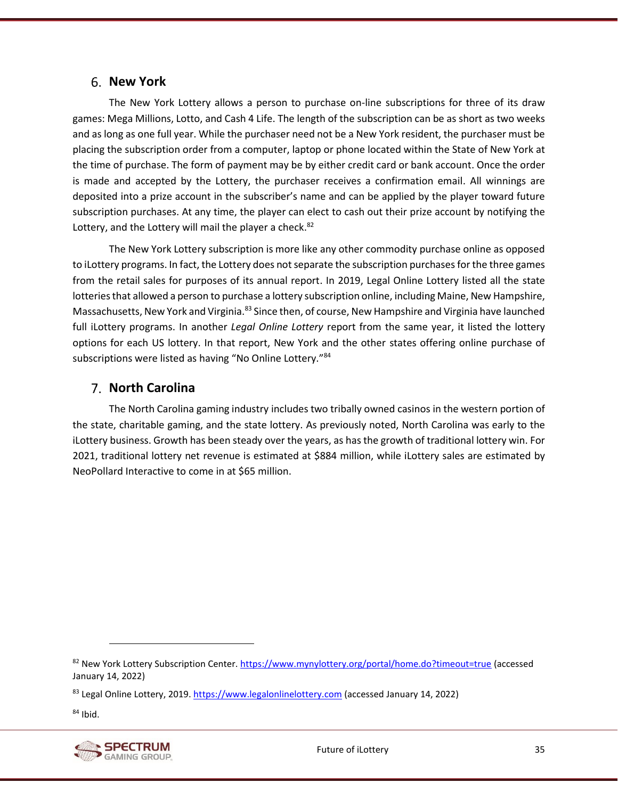#### <span id="page-47-0"></span>**New York**

The New York Lottery allows a person to purchase on-line subscriptions for three of its draw games: Mega Millions, Lotto, and Cash 4 Life. The length of the subscription can be as short as two weeks and as long as one full year. While the purchaser need not be a New York resident, the purchaser must be placing the subscription order from a computer, laptop or phone located within the State of New York at the time of purchase. The form of payment may be by either credit card or bank account. Once the order is made and accepted by the Lottery, the purchaser receives a confirmation email. All winnings are deposited into a prize account in the subscriber's name and can be applied by the player toward future subscription purchases. At any time, the player can elect to cash out their prize account by notifying the Lottery, and the Lottery will mail the player a check.<sup>82</sup>

The New York Lottery subscription is more like any other commodity purchase online as opposed to iLottery programs. In fact, the Lottery does not separate the subscription purchases for the three games from the retail sales for purposes of its annual report. In 2019, Legal Online Lottery listed all the state lotteries that allowed a person to purchase a lottery subscription online, including Maine, New Hampshire, Massachusetts, New York and Virginia.<sup>83</sup> Since then, of course, New Hampshire and Virginia have launched full iLottery programs. In another *Legal Online Lottery* report from the same year, it listed the lottery options for each US lottery. In that report, New York and the other states offering online purchase of subscriptions were listed as having "No Online Lottery."<sup>84</sup>

#### <span id="page-47-1"></span>**North Carolina**

The North Carolina gaming industry includes two tribally owned casinos in the western portion of the state, charitable gaming, and the state lottery. As previously noted, North Carolina was early to the iLottery business. Growth has been steady over the years, as has the growth of traditional lottery win. For 2021, traditional lottery net revenue is estimated at \$884 million, while iLottery sales are estimated by NeoPollard Interactive to come in at \$65 million.

 $84$  Ibid.



<sup>82</sup> New York Lottery Subscription Center. <https://www.mynylottery.org/portal/home.do?timeout=true> (accessed January 14, 2022)

<sup>83</sup> Legal Online Lottery, 2019. [https://www.legalonlinelottery.com](https://www.legalonlinelottery.com/) (accessed January 14, 2022)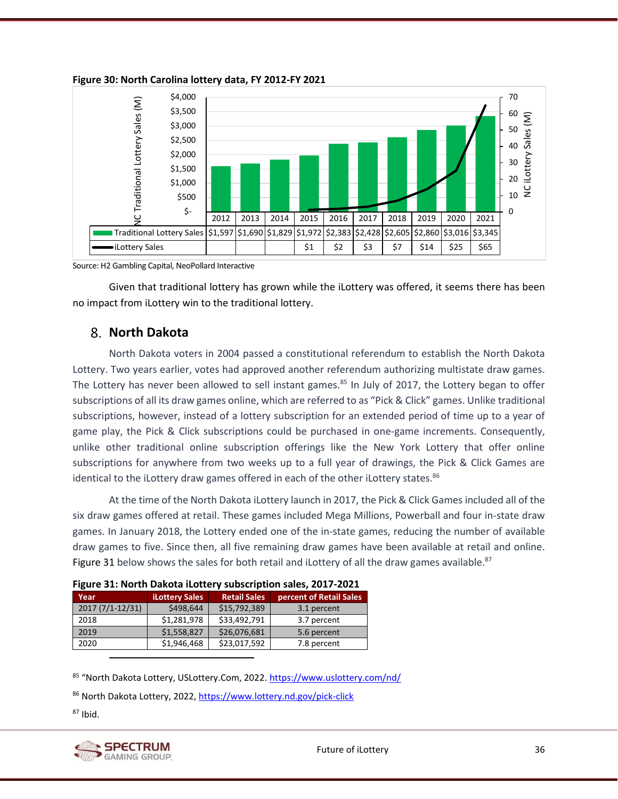

#### <span id="page-48-1"></span>**Figure 30: North Carolina lottery data, FY 2012-FY 2021**

Source: H2 Gambling Capital, NeoPollard Interactive

Given that traditional lottery has grown while the iLottery was offered, it seems there has been no impact from iLottery win to the traditional lottery.

### <span id="page-48-0"></span>**North Dakota**

North Dakota voters in 2004 passed a constitutional referendum to establish the North Dakota Lottery. Two years earlier, votes had approved another referendum authorizing multistate draw games. The Lottery has never been allowed to sell instant games. $85$  In July of 2017, the Lottery began to offer subscriptions of all its draw games online, which are referred to as "Pick & Click" games. Unlike traditional subscriptions, however, instead of a lottery subscription for an extended period of time up to a year of game play, the Pick & Click subscriptions could be purchased in one-game increments. Consequently, unlike other traditional online subscription offerings like the New York Lottery that offer online subscriptions for anywhere from two weeks up to a full year of drawings, the Pick & Click Games are identical to the iLottery draw games offered in each of the other iLottery states.<sup>86</sup>

At the time of the North Dakota iLottery launch in 2017, the Pick & Click Games included all of the six draw games offered at retail. These games included Mega Millions, Powerball and four in-state draw games. In January 2018, the Lottery ended one of the in-state games, reducing the number of available draw games to five. Since then, all five remaining draw games have been available at retail and online. [Figure 31](#page-48-2) below shows the sales for both retail and iLottery of all the draw games available.<sup>87</sup>

| TIRMIC 91. NOI (II DUNO(U ILO((CI V JUNJCI IN(IOII JUICJ) LOI)   LOLI |                       |                     |                         |  |  |  |
|-----------------------------------------------------------------------|-----------------------|---------------------|-------------------------|--|--|--|
| Year                                                                  | <b>iLottery Sales</b> | <b>Retail Sales</b> | percent of Retail Sales |  |  |  |
| 2017 (7/1-12/31)                                                      | \$498,644             | \$15,792,389        | 3.1 percent             |  |  |  |
| 2018                                                                  | \$1,281,978           | \$33,492,791        | 3.7 percent             |  |  |  |
| 2019                                                                  | \$1,558,827           | \$26,076,681        | 5.6 percent             |  |  |  |
| 2020                                                                  | \$1,946,468           | \$23,017,592        | 7.8 percent             |  |  |  |

<span id="page-48-2"></span>

|  | Figure 31: North Dakota iLottery subscription sales, 2017-2021 |
|--|----------------------------------------------------------------|
|--|----------------------------------------------------------------|

85 "North Dakota Lottery, USLottery.Com, 2022. <https://www.uslottery.com/nd/>

86 North Dakota Lottery, 2022,<https://www.lottery.nd.gov/pick-click>

 $87$  Ibid.

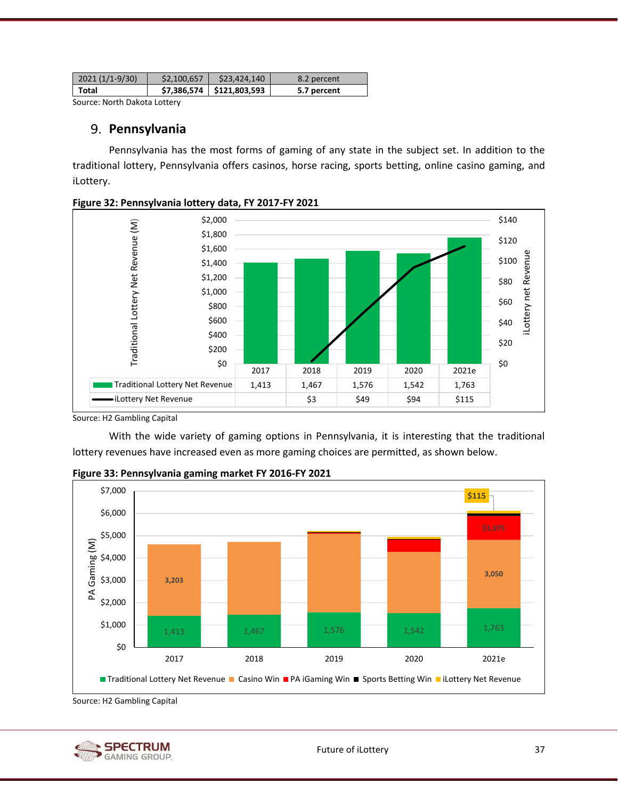| $2021(1/1-9/30)$ | \$2.100.657 | \$23,424,140                | 8.2 percent |
|------------------|-------------|-----------------------------|-------------|
| Total            |             | \$7,386,574   \$121,803,593 | 5.7 percent |

<span id="page-49-0"></span>Source: North Dakota Lottery

#### **Pennsylvania**

Pennsylvania has the most forms of gaming of any state in the subject set. In addition to the traditional lottery, Pennsylvania offers casinos, horse racing, sports betting, online casino gaming, and iLottery.



<span id="page-49-1"></span>

Source: H2 Gambling Capital

With the wide variety of gaming options in Pennsylvania, it is interesting that the traditional lottery revenues have increased even as more gaming choices are permitted, as shown below.



<span id="page-49-2"></span>**Figure 33: Pennsylvania gaming market FY 2016-FY 2021**

Source: H2 Gambling Capital

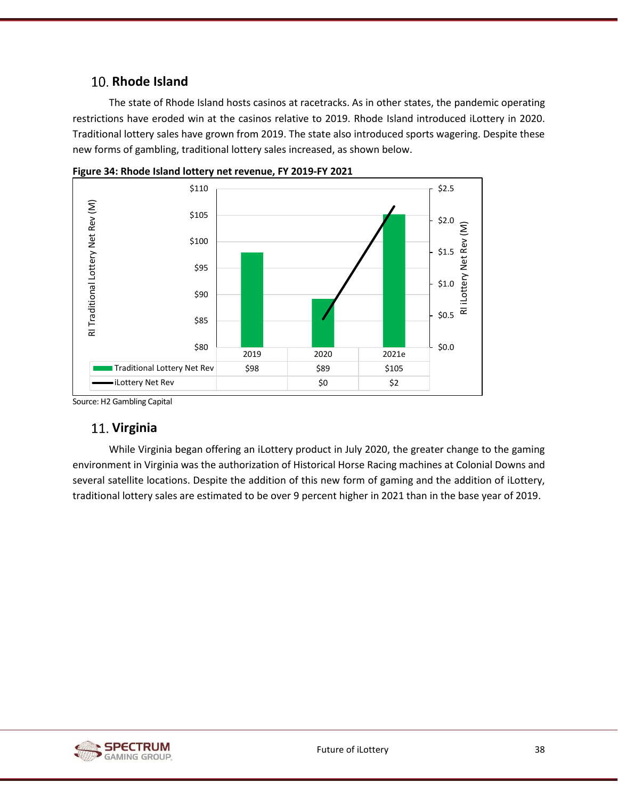# <span id="page-50-0"></span>10. Rhode Island

The state of Rhode Island hosts casinos at racetracks. As in other states, the pandemic operating restrictions have eroded win at the casinos relative to 2019. Rhode Island introduced iLottery in 2020. Traditional lottery sales have grown from 2019. The state also introduced sports wagering. Despite these new forms of gambling, traditional lottery sales increased, as shown below.



<span id="page-50-2"></span>**Figure 34: Rhode Island lottery net revenue, FY 2019-FY 2021**

Source: H2 Gambling Capital

### <span id="page-50-1"></span>**Virginia**

While Virginia began offering an iLottery product in July 2020, the greater change to the gaming environment in Virginia was the authorization of Historical Horse Racing machines at Colonial Downs and several satellite locations. Despite the addition of this new form of gaming and the addition of iLottery, traditional lottery sales are estimated to be over 9 percent higher in 2021 than in the base year of 2019.

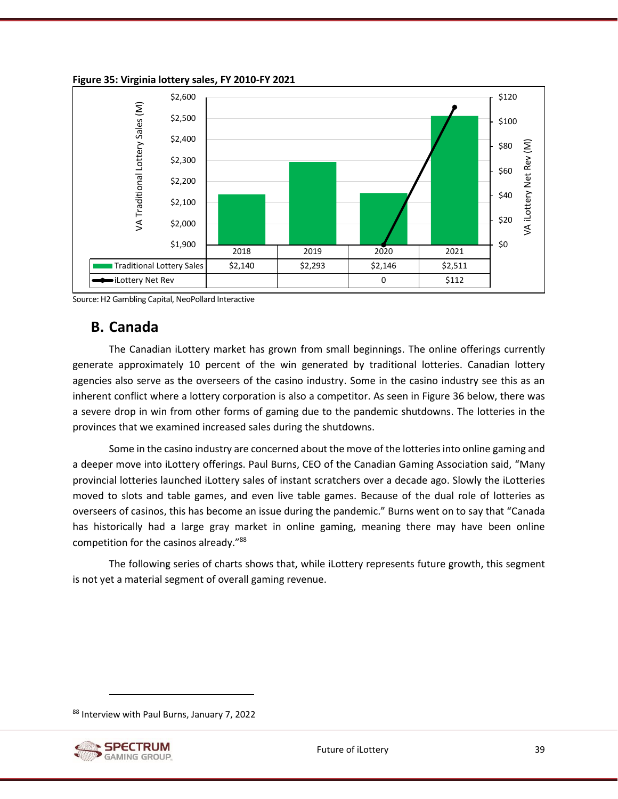

<span id="page-51-1"></span>**Figure 35: Virginia lottery sales, FY 2010-FY 2021**

<span id="page-51-0"></span>Source: H2 Gambling Capital, NeoPollard Interactive

# **B. Canada**

The Canadian iLottery market has grown from small beginnings. The online offerings currently generate approximately 10 percent of the win generated by traditional lotteries. Canadian lottery agencies also serve as the overseers of the casino industry. Some in the casino industry see this as an inherent conflict where a lottery corporation is also a competitor. As seen in [Figure 36](#page-52-2) below, there was a severe drop in win from other forms of gaming due to the pandemic shutdowns. The lotteries in the provinces that we examined increased sales during the shutdowns.

Some in the casino industry are concerned about the move of the lotteries into online gaming and a deeper move into iLottery offerings. Paul Burns, CEO of the Canadian Gaming Association said, "Many provincial lotteries launched iLottery sales of instant scratchers over a decade ago. Slowly the iLotteries moved to slots and table games, and even live table games. Because of the dual role of lotteries as overseers of casinos, this has become an issue during the pandemic." Burns went on to say that "Canada has historically had a large gray market in online gaming, meaning there may have been online competition for the casinos already."<sup>88</sup>

The following series of charts shows that, while iLottery represents future growth, this segment is not yet a material segment of overall gaming revenue.

<sup>88</sup> Interview with Paul Burns, January 7, 2022

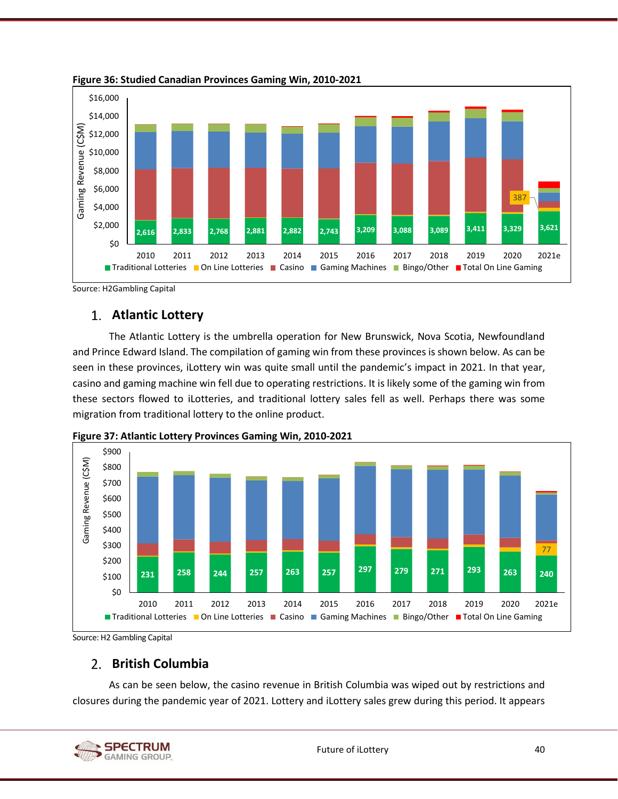

<span id="page-52-2"></span>**Figure 36: Studied Canadian Provinces Gaming Win, 2010-2021**

Source: H2Gambling Capital

## <span id="page-52-0"></span>**Atlantic Lottery**

The Atlantic Lottery is the umbrella operation for New Brunswick, Nova Scotia, Newfoundland and Prince Edward Island. The compilation of gaming win from these provinces is shown below. As can be seen in these provinces, iLottery win was quite small until the pandemic's impact in 2021. In that year, casino and gaming machine win fell due to operating restrictions. It is likely some of the gaming win from these sectors flowed to iLotteries, and traditional lottery sales fell as well. Perhaps there was some migration from traditional lottery to the online product.



<span id="page-52-3"></span>**Figure 37: Atlantic Lottery Provinces Gaming Win, 2010-2021**

Source: H2 Gambling Capital

## <span id="page-52-1"></span>**British Columbia**

As can be seen below, the casino revenue in British Columbia was wiped out by restrictions and closures during the pandemic year of 2021. Lottery and iLottery sales grew during this period. It appears

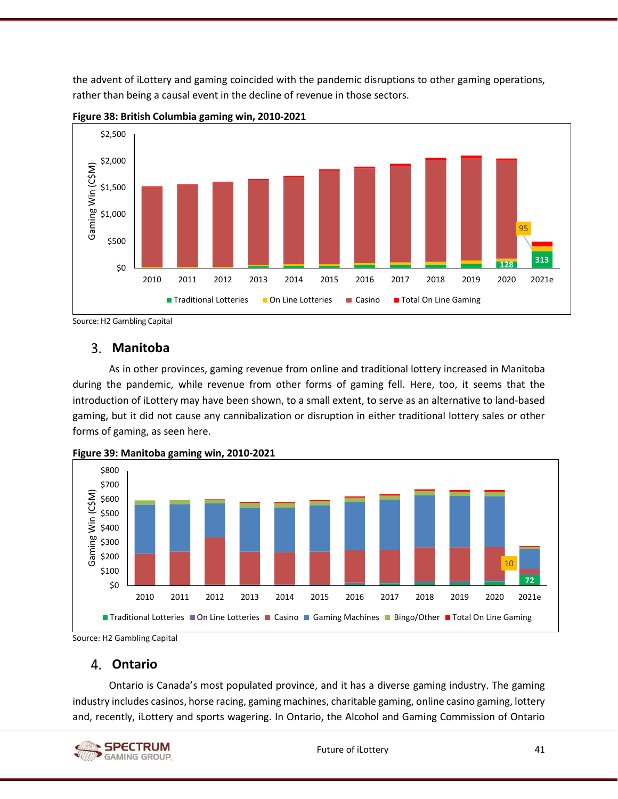the advent of iLottery and gaming coincided with the pandemic disruptions to other gaming operations, rather than being a causal event in the decline of revenue in those sectors.



<span id="page-53-2"></span>**Figure 38: British Columbia gaming win, 2010-2021**

Source: H2 Gambling Capital

## <span id="page-53-0"></span>**Manitoba**

As in other provinces, gaming revenue from online and traditional lottery increased in Manitoba during the pandemic, while revenue from other forms of gaming fell. Here, too, it seems that the introduction of iLottery may have been shown, to a small extent, to serve as an alternative to land-based gaming, but it did not cause any cannibalization or disruption in either traditional lottery sales or other forms of gaming, as seen here.



<span id="page-53-3"></span>

Source: H2 Gambling Capital

# <span id="page-53-1"></span>**Ontario**

Ontario is Canada's most populated province, and it has a diverse gaming industry. The gaming industry includes casinos, horse racing, gaming machines, charitable gaming, online casino gaming, lottery and, recently, iLottery and sports wagering. In Ontario, the Alcohol and Gaming Commission of Ontario

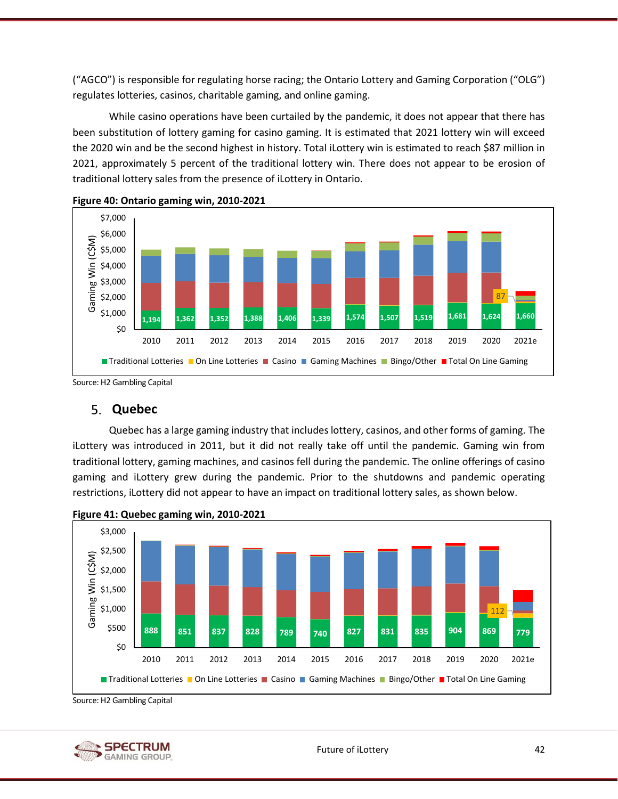("AGCO") is responsible for regulating horse racing; the Ontario Lottery and Gaming Corporation ("OLG") regulates lotteries, casinos, charitable gaming, and online gaming.

While casino operations have been curtailed by the pandemic, it does not appear that there has been substitution of lottery gaming for casino gaming. It is estimated that 2021 lottery win will exceed the 2020 win and be the second highest in history. Total iLottery win is estimated to reach \$87 million in 2021, approximately 5 percent of the traditional lottery win. There does not appear to be erosion of traditional lottery sales from the presence of iLottery in Ontario.



<span id="page-54-1"></span>

Source: H2 Gambling Capital

#### <span id="page-54-0"></span>**Quebec**

Quebec has a large gaming industry that includes lottery, casinos, and other forms of gaming. The iLottery was introduced in 2011, but it did not really take off until the pandemic. Gaming win from traditional lottery, gaming machines, and casinos fell during the pandemic. The online offerings of casino gaming and iLottery grew during the pandemic. Prior to the shutdowns and pandemic operating restrictions, iLottery did not appear to have an impact on traditional lottery sales, as shown below.



<span id="page-54-2"></span>

Source: H2 Gambling Capital

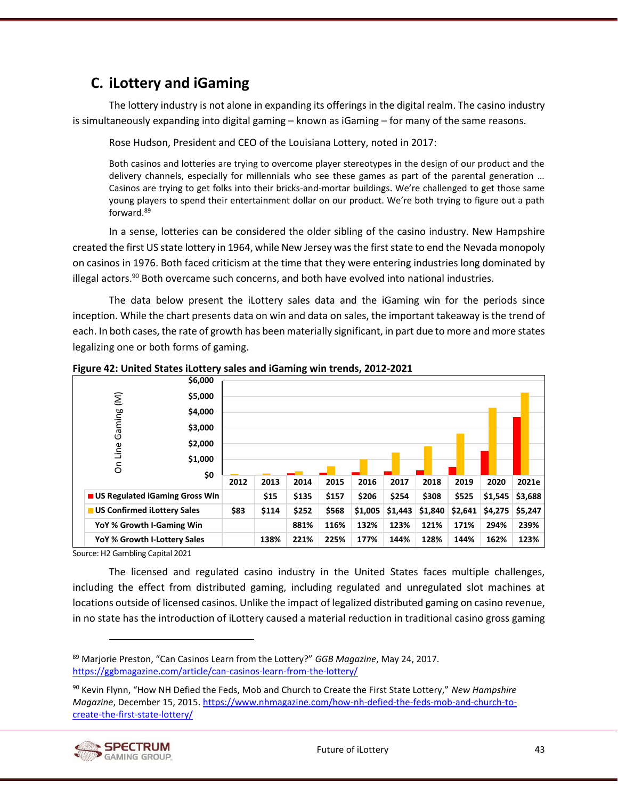# <span id="page-55-0"></span>**C. iLottery and iGaming**

The lottery industry is not alone in expanding its offerings in the digital realm. The casino industry is simultaneously expanding into digital gaming – known as iGaming – for many of the same reasons.

Rose Hudson, President and CEO of the Louisiana Lottery, noted in 2017:

Both casinos and lotteries are trying to overcome player stereotypes in the design of our product and the delivery channels, especially for millennials who see these games as part of the parental generation … Casinos are trying to get folks into their bricks-and-mortar buildings. We're challenged to get those same young players to spend their entertainment dollar on our product. We're both trying to figure out a path forward.<sup>89</sup>

In a sense, lotteries can be considered the older sibling of the casino industry. New Hampshire created the first US state lottery in 1964, while New Jersey was the first state to end the Nevada monopoly on casinos in 1976. Both faced criticism at the time that they were entering industries long dominated by illegal actors. $90$  Both overcame such concerns, and both have evolved into national industries.

The data below present the iLottery sales data and the iGaming win for the periods since inception. While the chart presents data on win and data on sales, the important takeaway is the trend of each. In both cases, the rate of growth has been materially significant, in part due to more and more states legalizing one or both forms of gaming.



<span id="page-55-1"></span>**Figure 42: United States iLottery sales and iGaming win trends, 2012-2021**

Source: H2 Gambling Capital 2021

The licensed and regulated casino industry in the United States faces multiple challenges, including the effect from distributed gaming, including regulated and unregulated slot machines at locations outside of licensed casinos. Unlike the impact of legalized distributed gaming on casino revenue, in no state has the introduction of iLottery caused a material reduction in traditional casino gross gaming

<sup>90</sup> Kevin Flynn, "How NH Defied the Feds, Mob and Church to Create the First State Lottery," *New Hampshire Magazine*, December 15, 2015. [https://www.nhmagazine.com/how-nh-defied-the-feds-mob-and-church-to](https://www.nhmagazine.com/how-nh-defied-the-feds-mob-and-church-to-create-the-first-state-lottery/)[create-the-first-state-lottery/](https://www.nhmagazine.com/how-nh-defied-the-feds-mob-and-church-to-create-the-first-state-lottery/)



<sup>89</sup> Marjorie Preston, "Can Casinos Learn from the Lottery?" *GGB Magazine*, May 24, 2017. <https://ggbmagazine.com/article/can-casinos-learn-from-the-lottery/>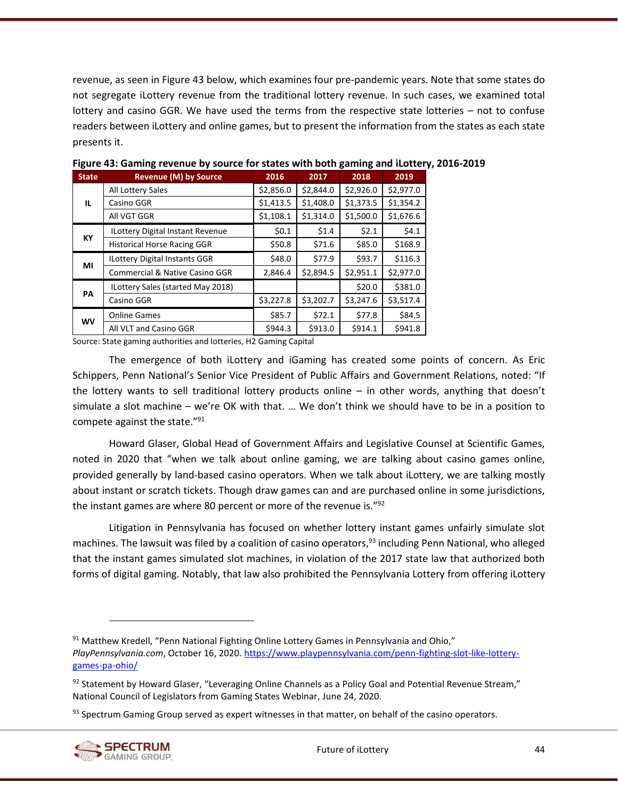revenue, as seen i[n Figure 43](#page-56-0) below, which examines four pre-pandemic years. Note that some states do not segregate iLottery revenue from the traditional lottery revenue. In such cases, we examined total lottery and casino GGR. We have used the terms from the respective state lotteries – not to confuse readers between iLottery and online games, but to present the information from the states as each state presents it.

| <b>State</b> | <b>Revenue (M) by Source</b>              | 2016      | 2017      | 2018      | 2019      |
|--------------|-------------------------------------------|-----------|-----------|-----------|-----------|
|              | All Lottery Sales                         | \$2,856.0 | \$2,844.0 | \$2,926.0 | \$2,977.0 |
| IL.          | Casino GGR                                | \$1,413.5 | \$1,408.0 | \$1,373.5 | \$1,354.2 |
|              | All VGT GGR                               | \$1,108.1 | \$1,314.0 | \$1,500.0 | \$1,676.6 |
|              | <b>ILottery Digital Instant Revenue</b>   | \$0.1     | \$1.4     | \$2.1     | \$4.1     |
| KY           | <b>Historical Horse Racing GGR</b>        | \$50.8    | \$71.6    | \$85.0    | \$168.9   |
| ΜI           | <b>ILottery Digital Instants GGR</b>      | \$48.0    | \$77.9    | \$93.7    | \$116.3   |
|              | <b>Commercial &amp; Native Casino GGR</b> | 2,846.4   | \$2,894.5 | \$2,951.1 | \$2,977.0 |
|              | ILottery Sales (started May 2018)         |           |           | \$20.0    | \$381.0   |
| PA           | Casino GGR                                | \$3,227.8 | \$3,202.7 | \$3,247.6 | \$3,517.4 |
|              | <b>Online Games</b>                       | \$85.7    | \$72.1    | \$77.8    | \$84.5    |
| <b>WV</b>    | All VLT and Casino GGR                    | \$944.3   | \$913.0   | \$914.1   | \$941.8   |

<span id="page-56-0"></span>**Figure 43: Gaming revenue by source for states with both gaming and iLottery, 2016-2019**

Source: State gaming authorities and lotteries, H2 Gaming Capital

The emergence of both iLottery and iGaming has created some points of concern. As Eric Schippers, Penn National's Senior Vice President of Public Affairs and Government Relations, noted: "If the lottery wants to sell traditional lottery products online – in other words, anything that doesn't simulate a slot machine – we're OK with that. … We don't think we should have to be in a position to compete against the state."<sup>91</sup>

Howard Glaser, Global Head of Government Affairs and Legislative Counsel at Scientific Games, noted in 2020 that "when we talk about online gaming, we are talking about casino games online, provided generally by land-based casino operators. When we talk about iLottery, we are talking mostly about instant or scratch tickets. Though draw games can and are purchased online in some jurisdictions, the instant games are where 80 percent or more of the revenue is."<sup>92</sup>

Litigation in Pennsylvania has focused on whether lottery instant games unfairly simulate slot machines. The lawsuit was filed by a coalition of casino operators,<sup>93</sup> including Penn National, who alleged that the instant games simulated slot machines, in violation of the 2017 state law that authorized both forms of digital gaming. Notably, that law also prohibited the Pennsylvania Lottery from offering iLottery

 $93$  Spectrum Gaming Group served as expert witnesses in that matter, on behalf of the casino operators.



<sup>91</sup> Matthew Kredell, "Penn National Fighting Online Lottery Games in Pennsylvania and Ohio," *PlayPennsylvania.com*, October 16, 2020. [https://www.playpennsylvania.com/penn-fighting-slot-like-lottery](https://www.playpennsylvania.com/penn-fighting-slot-like-lottery-games-pa-ohio/)[games-pa-ohio/](https://www.playpennsylvania.com/penn-fighting-slot-like-lottery-games-pa-ohio/)

<sup>92</sup> Statement by Howard Glaser, "Leveraging Online Channels as a Policy Goal and Potential Revenue Stream," National Council of Legislators from Gaming States Webinar, June 24, 2020.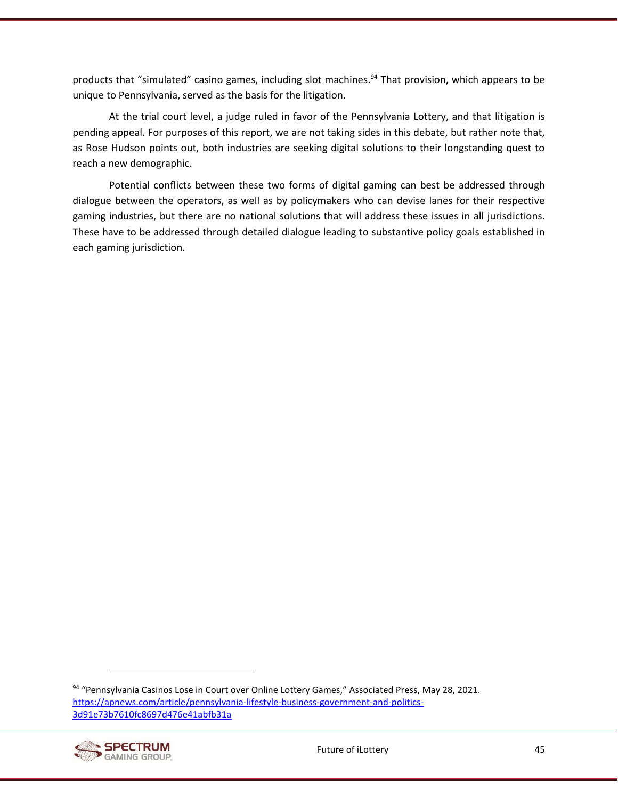products that "simulated" casino games, including slot machines.<sup>94</sup> That provision, which appears to be unique to Pennsylvania, served as the basis for the litigation.

At the trial court level, a judge ruled in favor of the Pennsylvania Lottery, and that litigation is pending appeal. For purposes of this report, we are not taking sides in this debate, but rather note that, as Rose Hudson points out, both industries are seeking digital solutions to their longstanding quest to reach a new demographic.

Potential conflicts between these two forms of digital gaming can best be addressed through dialogue between the operators, as well as by policymakers who can devise lanes for their respective gaming industries, but there are no national solutions that will address these issues in all jurisdictions. These have to be addressed through detailed dialogue leading to substantive policy goals established in each gaming jurisdiction.

<sup>94 &</sup>quot;Pennsylvania Casinos Lose in Court over Online Lottery Games," Associated Press, May 28, 2021. [https://apnews.com/article/pennsylvania-lifestyle-business-government-and-politics-](https://apnews.com/article/pennsylvania-lifestyle-business-government-and-politics-3d91e73b7610fc8697d476e41abfb31a)[3d91e73b7610fc8697d476e41abfb31a](https://apnews.com/article/pennsylvania-lifestyle-business-government-and-politics-3d91e73b7610fc8697d476e41abfb31a)

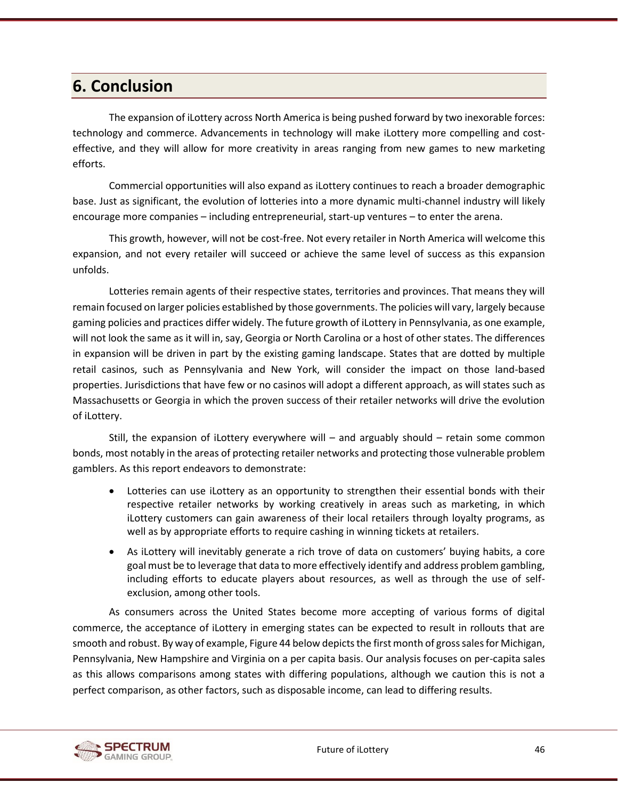# <span id="page-58-0"></span>**6. Conclusion**

The expansion of iLottery across North America is being pushed forward by two inexorable forces: technology and commerce. Advancements in technology will make iLottery more compelling and costeffective, and they will allow for more creativity in areas ranging from new games to new marketing efforts.

Commercial opportunities will also expand as iLottery continues to reach a broader demographic base. Just as significant, the evolution of lotteries into a more dynamic multi-channel industry will likely encourage more companies – including entrepreneurial, start-up ventures – to enter the arena.

This growth, however, will not be cost-free. Not every retailer in North America will welcome this expansion, and not every retailer will succeed or achieve the same level of success as this expansion unfolds.

Lotteries remain agents of their respective states, territories and provinces. That means they will remain focused on larger policies established by those governments. The policies will vary, largely because gaming policies and practices differ widely. The future growth of iLottery in Pennsylvania, as one example, will not look the same as it will in, say, Georgia or North Carolina or a host of other states. The differences in expansion will be driven in part by the existing gaming landscape. States that are dotted by multiple retail casinos, such as Pennsylvania and New York, will consider the impact on those land-based properties. Jurisdictions that have few or no casinos will adopt a different approach, as will states such as Massachusetts or Georgia in which the proven success of their retailer networks will drive the evolution of iLottery.

Still, the expansion of iLottery everywhere will – and arguably should – retain some common bonds, most notably in the areas of protecting retailer networks and protecting those vulnerable problem gamblers. As this report endeavors to demonstrate:

- Lotteries can use iLottery as an opportunity to strengthen their essential bonds with their respective retailer networks by working creatively in areas such as marketing, in which iLottery customers can gain awareness of their local retailers through loyalty programs, as well as by appropriate efforts to require cashing in winning tickets at retailers.
- As iLottery will inevitably generate a rich trove of data on customers' buying habits, a core goal must be to leverage that data to more effectively identify and address problem gambling, including efforts to educate players about resources, as well as through the use of selfexclusion, among other tools.

As consumers across the United States become more accepting of various forms of digital commerce, the acceptance of iLottery in emerging states can be expected to result in rollouts that are smooth and robust. By way of example[, Figure 44](#page-59-0) below depicts the first month of gross sales for Michigan, Pennsylvania, New Hampshire and Virginia on a per capita basis. Our analysis focuses on per-capita sales as this allows comparisons among states with differing populations, although we caution this is not a perfect comparison, as other factors, such as disposable income, can lead to differing results.

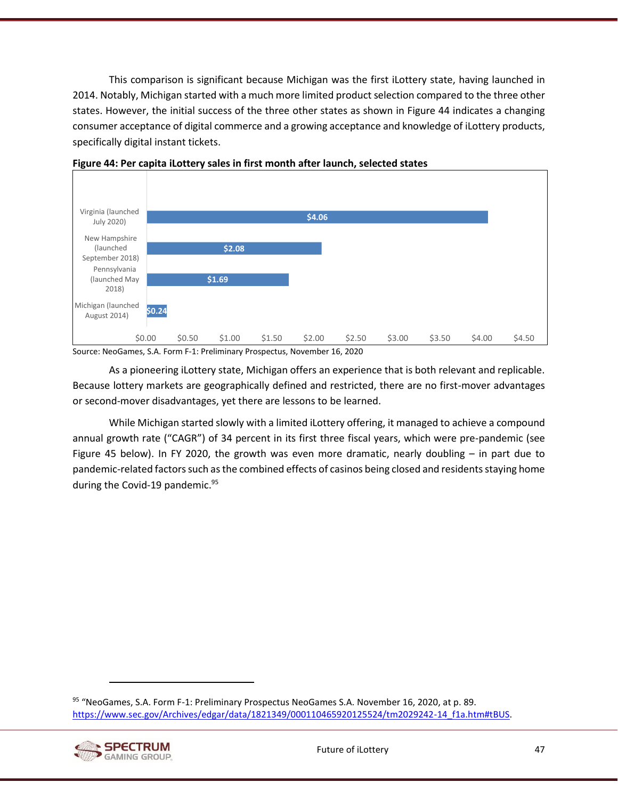This comparison is significant because Michigan was the first iLottery state, having launched in 2014. Notably, Michigan started with a much more limited product selection compared to the three other states. However, the initial success of the three other states as shown in [Figure 44](#page-59-0) indicates a changing consumer acceptance of digital commerce and a growing acceptance and knowledge of iLottery products, specifically digital instant tickets.



<span id="page-59-0"></span>

Source: NeoGames, S.A. Form F-1: Preliminary Prospectus, November 16, 2020

As a pioneering iLottery state, Michigan offers an experience that is both relevant and replicable. Because lottery markets are geographically defined and restricted, there are no first-mover advantages or second-mover disadvantages, yet there are lessons to be learned.

While Michigan started slowly with a limited iLottery offering, it managed to achieve a compound annual growth rate ("CAGR") of 34 percent in its first three fiscal years, which were pre-pandemic (see [Figure 45](#page-60-0) below). In FY 2020, the growth was even more dramatic, nearly doubling – in part due to pandemic-related factors such as the combined effects of casinos being closed and residents staying home during the Covid-19 pandemic.<sup>95</sup>

95 "NeoGames, S.A. Form F-1: Preliminary Prospectus NeoGames S.A. November 16, 2020, at p. 89. [https://www.sec.gov/Archives/edgar/data/1821349/000110465920125524/tm2029242-14\\_f1a.htm#tBUS.](https://www.sec.gov/Archives/edgar/data/1821349/000110465920125524/tm2029242-14_f1a.htm#tBUS)

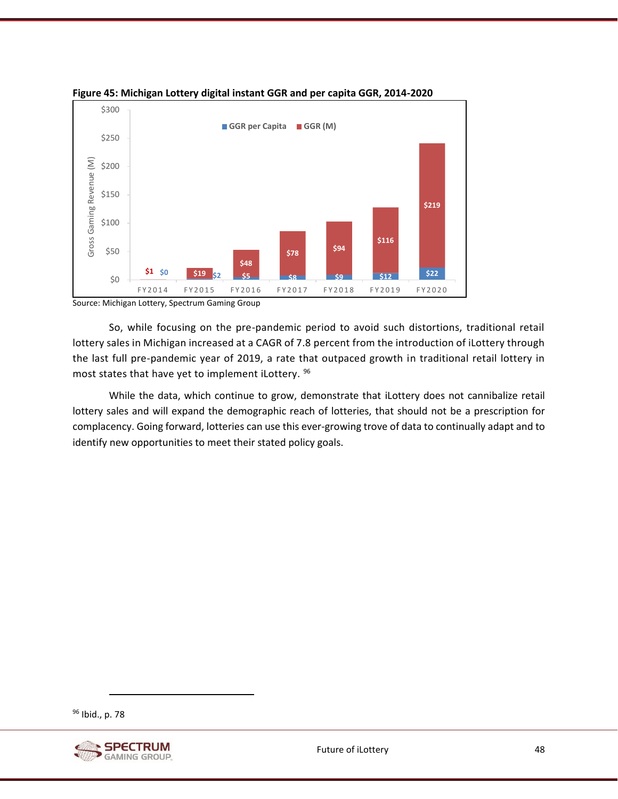

<span id="page-60-0"></span>

Source: Michigan Lottery, Spectrum Gaming Group

So, while focusing on the pre-pandemic period to avoid such distortions, traditional retail lottery sales in Michigan increased at a CAGR of 7.8 percent from the introduction of iLottery through the last full pre-pandemic year of 2019, a rate that outpaced growth in traditional retail lottery in most states that have yet to implement iLottery. <sup>96</sup>

While the data, which continue to grow, demonstrate that iLottery does not cannibalize retail lottery sales and will expand the demographic reach of lotteries, that should not be a prescription for complacency. Going forward, lotteries can use this ever-growing trove of data to continually adapt and to identify new opportunities to meet their stated policy goals.

<sup>96</sup> Ibid., p. 78

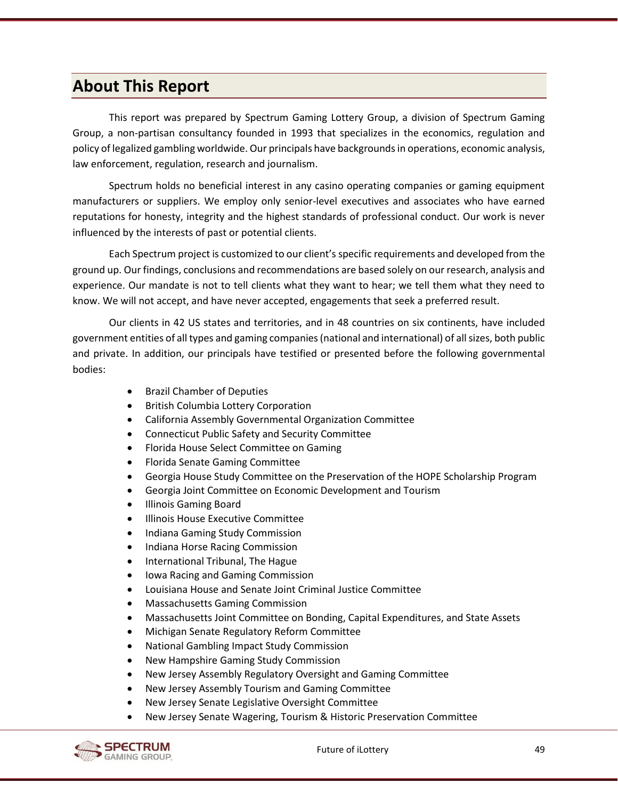# <span id="page-61-0"></span>**About This Report**

This report was prepared by Spectrum Gaming Lottery Group, a division of Spectrum Gaming Group, a non-partisan consultancy founded in 1993 that specializes in the economics, regulation and policy of legalized gambling worldwide. Our principals have backgrounds in operations, economic analysis, law enforcement, regulation, research and journalism.

Spectrum holds no beneficial interest in any casino operating companies or gaming equipment manufacturers or suppliers. We employ only senior-level executives and associates who have earned reputations for honesty, integrity and the highest standards of professional conduct. Our work is never influenced by the interests of past or potential clients.

Each Spectrum project is customized to our client's specific requirements and developed from the ground up. Our findings, conclusions and recommendations are based solely on our research, analysis and experience. Our mandate is not to tell clients what they want to hear; we tell them what they need to know. We will not accept, and have never accepted, engagements that seek a preferred result.

Our clients in 42 US states and territories, and in 48 countries on six continents, have included government entities of all types and gaming companies (national and international) of all sizes, both public and private. In addition, our principals have testified or presented before the following governmental bodies:

- Brazil Chamber of Deputies
- British Columbia Lottery Corporation
- California Assembly Governmental Organization Committee
- Connecticut Public Safety and Security Committee
- Florida House Select Committee on Gaming
- Florida Senate Gaming Committee
- Georgia House Study Committee on the Preservation of the HOPE Scholarship Program
- Georgia Joint Committee on Economic Development and Tourism
- Illinois Gaming Board
- Illinois House Executive Committee
- Indiana Gaming Study Commission
- Indiana Horse Racing Commission
- International Tribunal, The Hague
- Iowa Racing and Gaming Commission
- Louisiana House and Senate Joint Criminal Justice Committee
- Massachusetts Gaming Commission
- Massachusetts Joint Committee on Bonding, Capital Expenditures, and State Assets
- Michigan Senate Regulatory Reform Committee
- National Gambling Impact Study Commission
- New Hampshire Gaming Study Commission
- New Jersey Assembly Regulatory Oversight and Gaming Committee
- New Jersey Assembly Tourism and Gaming Committee
- New Jersey Senate Legislative Oversight Committee
- New Jersey Senate Wagering, Tourism & Historic Preservation Committee